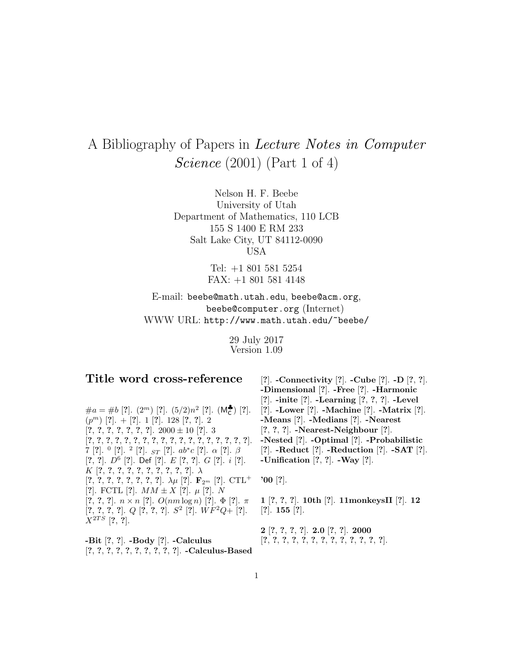## A Bibliography of Papers in Lecture Notes in Computer *Science* (2001) (Part 1 of 4)

Nelson H. F. Beebe University of Utah Department of Mathematics, 110 LCB 155 S 1400 E RM 233 Salt Lake City, UT 84112-0090 USA

> Tel: +1 801 581 5254 FAX: +1 801 581 4148

E-mail: beebe@math.utah.edu, beebe@acm.org, beebe@computer.org (Internet) WWW URL: http://www.math.utah.edu/~beebe/

> 29 July 2017 Version 1.09

## **Title word cross-reference**

 $\#a = \#b$  [?].  $(2^m)$  [?].  $(5/2)n^2$  [?].  $(M_c^{\bullet})$  [?]. (p<sup>m</sup>) [**?**]. + [**?**]. 1 [**?**]. 128 [**?**, **?**]. 2 [**?**, **?**, **?**, **?**, **?**, **?**, **?**]. 2000 ± 10 [**?**]. 3 [**?**, **?**, **?**, **?**, **?**, **?**, **?**, **?**, **?**, **?**, **?**, **?**, **?**, **?**, **?**, **?**, **?**, **?**]. 7 [**?**]. <sup>0</sup> [**?**]. <sup>2</sup> [**?**]. ST [**?**]. ab∗c [**?**]. α [**?**]. β [**?**, **?**]. D<sup>6</sup> [**?**]. Def [**?**]. E [**?**, **?**]. G [**?**]. i [**?**]. K [**?**, **?**, **?**, **?**, **?**, **?**, **?**, **?**, **?**, **?**]. λ  $[?, ?, ?, ?, ?, ?, ?, ?]$ .  $\lambda \mu$   $[?]$ .  $\mathbf{F}_{2^m}$   $[?]$ .  $\text{CTL}^+$ [**?**]. FCTL [**?**]. MM ± X [**?**]. µ [**?**]. N [**?**, **?**, **?**]. n × n [**?**]. O(nm log n) [**?**]. Φ [**?**]. π [**?**, **?**, **?**, **?**]. Q [**?**, **?**, **?**]. S<sup>2</sup> [**?**]. W F<sup>2</sup>Q+ [**?**].  $X^{2TS}$  [?, ?].

**-Bit** [**?**, **?**]. **-Body** [**?**]. **-Calculus** [**?**, **?**, **?**, **?**, **?**, **?**, **?**, **?**, **?**, **?**]. **-Calculus-Based**

[**?**]. **-Connectivity** [**?**]. **-Cube** [**?**]. **-D** [**?**, **?**]. **-Dimensional** [**?**]. **-Free** [**?**]. **-Harmonic** [**?**]. **-inite** [**?**]. **-Learning** [**?**, **?**, **?**]. **-Level** [**?**]. **-Lower** [**?**]. **-Machine** [**?**]. **-Matrix** [**?**]. **-Means** [**?**]. **-Medians** [**?**]. **-Nearest** [**?**, **?**, **?**]. **-Nearest-Neighbour** [**?**]. **-Nested** [**?**]. **-Optimal** [**?**]. **-Probabilistic** [**?**]. **-Reduct** [**?**]. **-Reduction** [**?**]. **-SAT** [**?**]. **-Unification** [**?**, **?**]. **-Way** [**?**].

**'00** [**?**].

**1** [**?**, **?**, **?**]. **10th** [**?**]. **11monkeysII** [**?**]. **12** [**?**]. **155** [**?**].

**2** [**?**, **?**, **?**, **?**]. **2.0** [**?**, **?**]. **2000** [**?**, **?**, **?**, **?**, **?**, **?**, **?**, **?**, **?**, **?**, **?**, **?**, **?**].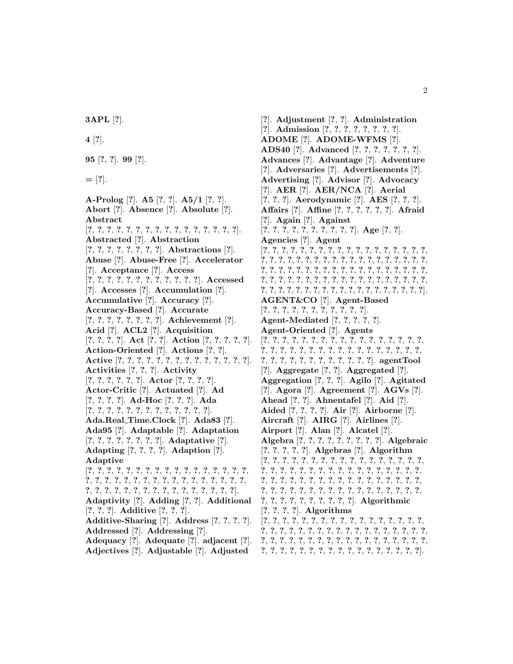**3APL** [**?**].

**4** [**?**].

**95** [**?**, **?**]. **99** [**?**].

**=** [**?**].

**A-Prolog** [**?**]. **A5** [**?**, **?**]. **A5/1** [**?**, **?**]. **Abort** [**?**]. **Absence** [**?**]. **Absolute** [**?**]. **Abstract** [**?**, **?**, **?**, **?**, **?**, **?**, **?**, **?**, **?**, **?**, **?**, **?**, **?**, **?**, **?**, **?**]. **Abstracted** [**?**]. **Abstraction** [**?**, **?**, **?**, **?**, **?**, **?**, **?**, **?**]. **Abstractions** [**?**]. **Abuse** [**?**]. **Abuse-Free** [**?**]. **Accelerator** [**?**]. **Acceptance** [**?**]. **Access** [**?**, **?**, **?**, **?**, **?**, **?**, **?**, **?**, **?**, **?**, **?**, **?**]. **Accessed** [**?**]. **Accesses** [**?**]. **Accumulation** [**?**]. **Accumulative** [**?**]. **Accuracy** [**?**]. **Accuracy-Based** [**?**]. **Accurate** [**?**, **?**, **?**, **?**, **?**, **?**, **?**, **?**]. **Achievement** [**?**]. **Acid** [**?**]. **ACL2** [**?**]. **Acquisition** [**?**, **?**, **?**, **?**]. **Act** [**?**, **?**]. **Action** [**?**, **?**, **?**, **?**, **?**]. **Action-Oriented** [**?**]. **Actions** [**?**, **?**]. **Active** [**?**, **?**, **?**, **?**, **?**, **?**, **?**, **?**, **?**, **?**, **?**, **?**, **?**, **?**]. **Activities** [**?**, **?**, **?**]. **Activity** [**?**, **?**, **?**, **?**, **?**, **?**]. **Actor** [**?**, **?**, **?**, **?**]. **Actor-Critic** [**?**]. **Actuated** [**?**]. **Ad** [**?**, **?**, **?**, **?**]. **Ad-Hoc** [**?**, **?**, **?**]. **Ada** [**?**, **?**, **?**, **?**, **?**, **?**, **?**, **?**, **?**, **?**, **?**, **?**, **?**]. **Ada.Real Time.Clock** [**?**]. **Ada83** [**?**]. **Ada95** [**?**]. **Adaptable** [**?**]. **Adaptation** [**?**, **?**, **?**, **?**, **?**, **?**, **?**, **?**]. **Adaptative** [**?**]. **Adapting** [**?**, **?**, **?**, **?**]. **Adaption** [**?**]. **Adaptive** [**?**, **?**, **?**, **?**, **?**, **?**, **?**, **?**, **?**, **?**, **?**, **?**, **?**, **?**, **?**, **?**, **?**, **?**, **?**, **?**, **?**, **?**, **?**, **?**, **?**, **?**, **?**, **?**, **?**, **?**, **?**, **?**, **?**, **?**, **?**, **?**, **?**, **?**, **?**, **?**, **?**, **?**, **?**, **?**, **?**, **?**, **?**, **?**, **?**, **?**]. **Adaptivity** [**?**]. **Adding** [**?**, **?**]. **Additional** [**?**, **?**, **?**]. **Additive** [**?**, **?**, **?**]. **Additive-Sharing** [**?**]. **Address** [**?**, **?**, **?**, **?**]. **Addressed** [**?**]. **Addressing** [**?**]. **Adequacy** [**?**]. **Adequate** [**?**]. **adjacent** [**?**]. **Adjectives** [**?**]. **Adjustable** [**?**]. **Adjusted**

[**?**]. **Adjustment** [**?**, **?**]. **Administration** [**?**]. **Admission** [**?**, **?**, **?**, **?**, **?**, **?**, **?**, **?**]. **ADOME** [**?**]. **ADOME-WFMS** [**?**]. **ADS40** [**?**]. **Advanced** [**?**, **?**, **?**, **?**, **?**, **?**, **?**]. **Advances** [**?**]. **Advantage** [**?**]. **Adventure** [**?**]. **Adversaries** [**?**]. **Advertisements** [**?**]. **Advertising** [**?**]. **Advisor** [**?**]. **Advocacy** [**?**]. **AER** [**?**]. **AER/NCA** [**?**]. **Aerial** [**?**, **?**, **?**]. **Aerodynamic** [**?**]. **AES** [**?**, **?**, **?**]. **Affairs** [**?**]. **Affine** [**?**, **?**, **?**, **?**, **?**, **?**]. **Afraid** [**?**]. **Again** [**?**]. **Against** [**?**, **?**, **?**, **?**, **?**, **?**, **?**, **?**, **?**, **?**]. **Age** [**?**, **?**]. **Agencies** [**?**]. **Agent** [**?**, **?**, **?**, **?**, **?**, **?**, **?**, **?**, **?**, **?**, **?**, **?**, **?**, **?**, **?**, **?**, **?**, **?**, **?**, **?**, **?**, **?**, **?**, **?**, **?**, **?**, **?**, **?**, **?**, **?**, **?**, **?**, **?**, **?**, **?**, **?**, **?**, **?**, **?**, **?**, **?**, **?**, **?**, **?**, **?**, **?**, **?**, **?**, **?**, **?**, **?**, **?**, **?**, **?**, **?**, **?**, **?**, **?**, **?**, **?**, **?**, **?**, **?**, **?**, **?**, **?**, **?**, **?**, **?**, **?**, **?**, **?**, **?**, **?**, **?**, **?**, **?**, **?**, **?**, **?**, **?**, **?**, **?**, **?**, **?**, **?**, **?**, **?**, **?**, **?**, **?**, **?**, **?**, **?**]. **AGENT&CO** [**?**]. **Agent-Based** [**?**, **?**, **?**, **?**, **?**, **?**, **?**, **?**, **?**, **?**, **?**]. **Agent-Mediated** [**?**, **?**, **?**, **?**, **?**]. **Agent-Oriented** [**?**]. **Agents** [**?**, **?**, **?**, **?**, **?**, **?**, **?**, **?**, **?**, **?**, **?**, **?**, **?**, **?**, **?**, **?**, **?**, **?**, **?**, **?**, **?**, **?**, **?**, **?**, **?**, **?**, **?**, **?**, **?**, **?**, **?**, **?**, **?**, **?**, **?**, **?**, **?**, **?**, **?**, **?**, **?**, **?**, **?**, **?**, **?**, **?**]. **agentTool** [**?**]. **Aggregate** [**?**, **?**]. **Aggregated** [**?**]. **Aggregation** [**?**, **?**, **?**]. **Agilo** [**?**]. **Agitated** [**?**]. **Agora** [**?**]. **Agreement** [**?**]. **AGVs** [**?**]. **Ahead** [**?**, **?**]. **Ahnentafel** [**?**]. **Aid** [**?**]. **Aided** [**?**, **?**, **?**, **?**]. **Air** [**?**]. **Airborne** [**?**]. **Aircraft** [**?**]. **AIRG** [**?**]. **Airlines** [**?**]. **Airport** [**?**]. **Alan** [**?**]. **Alcatel** [**?**]. **Algebra** [**?**, **?**, **?**, **?**, **?**, **?**, **?**, **?**, **?**]. **Algebraic** [**?**, **?**, **?**, **?**, **?**]. **Algebras** [**?**]. **Algorithm** [**?**, **?**, **?**, **?**, **?**, **?**, **?**, **?**, **?**, **?**, **?**, **?**, **?**, **?**, **?**, **?**, **?**, **?**, **?**, **?**, **?**, **?**, **?**, **?**, **?**, **?**, **?**, **?**, **?**, **?**, **?**, **?**, **?**, **?**, **?**, **?**, **?**, **?**, **?**, **?**, **?**, **?**, **?**, **?**, **?**, **?**, **?**, **?**, **?**, **?**, **?**, **?**, **?**, **?**, **?**, **?**, **?**, **?**, **?**, **?**, **?**, **?**, **?**, **?**, **?**, **?**, **?**, **?**, **?**, **?**, **?**, **?**, **?**, **?**, **?**, **?**, **?**, **?**]. **Algorithmic** [**?**, **?**, **?**, **?**]. **Algorithms** [**?**, **?**, **?**, **?**, **?**, **?**, **?**, **?**, **?**, **?**, **?**, **?**, **?**, **?**, **?**, **?**, **?**, **?**, **?**, **?**, **?**, **?**, **?**, **?**, **?**, **?**, **?**, **?**, **?**, **?**, **?**, **?**, **?**, **?**, **?**, **?**, **?**, **?**, **?**, **?**, **?**, **?**, **?**, **?**, **?**, **?**, **?**, **?**, **?**, **?**, **?**, **?**, **?**,

**?**, **?**, **?**, **?**, **?**, **?**, **?**, **?**, **?**, **?**, **?**, **?**, **?**, **?**, **?**, **?**, **?**].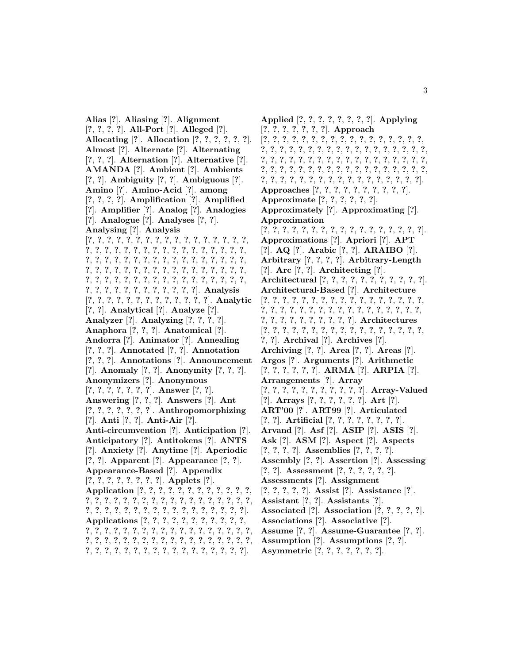**Alias** [**?**]. **Aliasing** [**?**]. **Alignment** [**?**, **?**, **?**, **?**]. **All-Port** [**?**]. **Alleged** [**?**]. **Allocating** [**?**]. **Allocation** [**?**, **?**, **?**, **?**, **?**, **?**]. **Almost** [**?**]. **Alternate** [**?**]. **Alternating** [**?**, **?**, **?**]. **Alternation** [**?**]. **Alternative** [**?**]. **AMANDA** [**?**]. **Ambient** [**?**]. **Ambients** [**?**, **?**]. **Ambiguity** [**?**, **?**]. **Ambiguous** [**?**]. **Amino** [**?**]. **Amino-Acid** [**?**]. **among** [**?**, **?**, **?**, **?**]. **Amplification** [**?**]. **Amplified** [**?**]. **Amplifier** [**?**]. **Analog** [**?**]. **Analogies** [**?**]. **Analogue** [**?**]. **Analyses** [**?**, **?**]. **Analysing** [**?**]. **Analysis** [**?**, **?**, **?**, **?**, **?**, **?**, **?**, **?**, **?**, **?**, **?**, **?**, **?**, **?**, **?**, **?**, **?**, **?**, **?**, **?**, **?**, **?**, **?**, **?**, **?**, **?**, **?**, **?**, **?**, **?**, **?**, **?**, **?**, **?**, **?**, **?**, **?**, **?**, **?**, **?**, **?**, **?**, **?**, **?**, **?**, **?**, **?**, **?**, **?**, **?**, **?**, **?**, **?**, **?**, **?**, **?**, **?**, **?**, **?**, **?**, **?**, **?**, **?**, **?**, **?**, **?**, **?**, **?**, **?**, **?**, **?**, **?**, **?**, **?**, **?**, **?**, **?**, **?**, **?**, **?**, **?**, **?**, **?**, **?**, **?**, **?**, **?**, **?**, **?**, **?**, **?**, **?**, **?**, **?**, **?**, **?**, **?**]. **Analysis** [**?**, **?**, **?**, **?**, **?**, **?**, **?**, **?**, **?**, **?**, **?**, **?**, **?**]. **Analytic** [**?**, **?**]. **Analytical** [**?**]. **Analyze** [**?**]. **Analyzer** [**?**]. **Analyzing** [**?**, **?**, **?**, **?**]. **Anaphora** [**?**, **?**, **?**]. **Anatomical** [**?**]. **Andorra** [**?**]. **Animator** [**?**]. **Annealing** [**?**, **?**, **?**]. **Annotated** [**?**, **?**]. **Annotation** [**?**, **?**, **?**]. **Annotations** [**?**]. **Announcement** [**?**]. **Anomaly** [**?**, **?**]. **Anonymity** [**?**, **?**, **?**]. **Anonymizers** [**?**]. **Anonymous** [**?**, **?**, **?**, **?**, **?**, **?**, **?**]. **Answer** [**?**, **?**]. **Answering** [**?**, **?**, **?**]. **Answers** [**?**]. **Ant** [**?**, **?**, **?**, **?**, **?**, **?**, **?**]. **Anthropomorphizing** [**?**]. **Anti** [**?**, **?**]. **Anti-Air** [**?**]. **Anti-circumvention** [**?**]. **Anticipation** [**?**]. **Anticipatory** [**?**]. **Antitokens** [**?**]. **ANTS** [**?**]. **Anxiety** [**?**]. **Anytime** [**?**]. **Aperiodic** [**?**, **?**]. **Apparent** [**?**]. **Appearance** [**?**, **?**]. **Appearance-Based** [**?**]. **Appendix** [**?**, **?**, **?**, **?**, **?**, **?**, **?**, **?**]. **Applets** [**?**]. **Application** [**?**, **?**, **?**, **?**, **?**, **?**, **?**, **?**, **?**, **?**, **?**, **?**, **?**, **?**, **?**, **?**, **?**, **?**, **?**, **?**, **?**, **?**, **?**, **?**, **?**, **?**, **?**, **?**, **?**, **?**, **?**, **?**, **?**, **?**, **?**, **?**, **?**, **?**, **?**, **?**, **?**, **?**, **?**, **?**, **?**, **?**, **?**]. **Applications** [**?**, **?**, **?**, **?**, **?**, **?**, **?**, **?**, **?**, **?**, **?**, **?**, **?**, **?**, **?**, **?**, **?**, **?**, **?**, **?**, **?**, **?**, **?**, **?**, **?**, **?**, **?**, **?**, **?**, **?**, **?**, **?**, **?**, **?**, **?**, **?**, **?**, **?**, **?**, **?**, **?**, **?**, **?**, **?**, **?**, **?**, **?**, **?**, **?**, **?**, **?**, **?**, **?**, **?**, **?**, **?**, **?**, **?**, **?**, **?**, **?**, **?**, **?**, **?**].

**Applied** [**?**, **?**, **?**, **?**, **?**, **?**, **?**, **?**]. **Applying** [**?**, **?**, **?**, **?**, **?**, **?**, **?**]. **Approach** [**?**, **?**, **?**, **?**, **?**, **?**, **?**, **?**, **?**, **?**, **?**, **?**, **?**, **?**, **?**, **?**, **?**, **?**, **?**, **?**, **?**, **?**, **?**, **?**, **?**, **?**, **?**, **?**, **?**, **?**, **?**, **?**, **?**, **?**, **?**, **?**, **?**, **?**, **?**, **?**, **?**, **?**, **?**, **?**, **?**, **?**, **?**, **?**, **?**, **?**, **?**, **?**, **?**, **?**, **?**, **?**, **?**, **?**, **?**, **?**, **?**, **?**, **?**, **?**, **?**, **?**, **?**, **?**, **?**, **?**, **?**, **?**, **?**, **?**, **?**, **?**, **?**, **?**, **?**, **?**, **?**, **?**, **?**, **?**, **?**, **?**, **?**, **?**]. **Approaches** [**?**, **?**, **?**, **?**, **?**, **?**, **?**, **?**, **?**, **?**]. **Approximate** [**?**, **?**, **?**, **?**, **?**, **?**]. **Approximately** [**?**]. **Approximating** [**?**]. **Approximation** [**?**, **?**, **?**, **?**, **?**, **?**, **?**, **?**, **?**, **?**, **?**, **?**, **?**, **?**, **?**, **?**, **?**]. **Approximations** [**?**]. **Apriori** [**?**]. **APT** [**?**]. **AQ** [**?**]. **Arabic** [**?**, **?**]. **ARAIBO** [**?**]. **Arbitrary** [**?**, **?**, **?**, **?**]. **Arbitrary-Length** [**?**]. **Arc** [**?**, **?**]. **Architecting** [**?**]. **Architectural** [**?**, **?**, **?**, **?**, **?**, **?**, **?**, **?**, **?**, **?**, **?**]. **Architectural-Based** [**?**]. **Architecture** [**?**, **?**, **?**, **?**, **?**, **?**, **?**, **?**, **?**, **?**, **?**, **?**, **?**, **?**, **?**, **?**, **?**, **?**, **?**, **?**, **?**, **?**, **?**, **?**, **?**, **?**, **?**, **?**, **?**, **?**, **?**, **?**, **?**, **?**, **?**, **?**, **?**, **?**, **?**, **?**, **?**, **?**, **?**, **?**]. **Architectures** [**?**, **?**, **?**, **?**, **?**, **?**, **?**, **?**, **?**, **?**, **?**, **?**, **?**, **?**, **?**, **?**, **?**, **?**, **?**]. **Archival** [**?**]. **Archives** [**?**]. **Archiving** [**?**, **?**]. **Area** [**?**, **?**]. **Areas** [**?**]. **Argos** [**?**]. **Arguments** [**?**]. **Arithmetic** [**?**, **?**, **?**, **?**, **?**, **?**]. **ARMA** [**?**]. **ARPIA** [**?**]. **Arrangements** [**?**]. **Array** [**?**, **?**, **?**, **?**, **?**, **?**, **?**, **?**, **?**, **?**, **?**]. **Array-Valued** [**?**]. **Arrays** [**?**, **?**, **?**, **?**, **?**, **?**]. **Art** [**?**]. **ART'00** [**?**]. **ART99** [**?**]. **Articulated** [**?**, **?**]. **Artificial** [**?**, **?**, **?**, **?**, **?**, **?**, **?**, **?**]. **Arvand** [**?**]. **Asf** [**?**]. **ASIP** [**?**]. **ASIS** [**?**]. **Ask** [**?**]. **ASM** [**?**]. **Aspect** [**?**]. **Aspects** [**?**, **?**, **?**, **?**]. **Assemblies** [**?**, **?**, **?**, **?**]. **Assembly** [**?**, **?**]. **Assertion** [**?**]. **Assessing** [**?**, **?**]. **Assessment** [**?**, **?**, **?**, **?**, **?**, **?**]. **Assessments** [**?**]. **Assignment** [**?**, **?**, **?**, **?**, **?**]. **Assist** [**?**]. **Assistance** [**?**]. **Assistant** [**?**, **?**]. **Assistants** [**?**]. **Associated** [**?**]. **Association** [**?**, **?**, **?**, **?**, **?**]. **Associations** [**?**]. **Associative** [**?**]. **Assume** [**?**, **?**]. **Assume-Guarantee** [**?**, **?**]. **Assumption** [**?**]. **Assumptions** [**?**, **?**]. **Asymmetric** [**?**, **?**, **?**, **?**, **?**, **?**, **?**].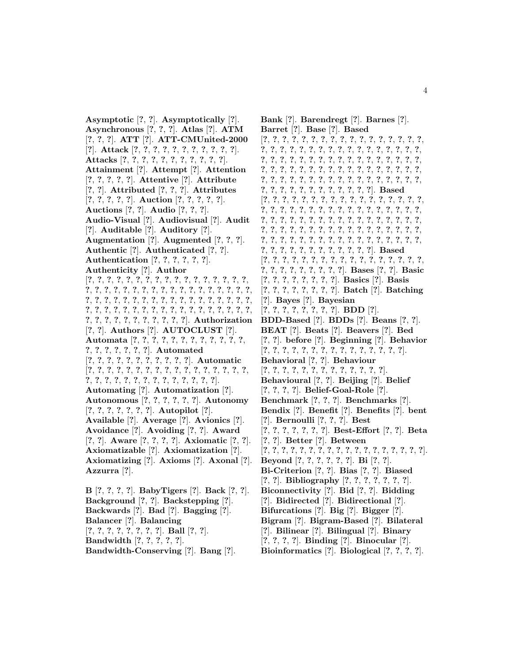**Asymptotic** [**?**, **?**]. **Asymptotically** [**?**]. **Asynchronous** [**?**, **?**, **?**]. **Atlas** [**?**]. **ATM** [**?**, **?**, **?**]. **ATT** [**?**]. **ATT-CMUnited-2000** [**?**]. **Attack** [**?**, **?**, **?**, **?**, **?**, **?**, **?**, **?**, **?**, **?**, **?**]. **Attacks** [**?**, **?**, **?**, **?**, **?**, **?**, **?**, **?**, **?**, **?**, **?**]. **Attainment** [**?**]. **Attempt** [**?**]. **Attention** [**?**, **?**, **?**, **?**, **?**]. **Attentive** [**?**]. **Attribute** [**?**, **?**]. **Attributed** [**?**, **?**, **?**]. **Attributes** [**?**, **?**, **?**, **?**, **?**]. **Auction** [**?**, **?**, **?**, **?**, **?**]. **Auctions** [**?**, **?**]. **Audio** [**?**, **?**, **?**]. **Audio-Visual** [**?**]. **Audiovisual** [**?**]. **Audit** [**?**]. **Auditable** [**?**]. **Auditory** [**?**]. **Augmentation** [**?**]. **Augmented** [**?**, **?**, **?**]. **Authentic** [**?**]. **Authenticated** [**?**, **?**]. **Authentication** [**?**, **?**, **?**, **?**, **?**, **?**]. **Authenticity** [**?**]. **Author** [**?**, **?**, **?**, **?**, **?**, **?**, **?**, **?**, **?**, **?**, **?**, **?**, **?**, **?**, **?**, **?**, **?**, **?**, **?**, **?**, **?**, **?**, **?**, **?**, **?**, **?**, **?**, **?**, **?**, **?**, **?**, **?**, **?**, **?**, **?**, **?**, **?**, **?**, **?**, **?**, **?**, **?**, **?**, **?**, **?**, **?**, **?**, **?**, **?**, **?**, **?**, **?**, **?**, **?**, **?**, **?**, **?**, **?**, **?**, **?**, **?**, **?**, **?**, **?**, **?**, **?**, **?**, **?**, **?**, **?**, **?**, **?**, **?**, **?**, **?**, **?**, **?**, **?**, **?**, **?**, **?**, **?**]. **Authorization** [**?**, **?**]. **Authors** [**?**]. **AUTOCLUST** [**?**]. **Automata** [**?**, **?**, **?**, **?**, **?**, **?**, **?**, **?**, **?**, **?**, **?**, **?**, **?**, **?**, **?**, **?**, **?**, **?**, **?**]. **Automated** [**?**, **?**, **?**, **?**, **?**, **?**, **?**, **?**, **?**, **?**, **?**]. **Automatic** [**?**, **?**, **?**, **?**, **?**, **?**, **?**, **?**, **?**, **?**, **?**, **?**, **?**, **?**, **?**, **?**, **?**, **?**, **?**, **?**, **?**, **?**, **?**, **?**, **?**, **?**, **?**, **?**, **?**, **?**, **?**]. **Automating** [**?**]. **Automatization** [**?**]. **Autonomous** [**?**, **?**, **?**, **?**, **?**, **?**]. **Autonomy** [**?**, **?**, **?**, **?**, **?**, **?**, **?**]. **Autopilot** [**?**]. **Available** [**?**]. **Average** [**?**]. **Avionics** [**?**]. **Avoidance** [**?**]. **Avoiding** [**?**, **?**]. **Award** [**?**, **?**]. **Aware** [**?**, **?**, **?**, **?**]. **Axiomatic** [**?**, **?**]. **Axiomatizable** [**?**]. **Axiomatization** [**?**]. **Axiomatizing** [**?**]. **Axioms** [**?**]. **Axonal** [**?**]. **Azzurra** [**?**]. **B** [**?**, **?**, **?**, **?**]. **BabyTigers** [**?**]. **Back** [**?**, **?**].

**Background** [**?**, **?**]. **Backstepping** [**?**]. **Backwards** [**?**]. **Bad** [**?**]. **Bagging** [**?**]. **Balancer** [**?**]. **Balancing** [**?**, **?**, **?**, **?**, **?**, **?**, **?**, **?**]. **Ball** [**?**, **?**]. **Bandwidth** [**?**, **?**, **?**, **?**, **?**]. **Bandwidth-Conserving** [**?**]. **Bang** [**?**].

**Bank** [**?**]. **Barendregt** [**?**]. **Barnes** [**?**]. **Barret** [**?**]. **Base** [**?**]. **Based** [**?**, **?**, **?**, **?**, **?**, **?**, **?**, **?**, **?**, **?**, **?**, **?**, **?**, **?**, **?**, **?**, **?**, **?**, **?**, **?**, **?**, **?**, **?**, **?**, **?**, **?**, **?**, **?**, **?**, **?**, **?**, **?**, **?**, **?**, **?**, **?**, **?**, **?**, **?**, **?**, **?**, **?**, **?**, **?**, **?**, **?**, **?**, **?**, **?**, **?**, **?**, **?**, **?**, **?**, **?**, **?**, **?**, **?**, **?**, **?**, **?**, **?**, **?**, **?**, **?**, **?**, **?**, **?**, **?**, **?**, **?**, **?**, **?**, **?**, **?**, **?**, **?**, **?**, **?**, **?**, **?**, **?**, **?**, **?**, **?**, **?**, **?**, **?**, **?**, **?**, **?**, **?**, **?**, **?**, **?**, **?**, **?**]. **Based** [**?**, **?**, **?**, **?**, **?**, **?**, **?**, **?**, **?**, **?**, **?**, **?**, **?**, **?**, **?**, **?**, **?**, **?**, **?**, **?**, **?**, **?**, **?**, **?**, **?**, **?**, **?**, **?**, **?**, **?**, **?**, **?**, **?**, **?**, **?**, **?**, **?**, **?**, **?**, **?**, **?**, **?**, **?**, **?**, **?**, **?**, **?**, **?**, **?**, **?**, **?**, **?**, **?**, **?**, **?**, **?**, **?**, **?**, **?**, **?**, **?**, **?**, **?**, **?**, **?**, **?**, **?**, **?**, **?**, **?**, **?**, **?**, **?**, **?**, **?**, **?**, **?**, **?**, **?**, **?**, **?**, **?**, **?**, **?**, **?**, **?**, **?**, **?**, **?**, **?**, **?**, **?**, **?**, **?**, **?**, **?**, **?**]. **Based** [**?**, **?**, **?**, **?**, **?**, **?**, **?**, **?**, **?**, **?**, **?**, **?**, **?**, **?**, **?**, **?**, **?**, **?**, **?**, **?**, **?**, **?**, **?**, **?**, **?**, **?**]. **Bases** [**?**, **?**]. **Basic** [**?**, **?**, **?**, **?**, **?**, **?**, **?**, **?**]. **Basics** [**?**]. **Basis** [**?**, **?**, **?**, **?**, **?**, **?**, **?**, **?**]. **Batch** [**?**]. **Batching** [**?**]. **Bayes** [**?**]. **Bayesian** [**?**, **?**, **?**, **?**, **?**, **?**, **?**, **?**]. **BDD** [**?**]. **BDD-Based** [**?**]. **BDDs** [**?**]. **Beans** [**?**, **?**]. **BEAT** [**?**]. **Beats** [**?**]. **Beavers** [**?**]. **Bed** [**?**, **?**]. **before** [**?**]. **Beginning** [**?**]. **Behavior** [**?**, **?**, **?**, **?**, **?**, **?**, **?**, **?**, **?**, **?**, **?**, **?**, **?**, **?**, **?**]. **Behavioral** [**?**, **?**]. **Behaviour** [**?**, **?**, **?**, **?**, **?**, **?**, **?**, **?**, **?**, **?**, **?**, **?**, **?**]. **Behavioural** [**?**, **?**]. **Beijing** [**?**]. **Belief** [**?**, **?**, **?**, **?**]. **Belief-Goal-Role** [**?**]. **Benchmark** [**?**, **?**, **?**]. **Benchmarks** [**?**]. **Bendix** [**?**]. **Benefit** [**?**]. **Benefits** [**?**]. **bent** [**?**]. **Bernoulli** [**?**, **?**, **?**]. **Best** [**?**, **?**, **?**, **?**, **?**, **?**, **?**]. **Best-Effort** [**?**, **?**]. **Beta** [**?**, **?**]. **Better** [**?**]. **Between** [**?**, **?**, **?**, **?**, **?**, **?**, **?**, **?**, **?**, **?**, **?**, **?**, **?**, **?**, **?**, **?**, **?**, **?**]. **Beyond** [**?**, **?**, **?**, **?**, **?**, **?**]. **Bi** [**?**, **?**]. **Bi-Criterion** [**?**, **?**]. **Bias** [**?**, **?**]. **Biased** [**?**, **?**]. **Bibliography** [**?**, **?**, **?**, **?**, **?**, **?**, **?**]. **Biconnectivity** [**?**]. **Bid** [**?**, **?**]. **Bidding** [**?**]. **Bidirected** [**?**]. **Bidirectional** [**?**]. **Bifurcations** [**?**]. **Big** [**?**]. **Bigger** [**?**]. **Bigram** [**?**]. **Bigram-Based** [**?**]. **Bilateral** [**?**]. **Bilinear** [**?**]. **Bilingual** [**?**]. **Binary** [**?**, **?**, **?**, **?**]. **Binding** [**?**]. **Binocular** [**?**]. **Bioinformatics** [**?**]. **Biological** [**?**, **?**, **?**, **?**].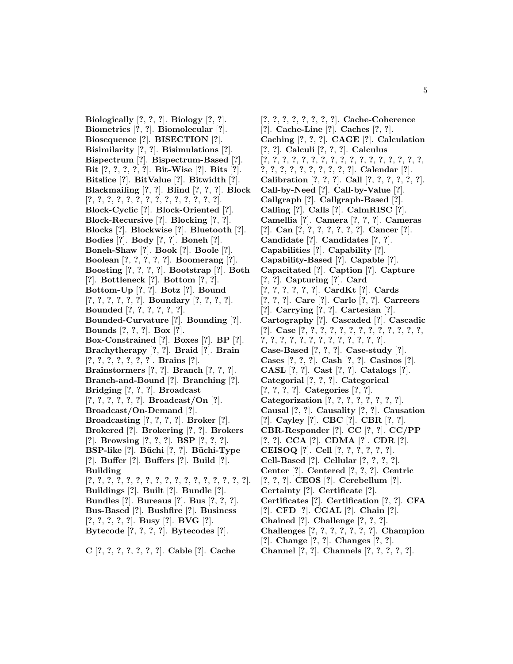**Biologically** [**?**, **?**, **?**]. **Biology** [**?**, **?**]. **Biometrics** [**?**, **?**]. **Biomolecular** [**?**]. **Biosequence** [**?**]. **BISECTION** [**?**]. **Bisimilarity** [**?**, **?**]. **Bisimulations** [**?**]. **Bispectrum** [**?**]. **Bispectrum-Based** [**?**]. **Bit** [**?**, **?**, **?**, **?**, **?**]. **Bit-Wise** [**?**]. **Bits** [**?**]. **Bitslice** [**?**]. **BitValue** [**?**]. **Bitwidth** [**?**]. **Blackmailing** [**?**, **?**]. **Blind** [**?**, **?**, **?**]. **Block** [**?**, **?**, **?**, **?**, **?**, **?**, **?**, **?**, **?**, **?**, **?**, **?**, **?**, **?**]. **Block-Cyclic** [**?**]. **Block-Oriented** [**?**]. **Block-Recursive** [**?**]. **Blocking** [**?**, **?**]. **Blocks** [**?**]. **Blockwise** [**?**]. **Bluetooth** [**?**]. **Bodies** [**?**]. **Body** [**?**, **?**]. **Boneh** [**?**]. **Boneh-Shaw** [**?**]. **Book** [**?**]. **Boole** [**?**]. **Boolean** [**?**, **?**, **?**, **?**, **?**]. **Boomerang** [**?**]. **Boosting** [**?**, **?**, **?**, **?**]. **Bootstrap** [**?**]. **Both** [**?**]. **Bottleneck** [**?**]. **Bottom** [**?**, **?**]. **Bottom-Up** [**?**, **?**]. **Botz** [**?**]. **Bound** [**?**, **?**, **?**, **?**, **?**, **?**]. **Boundary** [**?**, **?**, **?**, **?**]. **Bounded** [**?**, **?**, **?**, **?**, **?**, **?**]. **Bounded-Curvature** [**?**]. **Bounding** [**?**]. **Bounds** [**?**, **?**, **?**]. **Box** [**?**]. **Box-Constrained** [**?**]. **Boxes** [**?**]. **BP** [**?**]. **Brachytherapy** [**?**, **?**]. **Braid** [**?**]. **Brain** [**?**, **?**, **?**, **?**, **?**, **?**, **?**]. **Brains** [**?**]. **Brainstormers** [**?**, **?**]. **Branch** [**?**, **?**, **?**]. **Branch-and-Bound** [**?**]. **Branching** [**?**]. **Bridging** [**?**, **?**, **?**]. **Broadcast** [**?**, **?**, **?**, **?**, **?**, **?**]. **Broadcast/On** [**?**]. **Broadcast/On-Demand** [**?**]. **Broadcasting** [**?**, **?**, **?**, **?**]. **Broker** [**?**]. **Brokered** [**?**]. **Brokering** [**?**, **?**]. **Brokers** [**?**]. **Browsing** [**?**, **?**, **?**]. **BSP** [**?**, **?**, **?**]. **BSP-like** [**?**]. **B¨uchi** [**?**, **?**]. **B¨uchi-Type** [**?**]. **Buffer** [**?**]. **Buffers** [**?**]. **Build** [**?**]. **Building** [**?**, **?**, **?**, **?**, **?**, **?**, **?**, **?**, **?**, **?**, **?**, **?**, **?**, **?**, **?**, **?**, **?**]. **Buildings** [**?**]. **Built** [**?**]. **Bundle** [**?**]. **Bundles** [**?**]. **Bureaus** [**?**]. **Bus** [**?**, **?**, **?**]. **Bus-Based** [**?**]. **Bushfire** [**?**]. **Business** [**?**, **?**, **?**, **?**, **?**]. **Busy** [**?**]. **BVG** [**?**]. **Bytecode** [**?**, **?**, **?**, **?**]. **Bytecodes** [**?**].

**C** [**?**, **?**, **?**, **?**, **?**, **?**, **?**]. **Cable** [**?**]. **Cache**

[**?**, **?**, **?**, **?**, **?**, **?**, **?**, **?**]. **Cache-Coherence** [**?**]. **Cache-Line** [**?**]. **Caches** [**?**, **?**]. **Caching** [**?**, **?**, **?**]. **CAGE** [**?**]. **Calculation** [**?**, **?**]. **Calculi** [**?**, **?**, **?**]. **Calculus** [**?**, **?**, **?**, **?**, **?**, **?**, **?**, **?**, **?**, **?**, **?**, **?**, **?**, **?**, **?**, **?**, **?**, **?**, **?**, **?**, **?**, **?**, **?**, **?**, **?**, **?**, **?**]. **Calendar** [**?**]. **Calibration** [**?**, **?**, **?**]. **Call** [**?**, **?**, **?**, **?**, **?**, **?**]. **Call-by-Need** [**?**]. **Call-by-Value** [**?**]. **Callgraph** [**?**]. **Callgraph-Based** [**?**]. **Calling** [**?**]. **Calls** [**?**]. **CalmRISC** [**?**]. **Camellia** [**?**]. **Camera** [**?**, **?**, **?**]. **Cameras** [**?**]. **Can** [**?**, **?**, **?**, **?**, **?**, **?**, **?**]. **Cancer** [**?**]. **Candidate** [**?**]. **Candidates** [**?**, **?**]. **Capabilities** [**?**]. **Capability** [**?**]. **Capability-Based** [**?**]. **Capable** [**?**]. **Capacitated** [**?**]. **Caption** [**?**]. **Capture** [**?**, **?**]. **Capturing** [**?**]. **Card** [**?**, **?**, **?**, **?**, **?**, **?**]. **CardKt** [**?**]. **Cards** [**?**, **?**, **?**]. **Care** [**?**]. **Carlo** [**?**, **?**]. **Carreers** [**?**]. **Carrying** [**?**, **?**]. **Cartesian** [**?**]. **Cartography** [**?**]. **Cascaded** [**?**]. **Cascadic** [**?**]. **Case** [**?**, **?**, **?**, **?**, **?**, **?**, **?**, **?**, **?**, **?**, **?**, **?**, **?**, **?**, **?**, **?**, **?**, **?**, **?**, **?**, **?**, **?**, **?**, **?**, **?**, **?**]. **Case-Based** [**?**, **?**, **?**]. **Case-study** [**?**]. **Cases** [**?**, **?**, **?**]. **Cash** [**?**, **?**]. **Casinos** [**?**]. **CASL** [**?**, **?**]. **Cast** [**?**, **?**]. **Catalogs** [**?**]. **Categorial** [**?**, **?**, **?**]. **Categorical** [**?**, **?**, **?**, **?**]. **Categories** [**?**, **?**]. **Categorization** [**?**, **?**, **?**, **?**, **?**, **?**, **?**, **?**]. **Causal** [**?**, **?**]. **Causality** [**?**, **?**]. **Causation** [**?**]. **Cayley** [**?**]. **CBC** [**?**]. **CBR** [**?**, **?**]. **CBR-Responder** [**?**]. **CC** [**?**, **?**]. **CC/PP** [**?**, **?**]. **CCA** [**?**]. **CDMA** [**?**]. **CDR** [**?**]. **CEISOQ** [**?**]. **Cell** [**?**, **?**, **?**, **?**, **?**, **?**]. **Cell-Based** [**?**]. **Cellular** [**?**, **?**, **?**, **?**]. **Center** [**?**]. **Centered** [**?**, **?**, **?**]. **Centric** [**?**, **?**, **?**]. **CEOS** [**?**]. **Cerebellum** [**?**]. **Certainty** [**?**]. **Certificate** [**?**]. **Certificates** [**?**]. **Certification** [**?**, **?**]. **CFA** [**?**]. **CFD** [**?**]. **CGAL** [**?**]. **Chain** [**?**]. **Chained** [**?**]. **Challenge** [**?**, **?**, **?**]. **Challenges** [**?**, **?**, **?**, **?**, **?**, **?**, **?**]. **Champion** [**?**]. **Change** [**?**, **?**]. **Changes** [**?**, **?**]. **Channel** [**?**, **?**]. **Channels** [**?**, **?**, **?**, **?**, **?**].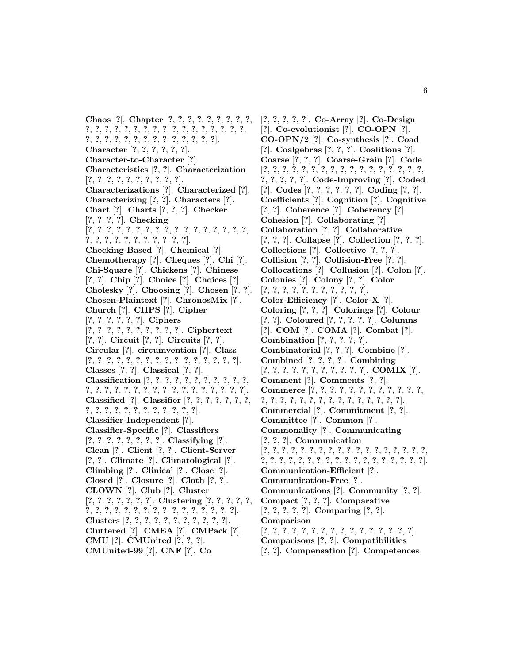**Chaos** [**?**]. **Chapter** [**?**, **?**, **?**, **?**, **?**, **?**, **?**, **?**, **?**, **?**, **?**, **?**, **?**, **?**, **?**, **?**, **?**, **?**, **?**, **?**, **?**, **?**, **?**, **?**, **?**, **?**, **?**, **?**, **?**, **?**, **?**, **?**, **?**, **?**, **?**, **?**, **?**, **?**, **?**, **?**]. **Character** [**?**, **?**, **?**, **?**, **?**, **?**]. **Character-to-Character** [**?**]. **Characteristics** [**?**, **?**]. **Characterization** [**?**, **?**, **?**, **?**, **?**, **?**, **?**, **?**, **?**, **?**]. **Characterizations** [**?**]. **Characterized** [**?**]. **Characterizing** [**?**, **?**]. **Characters** [**?**]. **Chart** [**?**]. **Charts** [**?**, **?**, **?**]. **Checker** [**?**, **?**, **?**, **?**]. **Checking** [**?**, **?**, **?**, **?**, **?**, **?**, **?**, **?**, **?**, **?**, **?**, **?**, **?**, **?**, **?**, **?**, **?**, **?**, **?**, **?**, **?**, **?**, **?**, **?**, **?**, **?**, **?**, **?**]. **Checking-Based** [**?**]. **Chemical** [**?**]. **Chemotherapy** [**?**]. **Cheques** [**?**]. **Chi** [**?**]. **Chi-Square** [**?**]. **Chickens** [**?**]. **Chinese** [**?**, **?**]. **Chip** [**?**]. **Choice** [**?**]. **Choices** [**?**]. **Cholesky** [**?**]. **Choosing** [**?**]. **Chosen** [**?**, **?**]. **Chosen-Plaintext** [**?**]. **ChronosMix** [**?**]. **Church** [**?**]. **CIIPS** [**?**]. **Cipher** [**?**, **?**, **?**, **?**, **?**, **?**]. **Ciphers** [**?**, **?**, **?**, **?**, **?**, **?**, **?**, **?**, **?**, **?**]. **Ciphertext** [**?**, **?**]. **Circuit** [**?**, **?**]. **Circuits** [**?**, **?**]. **Circular** [**?**]. **circumvention** [**?**]. **Class** [**?**, **?**, **?**, **?**, **?**, **?**, **?**, **?**, **?**, **?**, **?**, **?**, **?**, **?**, **?**, **?**]. **Classes** [**?**, **?**]. **Classical** [**?**, **?**]. **Classification** [**?**, **?**, **?**, **?**, **?**, **?**, **?**, **?**, **?**, **?**, **?**, **?**, **?**, **?**, **?**, **?**, **?**, **?**, **?**, **?**, **?**, **?**, **?**, **?**, **?**, **?**, **?**, **?**]. **Classified** [**?**]. **Classifier** [**?**, **?**, **?**, **?**, **?**, **?**, **?**, **?**, **?**, **?**, **?**, **?**, **?**, **?**, **?**, **?**, **?**, **?**, **?**]. **Classifier-Independent** [**?**]. **Classifier-Specific** [**?**]. **Classifiers** [**?**, **?**, **?**, **?**, **?**, **?**, **?**, **?**]. **Classifying** [**?**]. **Clean** [**?**]. **Client** [**?**, **?**]. **Client-Server** [**?**, **?**]. **Climate** [**?**]. **Climatological** [**?**]. **Climbing** [**?**]. **Clinical** [**?**]. **Close** [**?**]. **Closed** [**?**]. **Closure** [**?**]. **Cloth** [**?**, **?**]. **CLOWN** [**?**]. **Club** [**?**]. **Cluster** [**?**, **?**, **?**, **?**, **?**, **?**, **?**]. **Clustering** [**?**, **?**, **?**, **?**, **?**, **?**, **?**, **?**, **?**, **?**, **?**, **?**, **?**, **?**, **?**, **?**, **?**, **?**, **?**, **?**, **?**]. **Clusters** [**?**, **?**, **?**, **?**, **?**, **?**, **?**, **?**, **?**, **?**, **?**]. **Cluttered** [**?**]. **CMEA** [**?**]. **CMPack** [**?**]. **CMU** [**?**]. **CMUnited** [**?**, **?**, **?**]. **CMUnited-99** [**?**]. **CNF** [**?**]. **Co**

[**?**, **?**, **?**, **?**, **?**]. **Co-Array** [**?**]. **Co-Design** [**?**]. **Co-evolutionist** [**?**]. **CO-OPN** [**?**]. **CO-OPN/2** [**?**]. **Co-synthesis** [**?**]. **Coad** [**?**]. **Coalgebras** [**?**, **?**, **?**]. **Coalitions** [**?**]. **Coarse** [**?**, **?**, **?**]. **Coarse-Grain** [**?**]. **Code** [**?**, **?**, **?**, **?**, **?**, **?**, **?**, **?**, **?**, **?**, **?**, **?**, **?**, **?**, **?**, **?**, **?**, **?**, **?**, **?**, **?**, **?**]. **Code-Improving** [**?**]. **Coded** [**?**]. **Codes** [**?**, **?**, **?**, **?**, **?**, **?**]. **Coding** [**?**, **?**]. **Coefficients** [**?**]. **Cognition** [**?**]. **Cognitive** [**?**, **?**]. **Coherence** [**?**]. **Coherency** [**?**]. **Cohesion** [**?**]. **Collaborating** [**?**]. **Collaboration** [**?**, **?**]. **Collaborative** [**?**, **?**, **?**]. **Collapse** [**?**]. **Collection** [**?**, **?**, **?**]. **Collections** [**?**]. **Collective** [**?**, **?**, **?**]. **Collision** [**?**, **?**]. **Collision-Free** [**?**, **?**]. **Collocations** [**?**]. **Collusion** [**?**]. **Colon** [**?**]. **Colonies** [**?**]. **Colony** [**?**, **?**]. **Color** [**?**, **?**, **?**, **?**, **?**, **?**, **?**, **?**, **?**, **?**, **?**]. **Color-Efficiency** [**?**]. **Color-X** [**?**]. **Coloring** [**?**, **?**, **?**]. **Colorings** [**?**]. **Colour** [**?**, **?**]. **Coloured** [**?**, **?**, **?**, **?**, **?**]. **Columns** [**?**]. **COM** [**?**]. **COMA** [**?**]. **Combat** [**?**]. **Combination** [**?**, **?**, **?**, **?**, **?**]. **Combinatorial** [**?**, **?**, **?**]. **Combine** [**?**]. **Combined** [**?**, **?**, **?**, **?**]. **Combining** [**?**, **?**, **?**, **?**, **?**, **?**, **?**, **?**, **?**, **?**, **?**]. **COMIX** [**?**]. **Comment** [**?**]. **Comments** [**?**, **?**]. **Commerce** [**?**, **?**, **?**, **?**, **?**, **?**, **?**, **?**, **?**, **?**, **?**, **?**, **?**, **?**, **?**, **?**, **?**, **?**, **?**, **?**, **?**, **?**, **?**, **?**, **?**, **?**, **?**]. **Commercial** [**?**]. **Commitment** [**?**, **?**]. **Committee** [**?**]. **Common** [**?**]. **Commonality** [**?**]. **Communicating** [**?**, **?**, **?**]. **Communication** [**?**, **?**, **?**, **?**, **?**, **?**, **?**, **?**, **?**, **?**, **?**, **?**, **?**, **?**, **?**, **?**, **?**, **?**, **?**, **?**, **?**, **?**, **?**, **?**, **?**, **?**, **?**, **?**, **?**, **?**, **?**, **?**, **?**, **?**, **?**, **?**]. **Communication-Efficient** [**?**]. **Communication-Free** [**?**]. **Communications** [**?**]. **Community** [**?**, **?**]. **Compact** [**?**, **?**, **?**]. **Comparative** [**?**, **?**, **?**, **?**, **?**]. **Comparing** [**?**, **?**]. **Comparison** [**?**, **?**, **?**, **?**, **?**, **?**, **?**, **?**, **?**, **?**, **?**, **?**, **?**, **?**, **?**, **?**]. **Comparisons** [**?**, **?**]. **Compatibilities** [**?**, **?**]. **Compensation** [**?**]. **Competences**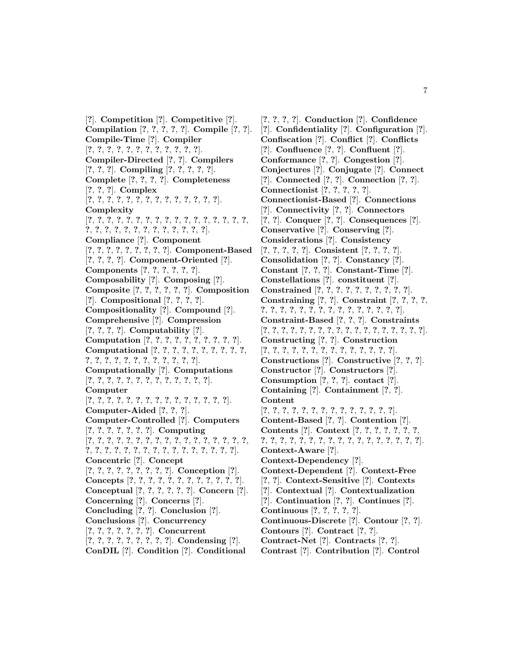[**?**]. **Competition** [**?**]. **Competitive** [**?**]. **Compilation** [**?**, **?**, **?**, **?**, **?**]. **Compile** [**?**, **?**]. **Compile-Time** [**?**]. **Compiler** [**?**, **?**, **?**, **?**, **?**, **?**, **?**, **?**, **?**, **?**, **?**, **?**]. **Compiler-Directed** [**?**, **?**]. **Compilers** [**?**, **?**, **?**]. **Compiling** [**?**, **?**, **?**, **?**, **?**]. **Complete** [**?**, **?**, **?**, **?**]. **Completeness** [**?**, **?**, **?**]. **Complex** [**?**, **?**, **?**, **?**, **?**, **?**, **?**, **?**, **?**, **?**, **?**, **?**, **?**, **?**]. **Complexity** [**?**, **?**, **?**, **?**, **?**, **?**, **?**, **?**, **?**, **?**, **?**, **?**, **?**, **?**, **?**, **?**, **?**, **?**, **?**, **?**, **?**, **?**, **?**, **?**, **?**, **?**, **?**, **?**, **?**, **?**]. **Compliance** [**?**]. **Component** [**?**, **?**, **?**, **?**, **?**, **?**, **?**, **?**, **?**]. **Component-Based** [**?**, **?**, **?**, **?**]. **Component-Oriented** [**?**]. **Components** [**?**, **?**, **?**, **?**, **?**, **?**]. **Composability** [**?**]. **Composing** [**?**]. **Composite** [**?**, **?**, **?**, **?**, **?**, **?**]. **Composition** [**?**]. **Compositional** [**?**, **?**, **?**, **?**]. **Compositionality** [**?**]. **Compound** [**?**]. **Comprehensive** [**?**]. **Compression** [**?**, **?**, **?**, **?**]. **Computability** [**?**]. **Computation** [**?**, **?**, **?**, **?**, **?**, **?**, **?**, **?**, **?**, **?**]. **Computational** [**?**, **?**, **?**, **?**, **?**, **?**, **?**, **?**, **?**, **?**, **?**, **?**, **?**, **?**, **?**, **?**, **?**, **?**, **?**, **?**, **?**, **?**]. **Computationally** [**?**]. **Computations** [**?**, **?**, **?**, **?**, **?**, **?**, **?**, **?**, **?**, **?**, **?**, **?**, **?**]. **Computer** [**?**, **?**, **?**, **?**, **?**, **?**, **?**, **?**, **?**, **?**, **?**, **?**, **?**, **?**, **?**]. **Computer-Aided** [**?**, **?**, **?**]. **Computer-Controlled** [**?**]. **Computers** [**?**, **?**, **?**, **?**, **?**, **?**, **?**]. **Computing** [**?**, **?**, **?**, **?**, **?**, **?**, **?**, **?**, **?**, **?**, **?**, **?**, **?**, **?**, **?**, **?**, **?**, **?**, **?**, **?**, **?**, **?**, **?**, **?**, **?**, **?**, **?**, **?**, **?**, **?**, **?**, **?**, **?**]. **Concentric** [**?**]. **Concept** [**?**, **?**, **?**, **?**, **?**, **?**, **?**, **?**, **?**]. **Conception** [**?**]. **Concepts** [**?**, **?**, **?**, **?**, **?**, **?**, **?**, **?**, **?**, **?**, **?**, **?**]. **Conceptual** [**?**, **?**, **?**, **?**, **?**, **?**]. **Concern** [**?**]. **Concerning** [**?**]. **Concerns** [**?**]. **Concluding** [**?**, **?**]. **Conclusion** [**?**]. **Conclusions** [**?**]. **Concurrency** [**?**, **?**, **?**, **?**, **?**, **?**, **?**]. **Concurrent** [**?**, **?**, **?**, **?**, **?**, **?**, **?**, **?**, **?**]. **Condensing** [**?**]. **ConDIL** [**?**]. **Condition** [**?**]. **Conditional**

[**?**, **?**, **?**, **?**]. **Conduction** [**?**]. **Confidence** [**?**]. **Confidentiality** [**?**]. **Configuration** [**?**]. **Confiscation** [**?**]. **Conflict** [**?**]. **Conflicts** [**?**]. **Confluence** [**?**, **?**]. **Confluent** [**?**]. **Conformance** [**?**, **?**]. **Congestion** [**?**]. **Conjectures** [**?**]. **Conjugate** [**?**]. **Connect** [**?**]. **Connected** [**?**, **?**]. **Connection** [**?**, **?**]. **Connectionist** [**?**, **?**, **?**, **?**, **?**]. **Connectionist-Based** [**?**]. **Connections** [**?**]. **Connectivity** [**?**, **?**]. **Connectors** [**?**, **?**]. **Conquer** [**?**, **?**]. **Consequences** [**?**]. **Conservative** [**?**]. **Conserving** [**?**]. **Considerations** [**?**]. **Consistency** [**?**, **?**, **?**, **?**, **?**]. **Consistent** [**?**, **?**, **?**, **?**]. **Consolidation** [**?**, **?**]. **Constancy** [**?**]. **Constant** [**?**, **?**, **?**]. **Constant-Time** [**?**]. **Constellations** [**?**]. **constituent** [**?**]. **Constrained** [**?**, **?**, **?**, **?**, **?**, **?**, **?**, **?**, **?**, **?**]. **Constraining** [**?**, **?**]. **Constraint** [**?**, **?**, **?**, **?**, **?**, **?**, **?**, **?**, **?**, **?**, **?**, **?**, **?**, **?**, **?**, **?**, **?**, **?**, **?**]. **Constraint-Based** [**?**, **?**, **?**]. **Constraints** [**?**, **?**, **?**, **?**, **?**, **?**, **?**, **?**, **?**, **?**, **?**, **?**, **?**, **?**, **?**, **?**, **?**, **?**]. **Constructing** [**?**, **?**]. **Construction** [**?**, **?**, **?**, **?**, **?**, **?**, **?**, **?**, **?**, **?**, **?**, **?**, **?**, **?**]. **Constructions** [**?**]. **Constructive** [**?**, **?**, **?**]. **Constructor** [**?**]. **Constructors** [**?**]. **Consumption** [**?**, **?**, **?**]. **contact** [**?**]. **Containing** [**?**]. **Containment** [**?**, **?**]. **Content** [**?**, **?**, **?**, **?**, **?**, **?**, **?**, **?**, **?**, **?**, **?**, **?**, **?**, **?**]. **Content-Based** [**?**, **?**]. **Contention** [**?**]. **Contents** [**?**]. **Context** [**?**, **?**, **?**, **?**, **?**, **?**, **?**, **?**, **?**, **?**, **?**, **?**, **?**, **?**, **?**, **?**, **?**, **?**, **?**, **?**, **?**, **?**, **?**, **?**]. **Context-Aware** [**?**]. **Context-Dependency** [**?**]. **Context-Dependent** [**?**]. **Context-Free** [**?**, **?**]. **Context-Sensitive** [**?**]. **Contexts** [**?**]. **Contextual** [**?**]. **Contextualization** [**?**]. **Continuation** [**?**, **?**]. **Continues** [**?**]. **Continuous** [**?**, **?**, **?**, **?**, **?**]. **Continuous-Discrete** [**?**]. **Contour** [**?**, **?**]. **Contours** [**?**]. **Contract** [**?**, **?**]. **Contract-Net** [**?**]. **Contracts** [**?**, **?**]. **Contrast** [**?**]. **Contribution** [**?**]. **Control**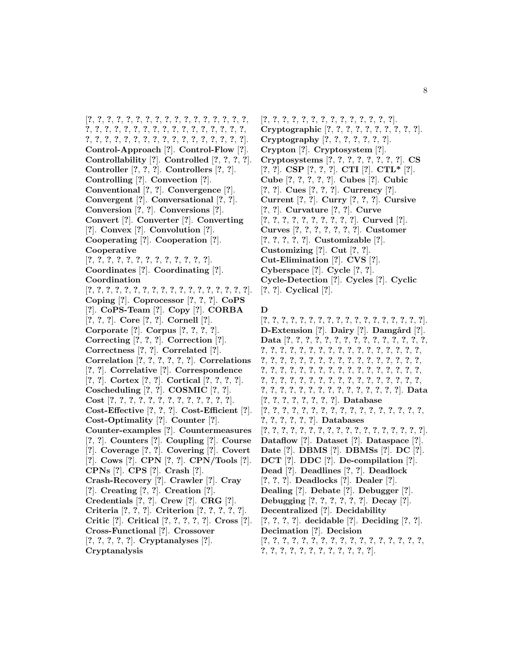[**?**, **?**, **?**, **?**, **?**, **?**, **?**, **?**, **?**, **?**, **?**, **?**, **?**, **?**, **?**, **?**, **?**, **?**, **?**, **?**, **?**, **?**, **?**, **?**, **?**, **?**, **?**, **?**, **?**, **?**, **?**, **?**, **?**, **?**, **?**, **?**, **?**, **?**, **?**, **?**, **?**, **?**, **?**, **?**, **?**, **?**, **?**, **?**, **?**, **?**, **?**]. **Control-Approach** [**?**]. **Control-Flow** [**?**]. **Controllability** [**?**]. **Controlled** [**?**, **?**, **?**, **?**]. **Controller** [**?**, **?**, **?**]. **Controllers** [**?**, **?**]. **Controlling** [**?**]. **Convection** [**?**]. **Conventional** [**?**, **?**]. **Convergence** [**?**]. **Convergent** [**?**]. **Conversational** [**?**, **?**]. **Conversion** [**?**, **?**]. **Conversions** [**?**]. **Convert** [**?**]. **Converter** [**?**]. **Converting** [**?**]. **Convex** [**?**]. **Convolution** [**?**]. **Cooperating** [**?**]. **Cooperation** [**?**]. **Cooperative** [**?**, **?**, **?**, **?**, **?**, **?**, **?**, **?**, **?**, **?**, **?**, **?**, **?**]. **Coordinates** [**?**]. **Coordinating** [**?**]. **Coordination** [**?**, **?**, **?**, **?**, **?**, **?**, **?**, **?**, **?**, **?**, **?**, **?**, **?**, **?**, **?**, **?**, **?**, **?**]. **Coping** [**?**]. **Coprocessor** [**?**, **?**, **?**]. **CoPS** [**?**]. **CoPS-Team** [**?**]. **Copy** [**?**]. **CORBA** [**?**, **?**, **?**]. **Core** [**?**, **?**]. **Cornell** [**?**]. **Corporate** [**?**]. **Corpus** [**?**, **?**, **?**, **?**]. **Correcting** [**?**, **?**, **?**]. **Correction** [**?**]. **Correctness** [**?**, **?**]. **Correlated** [**?**]. **Correlation** [**?**, **?**, **?**, **?**, **?**, **?**]. **Correlations** [**?**, **?**]. **Correlative** [**?**]. **Correspondence** [**?**, **?**]. **Cortex** [**?**, **?**]. **Cortical** [**?**, **?**, **?**, **?**]. **Coscheduling** [**?**, **?**]. **COSMIC** [**?**, **?**]. **Cost** [**?**, **?**, **?**, **?**, **?**, **?**, **?**, **?**, **?**, **?**, **?**, **?**, **?**]. **Cost-Effective** [**?**, **?**, **?**]. **Cost-Efficient** [**?**]. **Cost-Optimality** [**?**]. **Counter** [**?**]. **Counter-examples** [**?**]. **Countermeasures** [**?**, **?**]. **Counters** [**?**]. **Coupling** [**?**]. **Course** [**?**]. **Coverage** [**?**, **?**]. **Covering** [**?**]. **Covert** [**?**]. **Cows** [**?**]. **CPN** [**?**, **?**]. **CPN/Tools** [**?**]. **CPNs** [**?**]. **CPS** [**?**]. **Crash** [**?**]. **Crash-Recovery** [**?**]. **Crawler** [**?**]. **Cray** [**?**]. **Creating** [**?**, **?**]. **Creation** [**?**]. **Credentials** [**?**, **?**]. **Crew** [**?**]. **CRG** [**?**]. **Criteria** [**?**, **?**, **?**]. **Criterion** [**?**, **?**, **?**, **?**, **?**]. **Critic** [**?**]. **Critical** [**?**, **?**, **?**, **?**, **?**]. **Cross** [**?**]. **Cross-Functional** [**?**]. **Crossover** [**?**, **?**, **?**, **?**, **?**]. **Cryptanalyses** [**?**].

**Cryptanalysis**

[**?**, **?**, **?**, **?**, **?**, **?**, **?**, **?**, **?**, **?**, **?**, **?**, **?**, **?**]. **Cryptographic** [**?**, **?**, **?**, **?**, **?**, **?**, **?**, **?**, **?**, **?**]. **Cryptography** [**?**, **?**, **?**, **?**, **?**, **?**, **?**]. **Crypton** [**?**]. **Cryptosystem** [**?**]. **Cryptosystems** [**?**, **?**, **?**, **?**, **?**, **?**, **?**, **?**]. **CS** [**?**, **?**]. **CSP** [**?**, **?**, **?**]. **CTI** [**?**]. **CTL\*** [**?**]. **Cube** [**?**, **?**, **?**, **?**, **?**]. **Cubes** [**?**]. **Cubic** [**?**, **?**]. **Cues** [**?**, **?**, **?**]. **Currency** [**?**]. **Current** [**?**, **?**]. **Curry** [**?**, **?**, **?**]. **Cursive** [**?**, **?**]. **Curvature** [**?**, **?**]. **Curve** [**?**, **?**, **?**, **?**, **?**, **?**, **?**, **?**, **?**, **?**]. **Curved** [**?**]. **Curves** [**?**, **?**, **?**, **?**, **?**, **?**, **?**]. **Customer** [**?**, **?**, **?**, **?**, **?**]. **Customizable** [**?**]. **Customizing** [**?**]. **Cut** [**?**, **?**]. **Cut-Elimination** [**?**]. **CVS** [**?**]. **Cyberspace** [**?**]. **Cycle** [**?**, **?**]. **Cycle-Detection** [**?**]. **Cycles** [**?**]. **Cyclic** [**?**, **?**]. **Cyclical** [**?**].

## **D**

[**?**, **?**, **?**, **?**, **?**, **?**, **?**, **?**, **?**, **?**, **?**, **?**, **?**, **?**, **?**, **?**, **?**, **?**]. **D-Extension** [?]. **Dairy** [?]. **Damgård** [?]. **Data** [**?**, **?**, **?**, **?**, **?**, **?**, **?**, **?**, **?**, **?**, **?**, **?**, **?**, **?**, **?**, **?**, **?**, **?**, **?**, **?**, **?**, **?**, **?**, **?**, **?**, **?**, **?**, **?**, **?**, **?**, **?**, **?**, **?**, **?**, **?**, **?**, **?**, **?**, **?**, **?**, **?**, **?**, **?**, **?**, **?**, **?**, **?**, **?**, **?**, **?**, **?**, **?**, **?**, **?**, **?**, **?**, **?**, **?**, **?**, **?**, **?**, **?**, **?**, **?**, **?**, **?**, **?**, **?**, **?**, **?**, **?**, **?**, **?**, **?**, **?**, **?**, **?**, **?**, **?**, **?**, **?**, **?**, **?**, **?**, **?**, **?**, **?**, **?**, **?**, **?**, **?**, **?**, **?**, **?**, **?**, **?**, **?**, **?**]. **Data** [**?**, **?**, **?**, **?**, **?**, **?**, **?**, **?**]. **Database** [**?**, **?**, **?**, **?**, **?**, **?**, **?**, **?**, **?**, **?**, **?**, **?**, **?**, **?**, **?**, **?**, **?**, **?**, **?**, **?**, **?**, **?**, **?**]. **Databases** [**?**, **?**, **?**, **?**, **?**, **?**, **?**, **?**, **?**, **?**, **?**, **?**, **?**, **?**, **?**, **?**, **?**, **?**]. **Dataflow** [**?**]. **Dataset** [**?**]. **Dataspace** [**?**]. **Date** [**?**]. **DBMS** [**?**]. **DBMSs** [**?**]. **DC** [**?**]. **DCT** [**?**]. **DDC** [**?**]. **De-compilation** [**?**]. **Dead** [**?**]. **Deadlines** [**?**, **?**]. **Deadlock** [**?**, **?**, **?**]. **Deadlocks** [**?**]. **Dealer** [**?**]. **Dealing** [**?**]. **Debate** [**?**]. **Debugger** [**?**]. **Debugging** [**?**, **?**, **?**, **?**, **?**, **?**]. **Decay** [**?**]. **Decentralized** [**?**]. **Decidability** [**?**, **?**, **?**, **?**]. **decidable** [**?**]. **Deciding** [**?**, **?**]. **Decimation** [**?**]. **Decision** [**?**, **?**, **?**, **?**, **?**, **?**, **?**, **?**, **?**, **?**, **?**, **?**, **?**, **?**, **?**, **?**, **?**, **?**, **?**, **?**, **?**, **?**, **?**, **?**, **?**, **?**, **?**, **?**, **?**].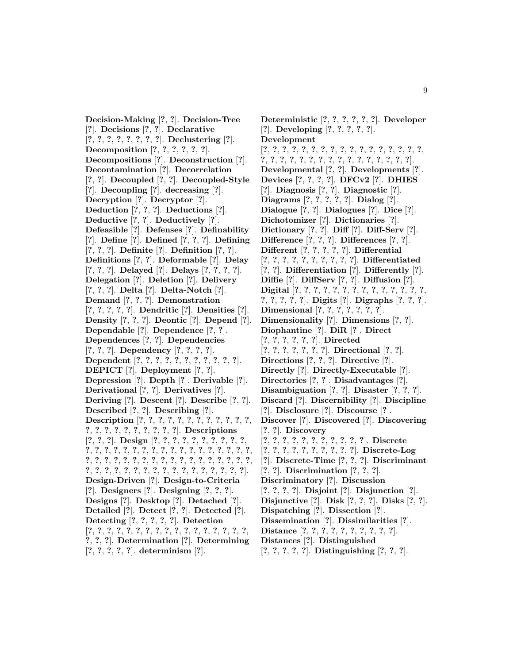**Decision-Making** [**?**, **?**]. **Decision-Tree** [**?**]. **Decisions** [**?**, **?**]. **Declarative** [**?**, **?**, **?**, **?**, **?**, **?**, **?**, **?**]. **Declustering** [**?**]. **Decomposition** [**?**, **?**, **?**, **?**, **?**, **?**]. **Decompositions** [**?**]. **Deconstruction** [**?**]. **Decontamination** [**?**]. **Decorrelation** [**?**, **?**]. **Decoupled** [**?**, **?**]. **Decoupled-Style** [**?**]. **Decoupling** [**?**]. **decreasing** [**?**]. **Decryption** [**?**]. **Decryptor** [**?**]. **Deduction** [**?**, **?**, **?**]. **Deductions** [**?**]. **Deductive** [**?**, **?**]. **Deductively** [**?**]. **Defeasible** [**?**]. **Defenses** [**?**]. **Definability** [**?**]. **Define** [**?**]. **Defined** [**?**, **?**, **?**]. **Defining** [**?**, **?**, **?**]. **Definite** [**?**]. **Definition** [**?**, **?**]. **Definitions** [**?**, **?**]. **Deformable** [**?**]. **Delay** [**?**, **?**, **?**]. **Delayed** [**?**]. **Delays** [**?**, **?**, **?**, **?**]. **Delegation** [**?**]. **Deletion** [**?**]. **Delivery** [**?**, **?**, **?**]. **Delta** [**?**]. **Delta-Notch** [**?**]. **Demand** [**?**, **?**, **?**]. **Demonstration** [**?**, **?**, **?**, **?**, **?**]. **Dendritic** [**?**]. **Densities** [**?**]. **Density** [**?**, **?**, **?**]. **Deontic** [**?**]. **Depend** [**?**]. **Dependable** [**?**]. **Dependence** [**?**, **?**]. **Dependences** [**?**, **?**]. **Dependencies** [**?**, **?**, **?**]. **Dependency** [**?**, **?**, **?**, **?**]. **Dependent** [**?**, **?**, **?**, **?**, **?**, **?**, **?**, **?**, **?**, **?**, **?**]. **DEPICT** [**?**]. **Deployment** [**?**, **?**]. **Depression** [**?**]. **Depth** [**?**]. **Derivable** [**?**]. **Derivational** [**?**, **?**]. **Derivatives** [**?**]. **Deriving** [**?**]. **Descent** [**?**]. **Describe** [**?**, **?**]. **Described** [**?**, **?**]. **Describing** [**?**]. **Description** [**?**, **?**, **?**, **?**, **?**, **?**, **?**, **?**, **?**, **?**, **?**, **?**, **?**, **?**, **?**, **?**, **?**, **?**, **?**, **?**, **?**, **?**]. **Descriptions** [**?**, **?**, **?**]. **Design** [**?**, **?**, **?**, **?**, **?**, **?**, **?**, **?**, **?**, **?**, **?**, **?**, **?**, **?**, **?**, **?**, **?**, **?**, **?**, **?**, **?**, **?**, **?**, **?**, **?**, **?**, **?**, **?**, **?**, **?**, **?**, **?**, **?**, **?**, **?**, **?**, **?**, **?**, **?**, **?**, **?**, **?**, **?**, **?**, **?**, **?**, **?**, **?**, **?**, **?**, **?**, **?**, **?**, **?**, **?**, **?**, **?**, **?**, **?**, **?**, **?**, **?**, **?**]. **Design-Driven** [**?**]. **Design-to-Criteria** [**?**]. **Designers** [**?**]. **Designing** [**?**, **?**, **?**]. **Designs** [**?**]. **Desktop** [**?**]. **Detached** [**?**]. **Detailed** [**?**]. **Detect** [**?**, **?**]. **Detected** [**?**]. **Detecting** [**?**, **?**, **?**, **?**, **?**]. **Detection** [**?**, **?**, **?**, **?**, **?**, **?**, **?**, **?**, **?**, **?**, **?**, **?**, **?**, **?**, **?**, **?**, **?**, **?**, **?**, **?**]. **Determination** [**?**]. **Determining** [**?**, **?**, **?**, **?**, **?**]. **determinism** [**?**].

**Deterministic** [**?**, **?**, **?**, **?**, **?**, **?**]. **Developer** [**?**]. **Developing** [**?**, **?**, **?**, **?**, **?**]. **Development** [**?**, **?**, **?**, **?**, **?**, **?**, **?**, **?**, **?**, **?**, **?**, **?**, **?**, **?**, **?**, **?**, **?**, **?**, **?**, **?**, **?**, **?**, **?**, **?**, **?**, **?**, **?**, **?**, **?**, **?**, **?**, **?**, **?**]. **Developmental** [**?**, **?**]. **Developments** [**?**]. **Devices** [**?**, **?**, **?**, **?**]. **DFCv2** [**?**]. **DHIES** [**?**]. **Diagnosis** [**?**, **?**]. **Diagnostic** [**?**]. **Diagrams** [**?**, **?**, **?**, **?**, **?**]. **Dialog** [**?**]. **Dialogue** [**?**, **?**]. **Dialogues** [**?**]. **Dice** [**?**]. **Dichotomizer** [**?**]. **Dictionaries** [**?**]. **Dictionary** [**?**, **?**]. **Diff** [**?**]. **Diff-Serv** [**?**]. **Difference** [**?**, **?**, **?**]. **Differences** [**?**, **?**]. **Different** [**?**, **?**, **?**, **?**, **?**]. **Differential** [**?**, **?**, **?**, **?**, **?**, **?**, **?**, **?**, **?**, **?**]. **Differentiated** [**?**, **?**]. **Differentiation** [**?**]. **Differently** [**?**]. **Diffie** [**?**]. **DiffServ** [**?**, **?**]. **Diffusion** [**?**]. **Digital** [**?**, **?**, **?**, **?**, **?**, **?**, **?**, **?**, **?**, **?**, **?**, **?**, **?**, **?**, **?**, **?**, **?**, **?**, **?**]. **Digits** [**?**]. **Digraphs** [**?**, **?**, **?**]. **Dimensional** [**?**, **?**, **?**, **?**, **?**, **?**, **?**]. **Dimensionality** [**?**]. **Dimensions** [**?**, **?**]. **Diophantine** [**?**]. **DiR** [**?**]. **Direct** [**?**, **?**, **?**, **?**, **?**, **?**]. **Directed** [**?**, **?**, **?**, **?**, **?**, **?**, **?**]. **Directional** [**?**, **?**]. **Directions** [**?**, **?**, **?**]. **Directive** [**?**]. **Directly** [**?**]. **Directly-Executable** [**?**]. **Directories** [**?**, **?**]. **Disadvantages** [**?**]. **Disambiguation** [**?**, **?**]. **Disaster** [**?**, **?**, **?**]. **Discard** [**?**]. **Discernibility** [**?**]. **Discipline** [**?**]. **Disclosure** [**?**]. **Discourse** [**?**]. **Discover** [**?**]. **Discovered** [**?**]. **Discovering** [**?**, **?**]. **Discovery** [**?**, **?**, **?**, **?**, **?**, **?**, **?**, **?**, **?**, **?**, **?**]. **Discrete** [**?**, **?**, **?**, **?**, **?**, **?**, **?**, **?**, **?**, **?**]. **Discrete-Log** [**?**]. **Discrete-Time** [**?**, **?**, **?**]. **Discriminant** [**?**, **?**]. **Discrimination** [**?**, **?**, **?**]. **Discriminatory** [**?**]. **Discussion** [**?**, **?**, **?**, **?**]. **Disjoint** [**?**]. **Disjunction** [**?**]. **Disjunctive** [**?**]. **Disk** [**?**, **?**, **?**]. **Disks** [**?**, **?**]. **Dispatching** [**?**]. **Dissection** [**?**]. **Dissemination** [**?**]. **Dissimilarities** [**?**]. **Distance** [**?**, **?**, **?**, **?**, **?**, **?**, **?**, **?**, **?**, **?**].

- **Distances** [**?**]. **Distinguished**
- [**?**, **?**, **?**, **?**, **?**]. **Distinguishing** [**?**, **?**, **?**].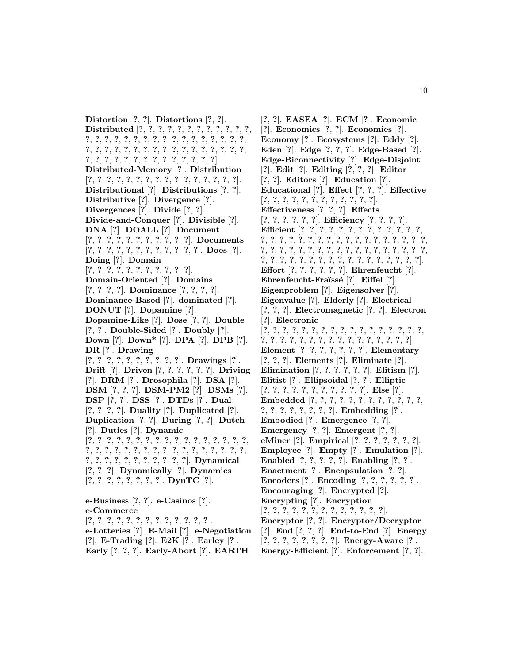**Distortion** [**?**, **?**]. **Distortions** [**?**, **?**]. **Distributed** [**?**, **?**, **?**, **?**, **?**, **?**, **?**, **?**, **?**, **?**, **?**, **?**, **?**, **?**, **?**, **?**, **?**, **?**, **?**, **?**, **?**, **?**, **?**, **?**, **?**, **?**, **?**, **?**, **?**, **?**, **?**, **?**, **?**, **?**, **?**, **?**, **?**, **?**, **?**, **?**, **?**, **?**, **?**, **?**, **?**, **?**, **?**, **?**, **?**, **?**, **?**, **?**, **?**, **?**, **?**, **?**, **?**, **?**, **?**, **?**]. **Distributed-Memory** [**?**]. **Distribution** [**?**, **?**, **?**, **?**, **?**, **?**, **?**, **?**, **?**, **?**, **?**, **?**, **?**, **?**, **?**, **?**]. **Distributional** [**?**]. **Distributions** [**?**, **?**]. **Distributive** [**?**]. **Divergence** [**?**]. **Divergences** [**?**]. **Divide** [**?**, **?**]. **Divide-and-Conquer** [**?**]. **Divisible** [**?**]. **DNA** [**?**]. **DOALL** [**?**]. **Document** [**?**, **?**, **?**, **?**, **?**, **?**, **?**, **?**, **?**, **?**, **?**]. **Documents** [**?**, **?**, **?**, **?**, **?**, **?**, **?**, **?**, **?**, **?**, **?**, **?**]. **Does** [**?**]. **Doing** [**?**]. **Domain** [**?**, **?**, **?**, **?**, **?**, **?**, **?**, **?**, **?**, **?**, **?**]. **Domain-Oriented** [**?**]. **Domains** [**?**, **?**, **?**, **?**]. **Dominance** [**?**, **?**, **?**, **?**]. **Dominance-Based** [**?**]. **dominated** [**?**]. **DONUT** [**?**]. **Dopamine** [**?**]. **Dopamine-Like** [**?**]. **Dose** [**?**, **?**]. **Double** [**?**, **?**]. **Double-Sided** [**?**]. **Doubly** [**?**]. **Down** [**?**]. **Down\*** [**?**]. **DPA** [**?**]. **DPB** [**?**]. **DR** [**?**]. **Drawing** [**?**, **?**, **?**, **?**, **?**, **?**, **?**, **?**, **?**, **?**]. **Drawings** [**?**]. **Drift** [**?**]. **Driven** [**?**, **?**, **?**, **?**, **?**, **?**]. **Driving** [**?**]. **DRM** [**?**]. **Drosophila** [**?**]. **DSA** [**?**]. **DSM** [**?**, **?**, **?**]. **DSM-PM2** [**?**]. **DSMs** [**?**]. **DSP** [**?**, **?**]. **DSS** [**?**]. **DTDs** [**?**]. **Dual** [**?**, **?**, **?**, **?**]. **Duality** [**?**]. **Duplicated** [**?**]. **Duplication** [**?**, **?**]. **During** [**?**, **?**]. **Dutch** [**?**]. **Duties** [**?**]. **Dynamic** [**?**, **?**, **?**, **?**, **?**, **?**, **?**, **?**, **?**, **?**, **?**, **?**, **?**, **?**, **?**, **?**, **?**, **?**, **?**, **?**, **?**, **?**, **?**, **?**, **?**, **?**, **?**, **?**, **?**, **?**, **?**, **?**, **?**, **?**, **?**, **?**, **?**, **?**, **?**, **?**, **?**, **?**, **?**, **?**, **?**]. **Dynamical** [**?**, **?**, **?**]. **Dynamically** [**?**]. **Dynamics** [**?**, **?**, **?**, **?**, **?**, **?**, **?**, **?**]. **DynTC** [**?**]. **e-Business** [**?**, **?**]. **e-Casinos** [**?**]. **e-Commerce**

[**?**, **?**, **?**, **?**, **?**, **?**, **?**, **?**, **?**, **?**, **?**, **?**, **?**]. **e-Lotteries** [**?**]. **E-Mail** [**?**]. **e-Negotiation** [**?**]. **E-Trading** [**?**]. **E2K** [**?**]. **Earley** [**?**].

**Early** [**?**, **?**, **?**]. **Early-Abort** [**?**]. **EARTH**

[**?**, **?**]. **EASEA** [**?**]. **ECM** [**?**]. **Economic** [**?**]. **Economics** [**?**, **?**]. **Economies** [**?**]. **Economy** [**?**]. **Ecosystems** [**?**]. **Eddy** [**?**]. **Eden** [**?**]. **Edge** [**?**, **?**, **?**]. **Edge-Based** [**?**]. **Edge-Biconnectivity** [**?**]. **Edge-Disjoint** [**?**]. **Edit** [**?**]. **Editing** [**?**, **?**, **?**]. **Editor** [**?**, **?**]. **Editors** [**?**]. **Education** [**?**]. **Educational** [**?**]. **Effect** [**?**, **?**, **?**]. **Effective** [**?**, **?**, **?**, **?**, **?**, **?**, **?**, **?**, **?**, **?**, **?**, **?**]. **Effectiveness** [**?**, **?**, **?**]. **Effects** [**?**, **?**, **?**, **?**, **?**, **?**]. **Efficiency** [**?**, **?**, **?**, **?**]. **Efficient** [**?**, **?**, **?**, **?**, **?**, **?**, **?**, **?**, **?**, **?**, **?**, **?**, **?**, **?**, **?**, **?**, **?**, **?**, **?**, **?**, **?**, **?**, **?**, **?**, **?**, **?**, **?**, **?**, **?**, **?**, **?**, **?**, **?**, **?**, **?**, **?**, **?**, **?**, **?**, **?**, **?**, **?**, **?**, **?**, **?**, **?**, **?**, **?**, **?**, **?**, **?**, **?**, **?**, **?**, **?**, **?**, **?**, **?**, **?**, **?**, **?**, **?**, **?**, **?**, **?**, **?**]. **Effort** [**?**, **?**, **?**, **?**, **?**, **?**]. **Ehrenfeucht** [**?**]. **Ehrenfeucht-Fra¨ıss´e** [**?**]. **Eiffel** [**?**]. **Eigenproblem** [**?**]. **Eigensolver** [**?**]. **Eigenvalue** [**?**]. **Elderly** [**?**]. **Electrical** [**?**, **?**, **?**]. **Electromagnetic** [**?**, **?**]. **Electron** [**?**]. **Electronic** [**?**, **?**, **?**, **?**, **?**, **?**, **?**, **?**, **?**, **?**, **?**, **?**, **?**, **?**, **?**, **?**, **?**, **?**, **?**, **?**, **?**, **?**, **?**, **?**, **?**, **?**, **?**, **?**, **?**, **?**, **?**, **?**, **?**]. **Element** [**?**, **?**, **?**, **?**, **?**, **?**, **?**]. **Elementary** [**?**, **?**, **?**]. **Elements** [**?**]. **Eliminate** [**?**]. **Elimination** [**?**, **?**, **?**, **?**, **?**, **?**]. **Elitism** [**?**]. **Elitist** [**?**]. **Ellipsoidal** [**?**, **?**]. **Elliptic** [**?**, **?**, **?**, **?**, **?**, **?**, **?**, **?**, **?**, **?**, **?**]. **Else** [**?**]. **Embedded** [**?**, **?**, **?**, **?**, **?**, **?**, **?**, **?**, **?**, **?**, **?**, **?**, **?**, **?**, **?**, **?**, **?**, **?**, **?**, **?**]. **Embedding** [**?**]. **Embodied** [**?**]. **Emergence** [**?**, **?**]. **Emergency** [**?**, **?**]. **Emergent** [**?**, **?**]. **eMiner** [**?**]. **Empirical** [**?**, **?**, **?**, **?**, **?**, **?**, **?**]. **Employee** [**?**]. **Empty** [**?**]. **Emulation** [**?**]. **Enabled** [**?**, **?**, **?**, **?**, **?**]. **Enabling** [**?**, **?**]. **Enactment** [**?**]. **Encapsulation** [**?**, **?**]. **Encoders** [**?**]. **Encoding** [**?**, **?**, **?**, **?**, **?**, **?**]. **Encouraging** [**?**]. **Encrypted** [**?**]. **Encrypting** [**?**]. **Encryption** [**?**, **?**, **?**, **?**, **?**, **?**, **?**, **?**, **?**, **?**, **?**, **?**, **?**]. **Encryptor** [**?**, **?**]. **Encryptor/Decryptor** [**?**]. **End** [**?**, **?**, **?**]. **End-to-End** [**?**]. **Energy** [**?**, **?**, **?**, **?**, **?**, **?**, **?**, **?**]. **Energy-Aware** [**?**]. **Energy-Efficient** [**?**]. **Enforcement** [**?**, **?**].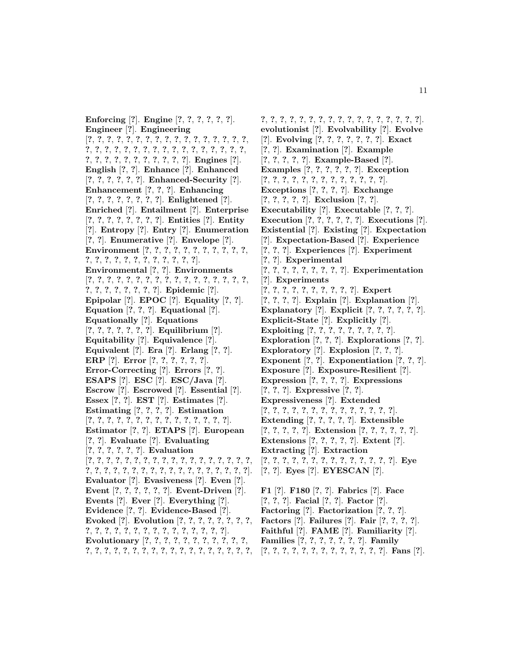**Enforcing** [**?**]. **Engine** [**?**, **?**, **?**, **?**, **?**, **?**]. **Engineer** [**?**]. **Engineering** [**?**, **?**, **?**, **?**, **?**, **?**, **?**, **?**, **?**, **?**, **?**, **?**, **?**, **?**, **?**, **?**, **?**, **?**, **?**, **?**, **?**, **?**, **?**, **?**, **?**, **?**, **?**, **?**, **?**, **?**, **?**, **?**, **?**, **?**, **?**, **?**, **?**, **?**, **?**, **?**, **?**, **?**, **?**, **?**, **?**]. **Engines** [**?**]. **English** [**?**, **?**]. **Enhance** [**?**]. **Enhanced** [**?**, **?**, **?**, **?**, **?**, **?**]. **Enhanced-Security** [**?**]. **Enhancement** [**?**, **?**, **?**]. **Enhancing** [**?**, **?**, **?**, **?**, **?**, **?**, **?**, **?**]. **Enlightened** [**?**]. **Enriched** [**?**]. **Entailment** [**?**]. **Enterprise** [**?**, **?**, **?**, **?**, **?**, **?**, **?**, **?**]. **Entities** [**?**]. **Entity** [**?**]. **Entropy** [**?**]. **Entry** [**?**]. **Enumeration** [**?**, **?**]. **Enumerative** [**?**]. **Envelope** [**?**]. **Environment** [**?**, **?**, **?**, **?**, **?**, **?**, **?**, **?**, **?**, **?**, **?**, **?**, **?**, **?**, **?**, **?**, **?**, **?**, **?**, **?**, **?**, **?**, **?**]. **Environmental** [**?**, **?**]. **Environments** [**?**, **?**, **?**, **?**, **?**, **?**, **?**, **?**, **?**, **?**, **?**, **?**, **?**, **?**, **?**, **?**, **?**, **?**, **?**, **?**, **?**, **?**, **?**, **?**, **?**]. **Epidemic** [**?**]. **Epipolar** [**?**]. **EPOC** [**?**]. **Equality** [**?**, **?**]. **Equation** [**?**, **?**, **?**]. **Equational** [**?**]. **Equationally** [**?**]. **Equations** [**?**, **?**, **?**, **?**, **?**, **?**, **?**]. **Equilibrium** [**?**]. **Equitability** [**?**]. **Equivalence** [**?**]. **Equivalent** [**?**]. **Era** [**?**]. **Erlang** [**?**, **?**]. **ERP** [**?**]. **Error** [**?**, **?**, **?**, **?**, **?**, **?**]. **Error-Correcting** [**?**]. **Errors** [**?**, **?**]. **ESAPS** [**?**]. **ESC** [**?**]. **ESC/Java** [**?**]. **Escrow** [**?**]. **Escrowed** [**?**]. **Essential** [**?**]. **Essex** [**?**, **?**]. **EST** [**?**]. **Estimates** [**?**]. **Estimating** [**?**, **?**, **?**, **?**]. **Estimation** [**?**, **?**, **?**, **?**, **?**, **?**, **?**, **?**, **?**, **?**, **?**, **?**, **?**, **?**, **?**]. **Estimator** [**?**, **?**]. **ETAPS** [**?**]. **European** [**?**, **?**]. **Evaluate** [**?**]. **Evaluating** [**?**, **?**, **?**, **?**, **?**, **?**]. **Evaluation** [**?**, **?**, **?**, **?**, **?**, **?**, **?**, **?**, **?**, **?**, **?**, **?**, **?**, **?**, **?**, **?**, **?**, **?**, **?**, **?**, **?**, **?**, **?**, **?**, **?**, **?**, **?**, **?**, **?**, **?**, **?**, **?**, **?**, **?**, **?**, **?**]. **Evaluator** [**?**]. **Evasiveness** [**?**]. **Even** [**?**]. **Event** [**?**, **?**, **?**, **?**, **?**, **?**]. **Event-Driven** [**?**]. **Events** [**?**]. **Ever** [**?**]. **Everything** [**?**]. **Evidence** [**?**, **?**]. **Evidence-Based** [**?**]. **Evoked** [**?**]. **Evolution** [**?**, **?**, **?**, **?**, **?**, **?**, **?**, **?**, **?**, **?**, **?**, **?**, **?**, **?**, **?**, **?**, **?**, **?**, **?**, **?**, **?**, **?**, **?**]. **Evolutionary** [**?**, **?**, **?**, **?**, **?**, **?**, **?**, **?**, **?**, **?**, **?**, **?**, **?**, **?**, **?**, **?**, **?**, **?**, **?**, **?**, **?**, **?**, **?**, **?**, **?**, **?**, **?**, **?**, **?**,

**?**, **?**, **?**, **?**, **?**, **?**, **?**, **?**, **?**, **?**, **?**, **?**, **?**, **?**, **?**, **?**, **?**]. **evolutionist** [**?**]. **Evolvability** [**?**]. **Evolve** [**?**]. **Evolving** [**?**, **?**, **?**, **?**, **?**, **?**, **?**]. **Exact** [**?**, **?**]. **Examination** [**?**]. **Example** [**?**, **?**, **?**, **?**, **?**]. **Example-Based** [**?**]. **Examples** [**?**, **?**, **?**, **?**, **?**, **?**]. **Exception** [**?**, **?**, **?**, **?**, **?**, **?**, **?**, **?**, **?**, **?**, **?**, **?**, **?**]. **Exceptions** [**?**, **?**, **?**, **?**]. **Exchange** [**?**, **?**, **?**, **?**, **?**]. **Exclusion** [**?**, **?**]. **Executability** [**?**]. **Executable** [**?**, **?**, **?**]. **Execution** [**?**, **?**, **?**, **?**, **?**, **?**]. **Executions** [**?**]. **Existential** [**?**]. **Existing** [**?**]. **Expectation** [**?**]. **Expectation-Based** [**?**]. **Experience** [**?**, **?**, **?**]. **Experiences** [**?**]. **Experiment** [**?**, **?**]. **Experimental** [**?**, **?**, **?**, **?**, **?**, **?**, **?**, **?**, **?**]. **Experimentation** [**?**]. **Experiments** [**?**, **?**, **?**, **?**, **?**, **?**, **?**, **?**, **?**, **?**]. **Expert** [**?**, **?**, **?**, **?**]. **Explain** [**?**]. **Explanation** [**?**]. **Explanatory** [**?**]. **Explicit** [**?**, **?**, **?**, **?**, **?**, **?**]. **Explicit-State** [**?**]. **Explicitly** [**?**]. **Exploiting** [**?**, **?**, **?**, **?**, **?**, **?**, **?**, **?**, **?**]. **Exploration** [**?**, **?**, **?**]. **Explorations** [**?**, **?**]. **Exploratory** [**?**]. **Explosion** [**?**, **?**, **?**]. **Exponent** [**?**, **?**]. **Exponentiation** [**?**, **?**, **?**]. **Exposure** [**?**]. **Exposure-Resilient** [**?**]. **Expression** [**?**, **?**, **?**, **?**]. **Expressions** [**?**, **?**, **?**]. **Expressive** [**?**, **?**]. **Expressiveness** [**?**]. **Extended** [**?**, **?**, **?**, **?**, **?**, **?**, **?**, **?**, **?**, **?**, **?**, **?**, **?**, **?**]. **Extending** [**?**, **?**, **?**, **?**, **?**]. **Extensible** [**?**, **?**, **?**, **?**, **?**]. **Extension** [**?**, **?**, **?**, **?**, **?**, **?**]. **Extensions** [**?**, **?**, **?**, **?**, **?**]. **Extent** [**?**]. **Extracting** [**?**]. **Extraction** [**?**, **?**, **?**, **?**, **?**, **?**, **?**, **?**, **?**, **?**, **?**, **?**, **?**, **?**]. **Eye** [**?**, **?**]. **Eyes** [**?**]. **EYESCAN** [**?**]. **F1** [**?**]. **F180** [**?**, **?**]. **Fabrics** [**?**]. **Face** [**?**, **?**, **?**]. **Facial** [**?**, **?**]. **Factor** [**?**]. **Factoring** [**?**]. **Factorization** [**?**, **?**, **?**]. **Factors** [**?**]. **Failures** [**?**]. **Fair** [**?**, **?**, **?**, **?**]. **Faithful** [**?**]. **FAME** [**?**]. **Familiarity** [**?**].

- **Families** [**?**, **?**, **?**, **?**, **?**, **?**, **?**]. **Family**
- [**?**, **?**, **?**, **?**, **?**, **?**, **?**, **?**, **?**, **?**, **?**, **?**, **?**]. **Fans** [**?**].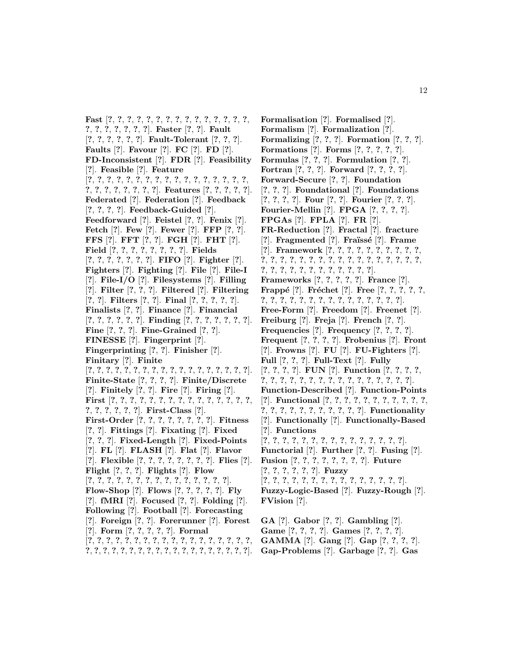**Fast** [**?**, **?**, **?**, **?**, **?**, **?**, **?**, **?**, **?**, **?**, **?**, **?**, **?**, **?**, **?**, **?**, **?**, **?**, **?**, **?**, **?**, **?**]. **Faster** [**?**, **?**]. **Fault** [**?**, **?**, **?**, **?**, **?**, **?**]. **Fault-Tolerant** [**?**, **?**, **?**]. **Faults** [**?**]. **Favour** [**?**]. **FC** [**?**]. **FD** [**?**]. **FD-Inconsistent** [**?**]. **FDR** [**?**]. **Feasibility** [**?**]. **Feasible** [**?**]. **Feature** [**?**, **?**, **?**, **?**, **?**, **?**, **?**, **?**, **?**, **?**, **?**, **?**, **?**, **?**, **?**, **?**, **?**, **?**, **?**, **?**, **?**, **?**, **?**, **?**, **?**]. **Features** [**?**, **?**, **?**, **?**, **?**]. **Federated** [**?**]. **Federation** [**?**]. **Feedback** [**?**, **?**, **?**, **?**]. **Feedback-Guided** [**?**]. **Feedforward** [**?**]. **Feistel** [**?**, **?**]. **Fenix** [**?**]. **Fetch** [**?**]. **Few** [**?**]. **Fewer** [**?**]. **FFP** [**?**, **?**]. **FFS** [**?**]. **FFT** [**?**, **?**]. **FGH** [**?**]. **FHT** [**?**]. **Field** [**?**, **?**, **?**, **?**, **?**, **?**, **?**, **?**]. **Fields** [**?**, **?**, **?**, **?**, **?**, **?**, **?**]. **FIFO** [**?**]. **Fighter** [**?**]. **Fighters** [**?**]. **Fighting** [**?**]. **File** [**?**]. **File-I** [**?**]. **File-I/O** [**?**]. **Filesystems** [**?**]. **Filling** [**?**]. **Filter** [**?**, **?**, **?**]. **Filtered** [**?**]. **Filtering** [**?**, **?**]. **Filters** [**?**, **?**]. **Final** [**?**, **?**, **?**, **?**, **?**]. **Finalists** [**?**, **?**]. **Finance** [**?**]. **Financial** [**?**, **?**, **?**, **?**, **?**, **?**]. **Finding** [**?**, **?**, **?**, **?**, **?**, **?**, **?**]. **Fine** [**?**, **?**, **?**]. **Fine-Grained** [**?**, **?**]. **FINESSE** [**?**]. **Fingerprint** [**?**]. **Fingerprinting** [**?**, **?**]. **Finisher** [**?**]. **Finitary** [**?**]. **Finite** [**?**, **?**, **?**, **?**, **?**, **?**, **?**, **?**, **?**, **?**, **?**, **?**, **?**, **?**, **?**, **?**, **?**, **?**]. **Finite-State** [**?**, **?**, **?**, **?**]. **Finite/Discrete** [**?**]. **Finitely** [**?**, **?**]. **Fire** [**?**]. **Firing** [**?**]. **First** [**?**, **?**, **?**, **?**, **?**, **?**, **?**, **?**, **?**, **?**, **?**, **?**, **?**, **?**, **?**, **?**, **?**, **?**, **?**, **?**, **?**]. **First-Class** [**?**]. **First-Order** [**?**, **?**, **?**, **?**, **?**, **?**, **?**, **?**]. **Fitness** [**?**, **?**]. **Fittings** [**?**]. **Fixating** [**?**]. **Fixed** [**?**, **?**, **?**]. **Fixed-Length** [**?**]. **Fixed-Points** [**?**]. **FL** [**?**]. **FLASH** [**?**]. **Flat** [**?**]. **Flavor** [**?**]. **Flexible** [**?**, **?**, **?**, **?**, **?**, **?**, **?**, **?**]. **Flies** [**?**]. **Flight** [**?**, **?**, **?**]. **Flights** [**?**]. **Flow** [**?**, **?**, **?**, **?**, **?**, **?**, **?**, **?**, **?**, **?**, **?**, **?**, **?**, **?**, **?**]. **Flow-Shop** [**?**]. **Flows** [**?**, **?**, **?**, **?**, **?**]. **Fly** [**?**]. **fMRI** [**?**]. **Focused** [**?**, **?**]. **Folding** [**?**]. **Following** [**?**]. **Football** [**?**]. **Forecasting** [**?**]. **Foreign** [**?**, **?**]. **Forerunner** [**?**]. **Forest** [**?**]. **Form** [**?**, **?**, **?**, **?**, **?**]. **Formal**

[**?**, **?**, **?**, **?**, **?**, **?**, **?**, **?**, **?**, **?**, **?**, **?**, **?**, **?**, **?**, **?**, **?**, **?**, **?**, **?**, **?**, **?**, **?**, **?**, **?**, **?**, **?**, **?**, **?**, **?**, **?**, **?**, **?**, **?**, **?**, **?**, **?**].

**Formalisation** [**?**]. **Formalised** [**?**]. **Formalism** [**?**]. **Formalization** [**?**]. **Formalizing** [**?**, **?**, **?**]. **Formation** [**?**, **?**, **?**]. **Formations** [**?**]. **Forms** [**?**, **?**, **?**, **?**, **?**]. **Formulas** [**?**, **?**, **?**]. **Formulation** [**?**, **?**]. **Fortran** [**?**, **?**, **?**]. **Forward** [**?**, **?**, **?**, **?**]. **Forward-Secure** [**?**, **?**]. **Foundation** [**?**, **?**, **?**]. **Foundational** [**?**]. **Foundations** [**?**, **?**, **?**, **?**]. **Four** [**?**, **?**]. **Fourier** [**?**, **?**, **?**]. **Fourier-Mellin** [**?**]. **FPGA** [**?**, **?**, **?**, **?**]. **FPGAs** [**?**]. **FPLA** [**?**]. **FR** [**?**]. **FR-Reduction** [**?**]. **Fractal** [**?**]. **fracture** [**?**]. **Fragmented** [**?**]. **Fra¨ıss´e** [**?**]. **Frame** [**?**]. **Framework** [**?**, **?**, **?**, **?**, **?**, **?**, **?**, **?**, **?**, **?**, **?**, **?**, **?**, **?**, **?**, **?**, **?**, **?**, **?**, **?**, **?**, **?**, **?**, **?**, **?**, **?**, **?**, **?**, **?**, **?**, **?**, **?**, **?**, **?**, **?**, **?**, **?**, **?**, **?**]. **Frameworks** [**?**, **?**, **?**, **?**, **?**]. **France** [**?**]. **Frappé** [?]. **Fréchet** [?]. **Free** [?, ?, ?, ?, ?, **?**, **?**, **?**, **?**, **?**, **?**, **?**, **?**, **?**, **?**, **?**, **?**, **?**, **?**, **?**]. **Free-Form** [**?**]. **Freedom** [**?**]. **Freenet** [**?**]. **Freiburg** [**?**]. **Freja** [**?**]. **French** [**?**, **?**]. **Frequencies** [**?**]. **Frequency** [**?**, **?**, **?**, **?**]. **Frequent** [**?**, **?**, **?**, **?**]. **Frobenius** [**?**]. **Front** [**?**]. **Frowns** [**?**]. **FU** [**?**]. **FU-Fighters** [**?**]. **Full** [**?**, **?**, **?**]. **Full-Text** [**?**]. **Fully** [**?**, **?**, **?**, **?**]. **FUN** [**?**]. **Function** [**?**, **?**, **?**, **?**, **?**, **?**, **?**, **?**, **?**, **?**, **?**, **?**, **?**, **?**, **?**, **?**, **?**, **?**, **?**, **?**]. **Function-Described** [**?**]. **Function-Points** [**?**]. **Functional** [**?**, **?**, **?**, **?**, **?**, **?**, **?**, **?**, **?**, **?**, **?**, **?**, **?**, **?**, **?**, **?**, **?**, **?**, **?**, **?**, **?**, **?**]. **Functionality** [**?**]. **Functionally** [**?**]. **Functionally-Based** [**?**]. **Functions** [**?**, **?**, **?**, **?**, **?**, **?**, **?**, **?**, **?**, **?**, **?**, **?**, **?**, **?**, **?**]. **Functorial** [**?**]. **Further** [**?**, **?**]. **Fusing** [**?**]. **Fusion** [**?**, **?**, **?**, **?**, **?**, **?**, **?**, **?**]. **Future** [**?**, **?**, **?**, **?**, **?**, **?**]. **Fuzzy** [**?**, **?**, **?**, **?**, **?**, **?**, **?**, **?**, **?**, **?**, **?**, **?**, **?**, **?**, **?**]. **Fuzzy-Logic-Based** [**?**]. **Fuzzy-Rough** [**?**]. **FVision** [**?**].

**GA** [**?**]. **Gabor** [**?**, **?**]. **Gambling** [**?**]. **Game** [**?**, **?**, **?**, **?**]. **Games** [**?**, **?**, **?**, **?**]. **GAMMA** [**?**]. **Gang** [**?**]. **Gap** [**?**, **?**, **?**, **?**].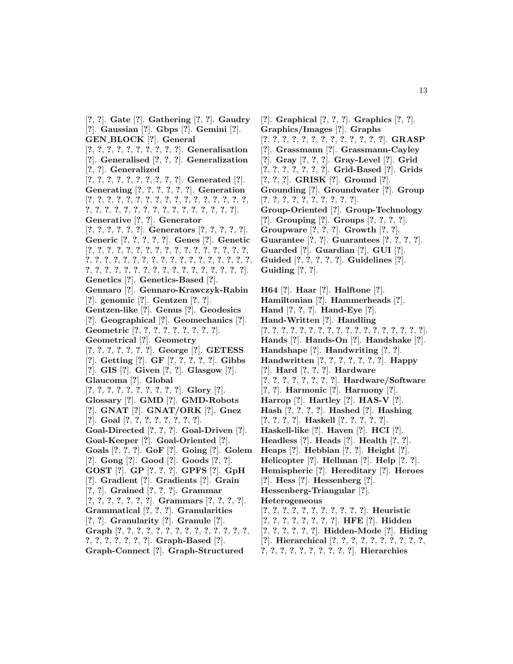[**?**, **?**]. **Gate** [**?**]. **Gathering** [**?**, **?**]. **Gaudry** [**?**]. **Gaussian** [**?**]. **Gbps** [**?**]. **Gemini** [**?**]. **GEN BLOCK** [**?**]. **General** [**?**, **?**, **?**, **?**, **?**, **?**, **?**, **?**, **?**, **?**]. **Generalisation** [**?**]. **Generalised** [**?**, **?**, **?**]. **Generalization** [**?**, **?**]. **Generalized** [**?**, **?**, **?**, **?**, **?**, **?**, **?**, **?**, **?**, **?**]. **Generated** [**?**]. **Generating** [**?**, **?**, **?**, **?**, **?**, **?**]. **Generation** [**?**, **?**, **?**, **?**, **?**, **?**, **?**, **?**, **?**, **?**, **?**, **?**, **?**, **?**, **?**, **?**, **?**, **?**, **?**, **?**, **?**, **?**, **?**, **?**, **?**, **?**, **?**, **?**, **?**, **?**, **?**, **?**, **?**]. **Generative** [**?**, **?**]. **Generator** [**?**, **?**, **?**, **?**, **?**, **?**]. **Generators** [**?**, **?**, **?**, **?**, **?**]. **Generic** [**?**, **?**, **?**, **?**, **?**]. **Genes** [**?**]. **Genetic** [**?**, **?**, **?**, **?**, **?**, **?**, **?**, **?**, **?**, **?**, **?**, **?**, **?**, **?**, **?**, **?**, **?**, **?**, **?**, **?**, **?**, **?**, **?**, **?**, **?**, **?**, **?**, **?**, **?**, **?**, **?**, **?**, **?**, **?**, **?**, **?**, **?**, **?**, **?**, **?**, **?**, **?**, **?**, **?**, **?**, **?**, **?**, **?**, **?**, **?**, **?**, **?**]. **Genetics** [**?**]. **Genetics-Based** [**?**]. **Gennaro** [**?**]. **Gennaro-Krawczyk-Rabin** [**?**]. **genomic** [**?**]. **Gentzen** [**?**, **?**]. **Gentzen-like** [**?**]. **Genus** [**?**]. **Geodesics** [**?**]. **Geographical** [**?**]. **Geomechanics** [**?**]. **Geometric** [**?**, **?**, **?**, **?**, **?**, **?**, **?**, **?**, **?**]. **Geometrical** [**?**]. **Geometry** [**?**, **?**, **?**, **?**, **?**, **?**, **?**]. **George** [**?**]. **GETESS** [**?**]. **Getting** [**?**]. **GF** [**?**, **?**, **?**, **?**, **?**]. **Gibbs** [**?**]. **GIS** [**?**]. **Given** [**?**, **?**]. **Glasgow** [**?**]. **Glaucoma** [**?**]. **Global** [**?**, **?**, **?**, **?**, **?**, **?**, **?**, **?**, **?**, **?**]. **Glory** [**?**]. **Glossary** [**?**]. **GMD** [**?**]. **GMD-Robots** [**?**]. **GNAT** [**?**]. **GNAT/ORK** [**?**]. **Gnez** [**?**]. **Goal** [**?**, **?**, **?**, **?**, **?**, **?**, **?**, **?**]. **Goal-Directed** [**?**, **?**, **?**]. **Goal-Driven** [**?**]. **Goal-Keeper** [**?**]. **Goal-Oriented** [**?**]. **Goals** [**?**, **?**, **?**]. **GoF** [**?**]. **Going** [**?**]. **Golem** [**?**]. **Gong** [**?**]. **Good** [**?**]. **Goods** [**?**, **?**]. **GOST** [**?**]. **GP** [**?**, **?**, **?**]. **GPFS** [**?**]. **GpH** [**?**]. **Gradient** [**?**]. **Gradients** [**?**]. **Grain** [**?**, **?**]. **Grained** [**?**, **?**, **?**]. **Grammar** [**?**, **?**, **?**, **?**, **?**, **?**, **?**]. **Grammars** [**?**, **?**, **?**, **?**]. **Grammatical** [**?**, **?**, **?**]. **Granularities** [**?**, **?**]. **Granularity** [**?**]. **Granule** [**?**]. **Graph** [**?**, **?**, **?**, **?**, **?**, **?**, **?**, **?**, **?**, **?**, **?**, **?**, **?**, **?**, **?**, **?**, **?**, **?**, **?**, **?**, **?**]. **Graph-Based** [**?**]. **Graph-Connect** [**?**]. **Graph-Structured**

[**?**]. **Graphical** [**?**, **?**, **?**]. **Graphics** [**?**, **?**]. **Graphics/Images** [**?**]. **Graphs** [**?**, **?**, **?**, **?**, **?**, **?**, **?**, **?**, **?**, **?**, **?**, **?**, **?**]. **GRASP** [**?**]. **Grassmann** [**?**]. **Grassmann-Cayley** [**?**]. **Gray** [**?**, **?**, **?**]. **Gray-Level** [**?**]. **Grid** [**?**, **?**, **?**, **?**, **?**, **?**, **?**]. **Grid-Based** [**?**]. **Grids** [**?**, **?**, **?**]. **GRISK** [**?**]. **Ground** [**?**]. **Grounding** [**?**]. **Groundwater** [**?**]. **Group** [**?**, **?**, **?**, **?**, **?**, **?**, **?**, **?**, **?**, **?**]. **Group-Oriented** [**?**]. **Group-Technology** [**?**]. **Grouping** [**?**]. **Groups** [**?**, **?**, **?**, **?**]. **Groupware** [**?**, **?**, **?**]. **Growth** [**?**, **?**]. **Guarantee** [**?**, **?**]. **Guarantees** [**?**, **?**, **?**, **?**]. **Guarded** [**?**]. **Guardian** [**?**]. **GUI** [**?**]. **Guided** [**?**, **?**, **?**, **?**, **?**]. **Guidelines** [**?**]. **Guiding** [**?**, **?**]. **H64** [**?**]. **Haar** [**?**]. **Halftone** [**?**]. **Hamiltonian** [**?**]. **Hammerheads** [**?**]. **Hand** [**?**, **?**, **?**]. **Hand-Eye** [**?**]. **Hand-Written** [**?**]. **Handling** [**?**, **?**, **?**, **?**, **?**, **?**, **?**, **?**, **?**, **?**, **?**, **?**, **?**, **?**, **?**, **?**, **?**, **?**]. **Hands** [**?**]. **Hands-On** [**?**]. **Handshake** [**?**]. **Handshape** [**?**]. **Handwriting** [**?**, **?**]. **Handwritten** [**?**, **?**, **?**, **?**, **?**, **?**, **?**]. **Happy** [**?**]. **Hard** [**?**, **?**, **?**]. **Hardware** [**?**, **?**, **?**, **?**, **?**, **?**, **?**, **?**]. **Hardware/Software**

- [**?**, **?**]. **Harmonic** [**?**]. **Harmony** [**?**]. **Harrop** [**?**]. **Hartley** [**?**]. **HAS-V** [**?**].
- **Hash** [**?**, **?**, **?**, **?**]. **Hashed** [**?**]. **Hashing**
- [**?**, **?**, **?**, **?**]. **Haskell** [**?**, **?**, **?**, **?**, **?**].
- **Haskell-like** [**?**]. **Haven** [**?**]. **HCI** [**?**].
- **Headless** [**?**]. **Heads** [**?**]. **Health** [**?**, **?**].
- **Heaps** [**?**]. **Hebbian** [**?**, **?**]. **Height** [**?**].
- **Helicopter** [**?**]. **Hellman** [**?**]. **Help** [**?**, **?**].
- **Hemispheric** [**?**]. **Hereditary** [**?**]. **Heroes**
- [**?**]. **Hess** [**?**]. **Hessenberg** [**?**].
- **Hessenberg-Triangular** [**?**].
- **Heterogeneous**
- [**?**, **?**, **?**, **?**, **?**, **?**, **?**, **?**, **?**, **?**, **?**]. **Heuristic**
- [**?**, **?**, **?**, **?**, **?**, **?**, **?**, **?**]. **HFE** [**?**]. **Hidden**
- [**?**, **?**, **?**, **?**, **?**, **?**]. **Hidden-Mode** [**?**]. **Hiding**
- [**?**]. **Hierarchical** [**?**, **?**, **?**, **?**, **?**, **?**, **?**, **?**, **?**, **?**,
- **?**, **?**, **?**, **?**, **?**, **?**, **?**, **?**, **?**, **?**]. **Hierarchies**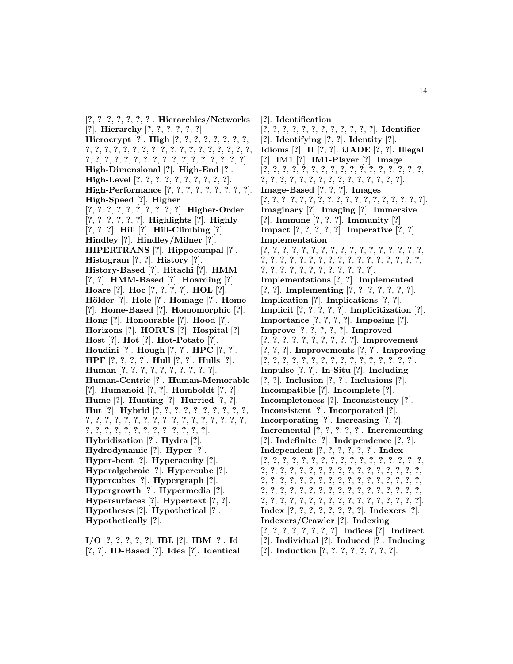[**?**, **?**, **?**, **?**, **?**, **?**, **?**]. **Hierarchies/Networks** [**?**]. **Hierarchy** [**?**, **?**, **?**, **?**, **?**, **?**]. **Hierocrypt** [**?**]. **High** [**?**, **?**, **?**, **?**, **?**, **?**, **?**, **?**, **?**, **?**, **?**, **?**, **?**, **?**, **?**, **?**, **?**, **?**, **?**, **?**, **?**, **?**, **?**, **?**, **?**, **?**, **?**, **?**, **?**, **?**, **?**, **?**, **?**, **?**, **?**, **?**, **?**, **?**, **?**, **?**, **?**, **?**, **?**]. **High-Dimensional** [**?**]. **High-End** [**?**]. **High-Level** [**?**, **?**, **?**, **?**, **?**, **?**, **?**, **?**, **?**, **?**]. **High-Performance** [**?**, **?**, **?**, **?**, **?**, **?**, **?**, **?**, **?**]. **High-Speed** [**?**]. **Higher** [**?**, **?**, **?**, **?**, **?**, **?**, **?**, **?**, **?**, **?**]. **Higher-Order** [**?**, **?**, **?**, **?**, **?**, **?**]. **Highlights** [**?**]. **Highly** [**?**, **?**, **?**]. **Hill** [**?**]. **Hill-Climbing** [**?**]. **Hindley** [**?**]. **Hindley/Milner** [**?**]. **HIPERTRANS** [**?**]. **Hippocampal** [**?**]. **Histogram** [**?**, **?**]. **History** [**?**]. **History-Based** [**?**]. **Hitachi** [**?**]. **HMM** [**?**, **?**]. **HMM-Based** [**?**]. **Hoarding** [**?**]. **Hoare** [**?**]. **Hoc** [**?**, **?**, **?**, **?**]. **HOL** [**?**]. **H¨older** [**?**]. **Hole** [**?**]. **Homage** [**?**]. **Home** [**?**]. **Home-Based** [**?**]. **Homomorphic** [**?**]. **Hong** [**?**]. **Honourable** [**?**]. **Hood** [**?**]. **Horizons** [**?**]. **HORUS** [**?**]. **Hospital** [**?**]. **Host** [**?**]. **Hot** [**?**]. **Hot-Potato** [**?**]. **Houdini** [**?**]. **Hough** [**?**, **?**]. **HPC** [**?**, **?**]. **HPF** [**?**, **?**, **?**, **?**]. **Hull** [**?**, **?**]. **Hulls** [**?**]. **Human** [**?**, **?**, **?**, **?**, **?**, **?**, **?**, **?**, **?**, **?**]. **Human-Centric** [**?**]. **Human-Memorable** [**?**]. **Humanoid** [**?**, **?**]. **Humboldt** [**?**, **?**]. **Hume** [**?**]. **Hunting** [**?**]. **Hurried** [**?**, **?**]. **Hut** [**?**]. **Hybrid** [**?**, **?**, **?**, **?**, **?**, **?**, **?**, **?**, **?**, **?**, **?**, **?**, **?**, **?**, **?**, **?**, **?**, **?**, **?**, **?**, **?**, **?**, **?**, **?**, **?**, **?**, **?**, **?**, **?**, **?**, **?**, **?**, **?**, **?**, **?**, **?**, **?**, **?**, **?**, **?**]. **Hybridization** [**?**]. **Hydra** [**?**]. **Hydrodynamic** [**?**]. **Hyper** [**?**]. **Hyper-bent** [**?**]. **Hyperacuity** [**?**]. **Hyperalgebraic** [**?**]. **Hypercube** [**?**]. **Hypercubes** [**?**]. **Hypergraph** [**?**]. **Hypergrowth** [**?**]. **Hypermedia** [**?**]. **Hypersurfaces** [**?**]. **Hypertext** [**?**, **?**]. **Hypotheses** [**?**]. **Hypothetical** [**?**]. **Hypothetically** [**?**].

**I/O** [**?**, **?**, **?**, **?**, **?**]. **IBL** [**?**]. **IBM** [**?**]. **Id** [**?**, **?**]. **ID-Based** [**?**]. **Idea** [**?**]. **Identical**

[**?**]. **Identification** [**?**, **?**, **?**, **?**, **?**, **?**, **?**, **?**, **?**, **?**, **?**, **?**]. **Identifier** [**?**]. **Identifying** [**?**, **?**]. **Identity** [**?**]. **Idioms** [**?**]. **II** [**?**, **?**]. **iJADE** [**?**, **?**]. **Illegal** [**?**]. **IM1** [**?**]. **IM1-Player** [**?**]. **Image** [**?**, **?**, **?**, **?**, **?**, **?**, **?**, **?**, **?**, **?**, **?**, **?**, **?**, **?**, **?**, **?**, **?**, **?**, **?**, **?**, **?**, **?**, **?**, **?**, **?**, **?**, **?**, **?**, **?**, **?**, **?**, **?**]. **Image-Based** [**?**, **?**, **?**]. **Images** [**?**, **?**, **?**, **?**, **?**, **?**, **?**, **?**, **?**, **?**, **?**, **?**, **?**, **?**, **?**, **?**, **?**, **?**]. **Imaginary** [**?**]. **Imaging** [**?**]. **Immersive** [**?**]. **Immune** [**?**, **?**, **?**]. **Immunity** [**?**]. **Impact** [**?**, **?**, **?**, **?**, **?**]. **Imperative** [**?**, **?**]. **Implementation** [**?**, **?**, **?**, **?**, **?**, **?**, **?**, **?**, **?**, **?**, **?**, **?**, **?**, **?**, **?**, **?**, **?**, **?**, **?**, **?**, **?**, **?**, **?**, **?**, **?**, **?**, **?**, **?**, **?**, **?**, **?**, **?**, **?**, **?**, **?**, **?**, **?**, **?**, **?**, **?**, **?**, **?**, **?**, **?**, **?**, **?**]. **Implementations** [**?**, **?**]. **Implemented** [**?**, **?**]. **Implementing** [**?**, **?**, **?**, **?**, **?**, **?**, **?**]. **Implication** [**?**]. **Implications** [**?**, **?**]. **Implicit** [**?**, **?**, **?**, **?**, **?**]. **Implicitization** [**?**]. **Importance** [**?**, **?**, **?**, **?**]. **Imposing** [**?**]. **Improve** [**?**, **?**, **?**, **?**, **?**]. **Improved** [**?**, **?**, **?**, **?**, **?**, **?**, **?**, **?**, **?**, **?**]. **Improvement** [**?**, **?**, **?**]. **Improvements** [**?**, **?**]. **Improving** [**?**, **?**, **?**, **?**, **?**, **?**, **?**, **?**, **?**, **?**, **?**, **?**, **?**, **?**, **?**, **?**]. **Impulse** [**?**, **?**]. **In-Situ** [**?**]. **Including** [**?**, **?**]. **Inclusion** [**?**, **?**]. **Inclusions** [**?**]. **Incompatible** [**?**]. **Incomplete** [**?**]. **Incompleteness** [**?**]. **Inconsistency** [**?**]. **Inconsistent** [**?**]. **Incorporated** [**?**]. **Incorporating** [**?**]. **Increasing** [**?**, **?**]. **Incremental** [**?**, **?**, **?**, **?**, **?**]. **Incrementing** [**?**]. **Indefinite** [**?**]. **Independence** [**?**, **?**]. **Independent** [**?**, **?**, **?**, **?**, **?**, **?**]. **Index** [**?**, **?**, **?**, **?**, **?**, **?**, **?**, **?**, **?**, **?**, **?**, **?**, **?**, **?**, **?**, **?**, **?**, **?**, **?**, **?**, **?**, **?**, **?**, **?**, **?**, **?**, **?**, **?**, **?**, **?**, **?**, **?**, **?**, **?**, **?**, **?**, **?**, **?**, **?**, **?**, **?**, **?**, **?**, **?**, **?**, **?**, **?**, **?**, **?**, **?**, **?**, **?**, **?**, **?**, **?**, **?**, **?**, **?**, **?**, **?**, **?**, **?**, **?**, **?**, **?**, **?**, **?**, **?**, **?**, **?**, **?**, **?**, **?**, **?**, **?**, **?**, **?**, **?**, **?**, **?**, **?**, **?**, **?**, **?**, **?**]. **Index** [**?**, **?**, **?**, **?**, **?**, **?**, **?**, **?**]. **Indexers** [**?**]. **Indexers/Crawler** [**?**]. **Indexing** [**?**, **?**, **?**, **?**, **?**, **?**, **?**, **?**]. **Indices** [**?**]. **Indirect** [**?**]. **Individual** [**?**]. **Induced** [**?**]. **Inducing** [**?**]. **Induction** [**?**, **?**, **?**, **?**, **?**, **?**, **?**, **?**].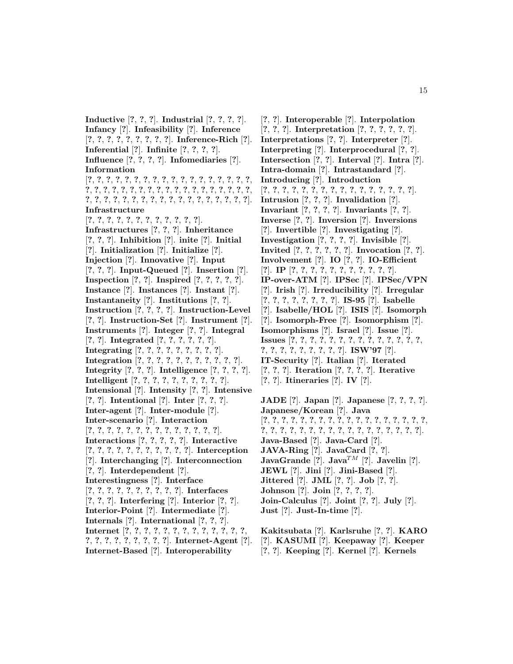**Inductive** [**?**, **?**, **?**]. **Industrial** [**?**, **?**, **?**, **?**]. **Infancy** [**?**]. **Infeasibility** [**?**]. **Inference** [**?**, **?**, **?**, **?**, **?**, **?**, **?**, **?**, **?**]. **Inference-Rich** [**?**]. **Inferential** [**?**]. **Infinite** [**?**, **?**, **?**, **?**]. **Influence** [**?**, **?**, **?**, **?**]. **Infomediaries** [**?**]. **Information** [**?**, **?**, **?**, **?**, **?**, **?**, **?**, **?**, **?**, **?**, **?**, **?**, **?**, **?**, **?**, **?**, **?**, **?**, **?**, **?**, **?**, **?**, **?**, **?**, **?**, **?**, **?**, **?**, **?**, **?**, **?**, **?**, **?**, **?**, **?**, **?**, **?**, **?**, **?**, **?**, **?**, **?**, **?**, **?**, **?**, **?**, **?**, **?**, **?**, **?**, **?**, **?**, **?**, **?**, **?**]. **Infrastructure** [**?**, **?**, **?**, **?**, **?**, **?**, **?**, **?**, **?**, **?**, **?**, **?**]. **Infrastructures** [**?**, **?**, **?**]. **Inheritance** [**?**, **?**, **?**]. **Inhibition** [**?**]. **inite** [**?**]. **Initial** [**?**]. **Initialization** [**?**]. **Initialize** [**?**]. **Injection** [**?**]. **Innovative** [**?**]. **Input** [**?**, **?**, **?**]. **Input-Queued** [**?**]. **Insertion** [**?**]. **Inspection** [**?**, **?**]. **Inspired** [**?**, **?**, **?**, **?**, **?**]. **Instance** [**?**]. **Instances** [**?**]. **Instant** [**?**]. **Instantaneity** [**?**]. **Institutions** [**?**, **?**]. **Instruction** [**?**, **?**, **?**, **?**]. **Instruction-Level** [**?**, **?**]. **Instruction-Set** [**?**]. **Instrument** [**?**]. **Instruments** [**?**]. **Integer** [**?**, **?**]. **Integral** [**?**, **?**]. **Integrated** [**?**, **?**, **?**, **?**, **?**, **?**]. **Integrating** [**?**, **?**, **?**, **?**, **?**, **?**, **?**, **?**, **?**]. **Integration** [**?**, **?**, **?**, **?**, **?**, **?**, **?**, **?**, **?**, **?**, **?**]. **Integrity** [**?**, **?**, **?**]. **Intelligence** [**?**, **?**, **?**, **?**]. **Intelligent** [**?**, **?**, **?**, **?**, **?**, **?**, **?**, **?**, **?**, **?**]. **Intensional** [**?**]. **Intensity** [**?**, **?**]. **Intensive** [**?**, **?**]. **Intentional** [**?**]. **Inter** [**?**, **?**, **?**]. **Inter-agent** [**?**]. **Inter-module** [**?**]. **Inter-scenario** [**?**]. **Interaction** [**?**, **?**, **?**, **?**, **?**, **?**, **?**, **?**, **?**, **?**, **?**, **?**, **?**, **?**]. **Interactions** [**?**, **?**, **?**, **?**, **?**]. **Interactive** [**?**, **?**, **?**, **?**, **?**, **?**, **?**, **?**, **?**, **?**, **?**]. **Interception** [**?**]. **Interchanging** [**?**]. **Interconnection** [**?**, **?**]. **Interdependent** [**?**]. **Interestingness** [**?**]. **Interface** [**?**, **?**, **?**, **?**, **?**, **?**, **?**, **?**, **?**, **?**]. **Interfaces** [**?**, **?**, **?**]. **Interfering** [**?**]. **Interior** [**?**, **?**]. **Interior-Point** [**?**]. **Intermediate** [**?**]. **Internals** [**?**]. **International** [**?**, **?**, **?**]. **Internet** [**?**, **?**, **?**, **?**, **?**, **?**, **?**, **?**, **?**, **?**, **?**, **?**, **?**, **?**, **?**, **?**, **?**, **?**, **?**, **?**, **?**, **?**]. **Internet-Agent** [**?**]. **Internet-Based** [**?**]. **Interoperability**

[**?**, **?**]. **Interoperable** [**?**]. **Interpolation** [**?**, **?**, **?**]. **Interpretation** [**?**, **?**, **?**, **?**, **?**, **?**]. **Interpretations** [**?**, **?**]. **Interpreter** [**?**]. **Interpreting** [**?**]. **Interprocedural** [**?**, **?**]. **Intersection** [**?**, **?**]. **Interval** [**?**]. **Intra** [**?**]. **Intra-domain** [**?**]. **Intrastandard** [**?**]. **Introducing** [**?**]. **Introduction** [**?**, **?**, **?**, **?**, **?**, **?**, **?**, **?**, **?**, **?**, **?**, **?**, **?**, **?**, **?**, **?**]. **Intrusion** [**?**, **?**, **?**]. **Invalidation** [**?**]. **Invariant** [**?**, **?**, **?**, **?**]. **Invariants** [**?**, **?**]. **Inverse** [**?**, **?**]. **Inversion** [**?**]. **Inversions** [**?**]. **Invertible** [**?**]. **Investigating** [**?**]. **Investigation** [**?**, **?**, **?**, **?**]. **Invisible** [**?**]. **Invited** [**?**, **?**, **?**, **?**, **?**, **?**]. **Invocation** [**?**, **?**]. **Involvement** [**?**]. **IO** [**?**, **?**]. **IO-Efficient** [**?**]. **IP** [**?**, **?**, **?**, **?**, **?**, **?**, **?**, **?**, **?**, **?**, **?**]. **IP-over-ATM** [**?**]. **IPSec** [**?**]. **IPSec/VPN** [**?**]. **Irish** [**?**]. **Irreducibility** [**?**]. **Irregular** [**?**, **?**, **?**, **?**, **?**, **?**, **?**, **?**]. **IS-95** [**?**]. **Isabelle** [**?**]. **Isabelle/HOL** [**?**]. **ISIS** [**?**]. **Isomorph** [**?**]. **Isomorph-Free** [**?**]. **Isomorphism** [**?**]. **Isomorphisms** [**?**]. **Israel** [**?**]. **Issue** [**?**]. **Issues** [**?**, **?**, **?**, **?**, **?**, **?**, **?**, **?**, **?**, **?**, **?**, **?**, **?**, **?**, **?**, **?**, **?**, **?**, **?**, **?**, **?**, **?**, **?**]. **ISW'97** [**?**]. **IT-Security** [**?**]. **Italian** [**?**]. **Iterated** [**?**, **?**, **?**]. **Iteration** [**?**, **?**, **?**, **?**]. **Iterative** [**?**, **?**]. **Itineraries** [**?**]. **IV** [**?**].

**JADE** [**?**]. **Japan** [**?**]. **Japanese** [**?**, **?**, **?**, **?**]. **Japanese/Korean** [**?**]. **Java** [**?**, **?**, **?**, **?**, **?**, **?**, **?**, **?**, **?**, **?**, **?**, **?**, **?**, **?**, **?**, **?**, **?**, **?**, **?**, **?**, **?**, **?**, **?**, **?**, **?**, **?**, **?**, **?**, **?**, **?**, **?**, **?**, **?**, **?**, **?**]. **Java-Based** [**?**]. **Java-Card** [**?**]. **JAVA-Ring** [**?**]. **JavaCard** [**?**, **?**]. **JavaGrande** [?]. **Java**<sup>TM</sup> [?]. **Javelin** [?]. **JEWL** [**?**]. **Jini** [**?**]. **Jini-Based** [**?**]. **Jittered** [**?**]. **JML** [**?**, **?**]. **Job** [**?**, **?**]. **Johnson** [**?**]. **Join** [**?**, **?**, **?**, **?**]. **Join-Calculus** [**?**]. **Joint** [**?**, **?**]. **July** [**?**]. **Just** [**?**]. **Just-In-time** [**?**].

**Kakitsubata** [**?**]. **Karlsruhe** [**?**, **?**]. **KARO** [**?**]. **KASUMI** [**?**]. **Keepaway** [**?**]. **Keeper** [**?**, **?**]. **Keeping** [**?**]. **Kernel** [**?**]. **Kernels**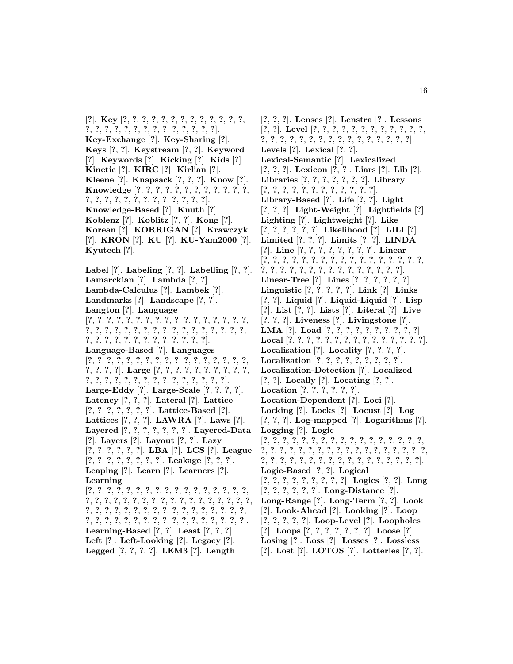[**?**]. **Key** [**?**, **?**, **?**, **?**, **?**, **?**, **?**, **?**, **?**, **?**, **?**, **?**, **?**, **?**, **?**, **?**, **?**, **?**, **?**, **?**, **?**, **?**, **?**, **?**, **?**, **?**, **?**]. **Key-Exchange** [**?**]. **Key-Sharing** [**?**]. **Keys** [**?**, **?**]. **Keystream** [**?**, **?**]. **Keyword** [**?**]. **Keywords** [**?**]. **Kicking** [**?**]. **Kids** [**?**]. **Kinetic** [**?**]. **KIRC** [**?**]. **Kirlian** [**?**]. **Kleene** [**?**]. **Knapsack** [**?**, **?**, **?**]. **Know** [**?**]. **Knowledge** [**?**, **?**, **?**, **?**, **?**, **?**, **?**, **?**, **?**, **?**, **?**, **?**, **?**, **?**, **?**, **?**, **?**, **?**, **?**, **?**, **?**, **?**, **?**, **?**, **?**]. **Knowledge-Based** [**?**]. **Knuth** [**?**]. **Koblenz** [**?**]. **Koblitz** [**?**, **?**]. **Kong** [**?**]. **Korean** [**?**]. **KORRIGAN** [**?**]. **Krawczyk** [**?**]. **KRON** [**?**]. **KU** [**?**]. **KU-Yam2000** [**?**]. **Kyutech** [**?**]. **Label** [**?**]. **Labeling** [**?**, **?**]. **Labelling** [**?**, **?**]. **Lamarckian** [**?**]. **Lambda** [**?**, **?**]. **Lambda-Calculus** [**?**]. **Lambek** [**?**]. **Landmarks** [**?**]. **Landscape** [**?**, **?**]. **Langton** [**?**]. **Language** [**?**, **?**, **?**, **?**, **?**, **?**, **?**, **?**, **?**, **?**, **?**, **?**, **?**, **?**, **?**, **?**, **?**, **?**, **?**, **?**, **?**, **?**, **?**, **?**, **?**, **?**, **?**, **?**, **?**, **?**, **?**, **?**, **?**, **?**, **?**, **?**, **?**, **?**, **?**, **?**, **?**, **?**, **?**, **?**, **?**, **?**, **?**]. **Language-Based** [**?**]. **Languages** [**?**, **?**, **?**, **?**, **?**, **?**, **?**, **?**, **?**, **?**, **?**, **?**, **?**, **?**, **?**, **?**, **?**, **?**, **?**, **?**, **?**]. **Large** [**?**, **?**, **?**, **?**, **?**, **?**, **?**, **?**, **?**, **?**, **?**, **?**, **?**, **?**, **?**, **?**, **?**, **?**, **?**, **?**, **?**, **?**, **?**, **?**, **?**]. **Large-Eddy** [**?**]. **Large-Scale** [**?**, **?**, **?**, **?**]. **Latency** [**?**, **?**, **?**]. **Lateral** [**?**]. **Lattice** [**?**, **?**, **?**, **?**, **?**, **?**, **?**]. **Lattice-Based** [**?**]. **Lattices** [**?**, **?**, **?**]. **LAWRA** [**?**]. **Laws** [**?**]. **Layered** [**?**, **?**, **?**, **?**, **?**, **?**, **?**]. **Layered-Data** [**?**]. **Layers** [**?**]. **Layout** [**?**, **?**]. **Lazy** [**?**, **?**, **?**, **?**, **?**, **?**]. **LBA** [**?**]. **LCS** [**?**]. **League** [**?**, **?**, **?**, **?**, **?**, **?**, **?**, **?**]. **Leakage** [**?**, **?**, **?**]. **Leaping** [**?**]. **Learn** [**?**]. **Learners** [**?**]. **Learning** [**?**, **?**, **?**, **?**, **?**, **?**, **?**, **?**, **?**, **?**, **?**, **?**, **?**, **?**, **?**, **?**, **?**, **?**, **?**, **?**, **?**, **?**, **?**, **?**, **?**, **?**, **?**, **?**, **?**, **?**, **?**, **?**, **?**, **?**, **?**, **?**, **?**, **?**, **?**, **?**, **?**, **?**, **?**, **?**, **?**, **?**, **?**, **?**, **?**, **?**, **?**, **?**, **?**, **?**, **?**, **?**, **?**, **?**, **?**, **?**, **?**, **?**, **?**, **?**, **?**, **?**, **?**, **?**, **?**]. **Learning-Based** [**?**, **?**]. **Least** [**?**, **?**, **?**]. **Left** [**?**]. **Left-Looking** [**?**]. **Legacy** [**?**]. **Legged** [**?**, **?**, **?**, **?**]. **LEM3** [**?**]. **Length**

[**?**, **?**, **?**]. **Lenses** [**?**]. **Lenstra** [**?**]. **Lessons** [**?**, **?**]. **Level** [**?**, **?**, **?**, **?**, **?**, **?**, **?**, **?**, **?**, **?**, **?**, **?**, **?**, **?**, **?**, **?**, **?**, **?**, **?**, **?**, **?**, **?**, **?**, **?**, **?**, **?**, **?**, **?**]. **Levels** [**?**]. **Lexical** [**?**, **?**]. **Lexical-Semantic** [**?**]. **Lexicalized** [**?**, **?**, **?**]. **Lexicon** [**?**, **?**]. **Liars** [**?**]. **Lib** [**?**]. **Libraries** [**?**, **?**, **?**, **?**, **?**, **?**, **?**]. **Library** [**?**, **?**, **?**, **?**, **?**, **?**, **?**, **?**, **?**, **?**, **?**, **?**]. **Library-Based** [**?**]. **Life** [**?**, **?**]. **Light** [**?**, **?**, **?**]. **Light-Weight** [**?**]. **Lightfields** [**?**]. **Lighting** [**?**]. **Lightweight** [**?**]. **Like** [**?**, **?**, **?**, **?**, **?**, **?**]. **Likelihood** [**?**]. **LILI** [**?**]. **Limited** [**?**, **?**, **?**]. **Limits** [**?**, **?**]. **LINDA** [**?**]. **Line** [**?**, **?**, **?**, **?**, **?**, **?**, **?**, **?**]. **Linear** [**?**, **?**, **?**, **?**, **?**, **?**, **?**, **?**, **?**, **?**, **?**, **?**, **?**, **?**, **?**, **?**, **?**, **?**, **?**, **?**, **?**, **?**, **?**, **?**, **?**, **?**, **?**, **?**, **?**, **?**, **?**, **?**]. **Linear-Tree** [**?**]. **Lines** [**?**, **?**, **?**, **?**, **?**, **?**]. **Linguistic** [**?**, **?**, **?**, **?**, **?**]. **Link** [**?**]. **Links** [**?**, **?**]. **Liquid** [**?**]. **Liquid-Liquid** [**?**]. **Lisp** [**?**]. **List** [**?**, **?**]. **Lists** [**?**]. **Literal** [**?**]. **Live** [**?**, **?**, **?**]. **Liveness** [**?**]. **Livingstone** [**?**]. **LMA** [**?**]. **Load** [**?**, **?**, **?**, **?**, **?**, **?**, **?**, **?**, **?**, **?**]. **Local** [**?**, **?**, **?**, **?**, **?**, **?**, **?**, **?**, **?**, **?**, **?**, **?**, **?**, **?**, **?**]. **Localisation** [**?**]. **Locality** [**?**, **?**, **?**, **?**]. **Localization** [**?**, **?**, **?**, **?**, **?**, **?**, **?**, **?**, **?**]. **Localization-Detection** [**?**]. **Localized** [**?**, **?**]. **Locally** [**?**]. **Locating** [**?**, **?**]. **Location** [**?**, **?**, **?**, **?**, **?**, **?**]. **Location-Dependent** [**?**]. **Loci** [**?**]. **Locking** [**?**]. **Locks** [**?**]. **Locust** [**?**]. **Log** [**?**, **?**, **?**]. **Log-mapped** [**?**]. **Logarithms** [**?**]. **Logging** [**?**]. **Logic** [**?**, **?**, **?**, **?**, **?**, **?**, **?**, **?**, **?**, **?**, **?**, **?**, **?**, **?**, **?**, **?**, **?**, **?**, **?**, **?**, **?**, **?**, **?**, **?**, **?**, **?**, **?**, **?**, **?**, **?**, **?**, **?**, **?**, **?**, **?**, **?**, **?**, **?**, **?**, **?**, **?**, **?**, **?**, **?**, **?**, **?**, **?**, **?**, **?**, **?**, **?**, **?**]. **Logic-Based** [**?**, **?**]. **Logical** [**?**, **?**, **?**, **?**, **?**, **?**, **?**, **?**, **?**]. **Logics** [**?**, **?**]. **Long** [**?**, **?**, **?**, **?**, **?**, **?**]. **Long-Distance** [**?**]. **Long-Range** [**?**]. **Long-Term** [**?**, **?**]. **Look** [**?**]. **Look-Ahead** [**?**]. **Looking** [**?**]. **Loop** [**?**, **?**, **?**, **?**, **?**]. **Loop-Level** [**?**]. **Loopholes** [**?**]. **Loops** [**?**, **?**, **?**, **?**, **?**, **?**, **?**]. **Loose** [**?**]. **Losing** [**?**]. **Loss** [**?**]. **Losses** [**?**]. **Lossless** [**?**]. **Lost** [**?**]. **LOTOS** [**?**]. **Lotteries** [**?**, **?**].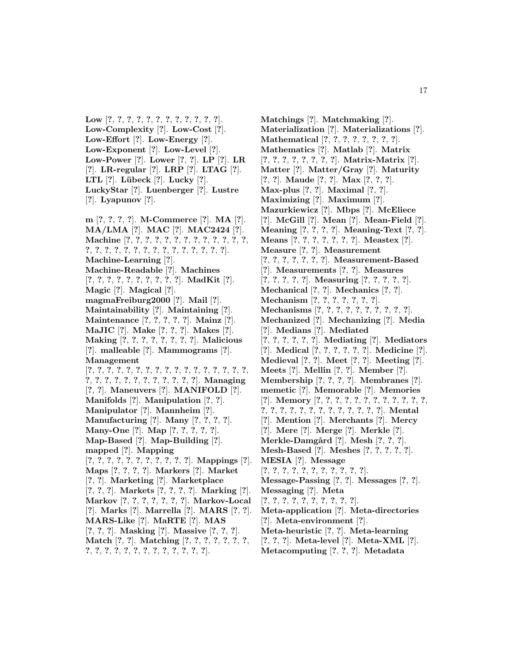**Low** [**?**, **?**, **?**, **?**, **?**, **?**, **?**, **?**, **?**, **?**, **?**, **?**]. **Low-Complexity** [**?**]. **Low-Cost** [**?**]. **Low-Effort** [**?**]. **Low-Energy** [**?**]. **Low-Exponent** [**?**]. **Low-Level** [**?**]. **Low-Power** [**?**]. **Lower** [**?**, **?**]. **LP** [**?**]. **LR** [**?**]. **LR-regular** [**?**]. **LRP** [**?**]. **LTAG** [**?**]. **LTL** [**?**]. **L¨ubeck** [**?**]. **Lucky** [**?**]. **LuckyStar** [**?**]. **Luenberger** [**?**]. **Lustre** [**?**]. **Lyapunov** [**?**].

**m** [**?**, **?**, **?**, **?**]. **M-Commerce** [**?**]. **MA** [**?**]. **MA/LMA** [**?**]. **MAC** [**?**]. **MAC2424** [**?**]. **Machine** [**?**, **?**, **?**, **?**, **?**, **?**, **?**, **?**, **?**, **?**, **?**, **?**, **?**, **?**, **?**, **?**, **?**, **?**, **?**, **?**, **?**, **?**, **?**, **?**, **?**, **?**, **?**, **?**]. **Machine-Learning** [**?**]. **Machine-Readable** [**?**]. **Machines** [**?**, **?**, **?**, **?**, **?**, **?**, **?**, **?**, **?**, **?**]. **MadKit** [**?**]. **Magic** [**?**]. **Magical** [**?**]. **magmaFreiburg2000** [**?**]. **Mail** [**?**]. **Maintainability** [**?**]. **Maintaining** [**?**]. **Maintenance** [**?**, **?**, **?**, **?**, **?**]. **Mainz** [**?**]. **MaJIC** [**?**]. **Make** [**?**, **?**, **?**]. **Makes** [**?**]. **Making** [**?**, **?**, **?**, **?**, **?**, **?**, **?**, **?**]. **Malicious** [**?**]. **malleable** [**?**]. **Mammograms** [**?**]. **Management** [**?**, **?**, **?**, **?**, **?**, **?**, **?**, **?**, **?**, **?**, **?**, **?**, **?**, **?**, **?**, **?**, **?**, **?**, **?**, **?**, **?**, **?**, **?**, **?**, **?**, **?**, **?**, **?**, **?**]. **Managing** [**?**, **?**]. **Maneuvers** [**?**]. **MANIFOLD** [**?**]. **Manifolds** [**?**]. **Manipulation** [**?**, **?**]. **Manipulator** [**?**]. **Mannheim** [**?**]. **Manufacturing** [**?**]. **Many** [**?**, **?**, **?**, **?**]. **Many-One** [**?**]. **Map** [**?**, **?**, **?**, **?**, **?**]. **Map-Based** [**?**]. **Map-Building** [**?**]. **mapped** [**?**]. **Mapping** [**?**, **?**, **?**, **?**, **?**, **?**, **?**, **?**, **?**, **?**, **?**]. **Mappings** [**?**]. **Maps** [**?**, **?**, **?**, **?**]. **Markers** [**?**]. **Market** [**?**, **?**]. **Marketing** [**?**]. **Marketplace** [**?**, **?**, **?**]. **Markets** [**?**, **?**, **?**, **?**]. **Marking** [**?**]. **Markov** [**?**, **?**, **?**, **?**, **?**, **?**, **?**]. **Markov-Local** [**?**]. **Marks** [**?**]. **Marrella** [**?**]. **MARS** [**?**, **?**]. **MARS-Like** [**?**]. **MaRTE** [**?**]. **MAS** [**?**, **?**, **?**]. **Masking** [**?**]. **Massive** [**?**, **?**, **?**]. **Match** [**?**, **?**]. **Matching** [**?**, **?**, **?**, **?**, **?**, **?**, **?**, **?**, **?**, **?**, **?**, **?**, **?**, **?**, **?**, **?**, **?**, **?**, **?**, **?**].

**Matchings** [**?**]. **Matchmaking** [**?**]. **Materialization** [**?**]. **Materializations** [**?**]. **Mathematical** [**?**, **?**, **?**, **?**, **?**, **?**, **?**, **?**]. **Mathematics** [**?**]. **Matlab** [**?**]. **Matrix** [**?**, **?**, **?**, **?**, **?**, **?**, **?**, **?**]. **Matrix-Matrix** [**?**]. **Matter** [**?**]. **Matter/Gray** [**?**]. **Maturity** [**?**, **?**]. **Maude** [**?**, **?**]. **Max** [**?**, **?**, **?**]. **Max-plus** [**?**, **?**]. **Maximal** [**?**, **?**]. **Maximizing** [**?**]. **Maximum** [**?**]. **Mazurkiewicz** [**?**]. **Mbps** [**?**]. **McEliece** [**?**]. **McGill** [**?**]. **Mean** [**?**]. **Mean-Field** [**?**]. **Meaning** [**?**, **?**, **?**, **?**]. **Meaning-Text** [**?**, **?**]. **Means** [**?**, **?**, **?**, **?**, **?**, **?**, **?**]. **Meastex** [**?**]. **Measure** [**?**, **?**]. **Measurement** [**?**, **?**, **?**, **?**, **?**, **?**, **?**]. **Measurement-Based** [**?**]. **Measurements** [**?**, **?**]. **Measures** [**?**, **?**, **?**, **?**, **?**]. **Measuring** [**?**, **?**, **?**, **?**, **?**]. **Mechanical** [**?**, **?**]. **Mechanics** [**?**, **?**]. **Mechanism** [**?**, **?**, **?**, **?**, **?**, **?**, **?**]. **Mechanisms** [**?**, **?**, **?**, **?**, **?**, **?**, **?**, **?**, **?**, **?**]. **Mechanized** [**?**]. **Mechanizing** [**?**]. **Media** [**?**]. **Medians** [**?**]. **Mediated** [**?**, **?**, **?**, **?**, **?**, **?**]. **Mediating** [**?**]. **Mediators** [**?**]. **Medical** [**?**, **?**, **?**, **?**, **?**, **?**]. **Medicine** [**?**]. **Medieval** [**?**, **?**]. **Meet** [**?**, **?**]. **Meeting** [**?**]. **Meets** [**?**]. **Mellin** [**?**, **?**]. **Member** [**?**]. **Membership** [**?**, **?**, **?**, **?**]. **Membranes** [**?**]. **memetic** [**?**]. **Memorable** [**?**]. **Memories** [**?**]. **Memory** [**?**, **?**, **?**, **?**, **?**, **?**, **?**, **?**, **?**, **?**, **?**, **?**, **?**, **?**, **?**, **?**, **?**, **?**, **?**, **?**, **?**, **?**, **?**, **?**, **?**]. **Mental** [**?**]. **Mention** [**?**]. **Merchants** [**?**]. **Mercy** [**?**]. **Mere** [**?**]. **Merge** [**?**]. **Merkle** [**?**]. **Merkle-Damg˚ard** [**?**]. **Mesh** [**?**, **?**, **?**]. **Mesh-Based** [**?**]. **Meshes** [**?**, **?**, **?**, **?**, **?**]. **MESIA** [**?**]. **Message** [**?**, **?**, **?**, **?**, **?**, **?**, **?**, **?**, **?**, **?**, **?**]. **Message-Passing** [**?**, **?**]. **Messages** [**?**, **?**]. **Messaging** [**?**]. **Meta** [**?**, **?**, **?**, **?**, **?**, **?**, **?**, **?**, **?**, **?**]. **Meta-application** [**?**]. **Meta-directories** [**?**]. **Meta-environment** [**?**]. **Meta-heuristic** [**?**, **?**]. **Meta-learning**

- [**?**, **?**, **?**]. **Meta-level** [**?**]. **Meta-XML** [**?**].
- **Metacomputing** [**?**, **?**, **?**]. **Metadata**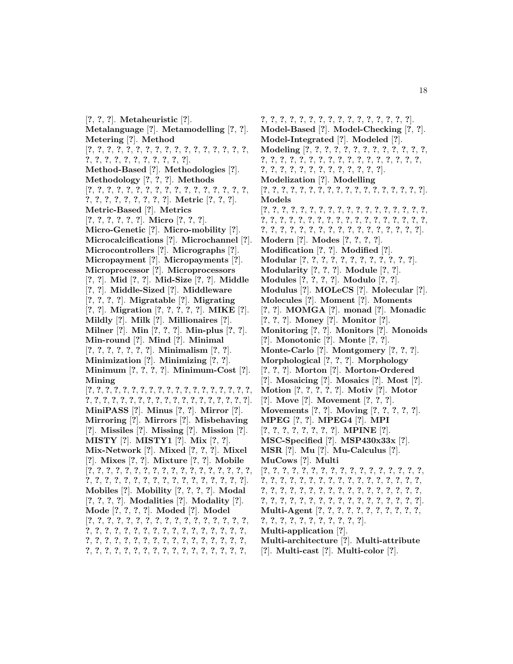[**?**, **?**, **?**]. **Metaheuristic** [**?**]. **Metalanguage** [**?**]. **Metamodelling** [**?**, **?**]. **Metering** [**?**]. **Method** [**?**, **?**, **?**, **?**, **?**, **?**, **?**, **?**, **?**, **?**, **?**, **?**, **?**, **?**, **?**, **?**, **?**, **?**, **?**, **?**, **?**, **?**, **?**, **?**, **?**, **?**, **?**, **?**]. **Method-Based** [**?**]. **Methodologies** [**?**]. **Methodology** [**?**, **?**, **?**]. **Methods** [**?**, **?**, **?**, **?**, **?**, **?**, **?**, **?**, **?**, **?**, **?**, **?**, **?**, **?**, **?**, **?**, **?**, **?**, **?**, **?**, **?**, **?**, **?**, **?**, **?**, **?**]. **Metric** [**?**, **?**, **?**]. **Metric-Based** [**?**]. **Metrics** [**?**, **?**, **?**, **?**, **?**, **?**]. **Micro** [**?**, **?**, **?**]. **Micro-Genetic** [**?**]. **Micro-mobility** [**?**]. **Microcalcifications** [**?**]. **Microchannel** [**?**]. **Microcontrollers** [**?**]. **Micrographs** [**?**]. **Micropayment** [**?**]. **Micropayments** [**?**]. **Microprocessor** [**?**]. **Microprocessors** [**?**, **?**]. **Mid** [**?**, **?**]. **Mid-Size** [**?**, **?**]. **Middle** [**?**, **?**]. **Middle-Sized** [**?**]. **Middleware** [**?**, **?**, **?**, **?**]. **Migratable** [**?**]. **Migrating** [**?**, **?**]. **Migration** [**?**, **?**, **?**, **?**, **?**]. **MIKE** [**?**]. **Mildly** [**?**]. **Milk** [**?**]. **Millionaires** [**?**]. **Milner** [**?**]. **Min** [**?**, **?**, **?**]. **Min-plus** [**?**, **?**]. **Min-round** [**?**]. **Mind** [**?**]. **Minimal** [**?**, **?**, **?**, **?**, **?**, **?**, **?**]. **Minimalism** [**?**, **?**]. **Minimization** [**?**]. **Minimizing** [**?**, **?**]. **Minimum** [**?**, **?**, **?**, **?**]. **Minimum-Cost** [**?**]. **Mining** [**?**, **?**, **?**, **?**, **?**, **?**, **?**, **?**, **?**, **?**, **?**, **?**, **?**, **?**, **?**, **?**, **?**, **?**, **?**, **?**, **?**, **?**, **?**, **?**, **?**, **?**, **?**, **?**, **?**, **?**, **?**, **?**, **?**, **?**, **?**, **?**, **?**, **?**]. **MiniPASS** [**?**]. **Minus** [**?**, **?**]. **Mirror** [**?**]. **Mirroring** [**?**]. **Mirrors** [**?**]. **Misbehaving** [**?**]. **Missiles** [**?**]. **Missing** [**?**]. **Mission** [**?**]. **MISTY** [**?**]. **MISTY1** [**?**]. **Mix** [**?**, **?**]. **Mix-Network** [**?**]. **Mixed** [**?**, **?**, **?**]. **Mixel** [**?**]. **Mixes** [**?**, **?**]. **Mixture** [**?**, **?**]. **Mobile** [**?**, **?**, **?**, **?**, **?**, **?**, **?**, **?**, **?**, **?**, **?**, **?**, **?**, **?**, **?**, **?**, **?**, **?**, **?**, **?**, **?**, **?**, **?**, **?**, **?**, **?**, **?**, **?**, **?**, **?**, **?**, **?**, **?**, **?**, **?**]. **Mobiles** [**?**]. **Mobility** [**?**, **?**, **?**, **?**]. **Modal** [**?**, **?**, **?**, **?**]. **Modalities** [**?**]. **Modality** [**?**]. **Mode** [**?**, **?**, **?**, **?**]. **Moded** [**?**]. **Model** [**?**, **?**, **?**, **?**, **?**, **?**, **?**, **?**, **?**, **?**, **?**, **?**, **?**, **?**, **?**, **?**, **?**, **?**, **?**, **?**, **?**, **?**, **?**, **?**, **?**, **?**, **?**, **?**, **?**, **?**, **?**, **?**, **?**, **?**, **?**, **?**, **?**, **?**, **?**, **?**, **?**, **?**, **?**, **?**, **?**, **?**, **?**, **?**, **?**, **?**, **?**, **?**, **?**, **?**, **?**, **?**, **?**, **?**, **?**, **?**, **?**, **?**, **?**, **?**, **?**, **?**, **?**, **?**,

**?**, **?**, **?**, **?**, **?**, **?**, **?**, **?**, **?**, **?**, **?**, **?**, **?**, **?**, **?**, **?**]. **Model-Based** [**?**]. **Model-Checking** [**?**, **?**]. **Model-Integrated** [**?**]. **Modeled** [**?**]. **Modeling** [**?**, **?**, **?**, **?**, **?**, **?**, **?**, **?**, **?**, **?**, **?**, **?**, **?**, **?**, **?**, **?**, **?**, **?**, **?**, **?**, **?**, **?**, **?**, **?**, **?**, **?**, **?**, **?**, **?**, **?**, **?**, **?**, **?**, **?**, **?**, **?**, **?**, **?**, **?**, **?**, **?**, **?**, **?**]. **Modelization** [**?**]. **Modelling** [**?**, **?**, **?**, **?**, **?**, **?**, **?**, **?**, **?**, **?**, **?**, **?**, **?**, **?**, **?**, **?**, **?**, **?**]. **Models** [**?**, **?**, **?**, **?**, **?**, **?**, **?**, **?**, **?**, **?**, **?**, **?**, **?**, **?**, **?**, **?**, **?**, **?**, **?**, **?**, **?**, **?**, **?**, **?**, **?**, **?**, **?**, **?**, **?**, **?**, **?**, **?**, **?**, **?**, **?**, **?**, **?**, **?**, **?**, **?**, **?**, **?**, **?**, **?**, **?**, **?**, **?**, **?**, **?**, **?**, **?**, **?**, **?**]. **Modern** [**?**]. **Modes** [**?**, **?**, **?**, **?**]. **Modification** [**?**, **?**]. **Modified** [**?**]. **Modular** [**?**, **?**, **?**, **?**, **?**, **?**, **?**, **?**, **?**, **?**, **?**, **?**]. **Modularity** [**?**, **?**, **?**]. **Module** [**?**, **?**]. **Modules** [**?**, **?**, **?**, **?**]. **Modulo** [**?**, **?**]. **Modulus** [**?**]. **MOLeCS** [**?**]. **Molecular** [**?**]. **Molecules** [**?**]. **Moment** [**?**]. **Moments** [**?**, **?**]. **MOMGA** [**?**]. **monad** [**?**]. **Monadic** [**?**, **?**, **?**]. **Money** [**?**]. **Monitor** [**?**]. **Monitoring** [**?**, **?**]. **Monitors** [**?**]. **Monoids** [**?**]. **Monotonic** [**?**]. **Monte** [**?**, **?**]. **Monte-Carlo** [**?**]. **Montgomery** [**?**, **?**, **?**]. **Morphological** [**?**, **?**, **?**]. **Morphology** [**?**, **?**, **?**]. **Morton** [**?**]. **Morton-Ordered** [**?**]. **Mosaicing** [**?**]. **Mosaics** [**?**]. **Most** [**?**]. **Motion** [**?**, **?**, **?**, **?**, **?**]. **Motiv** [**?**]. **Motor** [**?**]. **Move** [**?**]. **Movement** [**?**, **?**, **?**]. **Movements** [**?**, **?**]. **Moving** [**?**, **?**, **?**, **?**, **?**]. **MPEG** [**?**, **?**]. **MPEG4** [**?**]. **MPI** [**?**, **?**, **?**, **?**, **?**, **?**, **?**, **?**]. **MPINE** [**?**]. **MSC-Specified** [**?**]. **MSP430x33x** [**?**]. **MSR** [**?**]. **Mu** [**?**]. **Mu-Calculus** [**?**]. **MuCows** [**?**]. **Multi** [**?**, **?**, **?**, **?**, **?**, **?**, **?**, **?**, **?**, **?**, **?**, **?**, **?**, **?**, **?**, **?**, **?**, **?**, **?**, **?**, **?**, **?**, **?**, **?**, **?**, **?**, **?**, **?**, **?**, **?**, **?**, **?**, **?**, **?**, **?**, **?**, **?**, **?**, **?**, **?**, **?**, **?**, **?**, **?**, **?**, **?**, **?**, **?**, **?**, **?**, **?**, **?**, **?**, **?**, **?**, **?**, **?**, **?**, **?**, **?**, **?**, **?**, **?**, **?**, **?**, **?**, **?**, **?**]. **Multi-Agent** [**?**, **?**, **?**, **?**, **?**, **?**, **?**, **?**, **?**, **?**, **?**, **?**, **?**, **?**, **?**, **?**, **?**, **?**, **?**, **?**, **?**, **?**]. **Multi-application** [**?**]. **Multi-architecture** [**?**]. **Multi-attribute**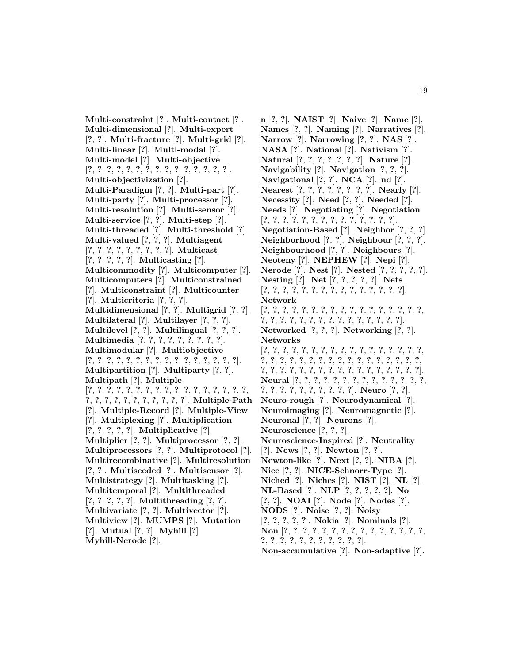**Multi-constraint** [**?**]. **Multi-contact** [**?**]. **Multi-dimensional** [**?**]. **Multi-expert** [**?**, **?**]. **Multi-fracture** [**?**]. **Multi-grid** [**?**]. **Multi-linear** [**?**]. **Multi-modal** [**?**]. **Multi-model** [**?**]. **Multi-objective** [**?**, **?**, **?**, **?**, **?**, **?**, **?**, **?**, **?**, **?**, **?**, **?**, **?**, **?**, **?**]. **Multi-objectivization** [**?**]. **Multi-Paradigm** [**?**, **?**]. **Multi-part** [**?**]. **Multi-party** [**?**]. **Multi-processor** [**?**]. **Multi-resolution** [**?**]. **Multi-sensor** [**?**]. **Multi-service** [**?**, **?**]. **Multi-step** [**?**]. **Multi-threaded** [**?**]. **Multi-threshold** [**?**]. **Multi-valued** [**?**, **?**, **?**]. **Multiagent** [**?**, **?**, **?**, **?**, **?**, **?**, **?**, **?**, **?**]. **Multicast** [**?**, **?**, **?**, **?**, **?**]. **Multicasting** [**?**]. **Multicommodity** [**?**]. **Multicomputer** [**?**]. **Multicomputers** [**?**]. **Multiconstrained** [**?**]. **Multiconstraint** [**?**]. **Multicounter** [**?**]. **Multicriteria** [**?**, **?**, **?**]. **Multidimensional** [**?**, **?**]. **Multigrid** [**?**, **?**]. **Multilateral** [**?**]. **Multilayer** [**?**, **?**, **?**]. **Multilevel** [**?**, **?**]. **Multilingual** [**?**, **?**, **?**]. **Multimedia** [**?**, **?**, **?**, **?**, **?**, **?**, **?**, **?**, **?**]. **Multimodular** [**?**]. **Multiobjective** [**?**, **?**, **?**, **?**, **?**, **?**, **?**, **?**, **?**, **?**, **?**, **?**, **?**, **?**, **?**, **?**]. **Multipartition** [**?**]. **Multiparty** [**?**, **?**]. **Multipath** [**?**]. **Multiple** [**?**, **?**, **?**, **?**, **?**, **?**, **?**, **?**, **?**, **?**, **?**, **?**, **?**, **?**, **?**, **?**, **?**, **?**, **?**, **?**, **?**, **?**, **?**, **?**, **?**, **?**, **?**, **?**]. **Multiple-Path** [**?**]. **Multiple-Record** [**?**]. **Multiple-View** [**?**]. **Multiplexing** [**?**]. **Multiplication** [**?**, **?**, **?**, **?**, **?**]. **Multiplicative** [**?**]. **Multiplier** [**?**, **?**]. **Multiprocessor** [**?**, **?**]. **Multiprocessors** [**?**, **?**]. **Multiprotocol** [**?**]. **Multirecombinative** [**?**]. **Multiresolution** [**?**, **?**]. **Multiseeded** [**?**]. **Multisensor** [**?**]. **Multistrategy** [**?**]. **Multitasking** [**?**]. **Multitemporal** [**?**]. **Multithreaded** [**?**, **?**, **?**, **?**, **?**]. **Multithreading** [**?**, **?**]. **Multivariate** [**?**, **?**]. **Multivector** [**?**]. **Multiview** [**?**]. **MUMPS** [**?**]. **Mutation** [**?**]. **Mutual** [**?**, **?**]. **Myhill** [**?**]. **Myhill-Nerode** [**?**].

**n** [**?**, **?**]. **NAIST** [**?**]. **Naive** [**?**]. **Name** [**?**]. **Names** [**?**, **?**]. **Naming** [**?**]. **Narratives** [**?**]. **Narrow** [**?**]. **Narrowing** [**?**, **?**]. **NAS** [**?**]. **NASA** [**?**]. **National** [**?**]. **Nativism** [**?**]. **Natural** [**?**, **?**, **?**, **?**, **?**, **?**, **?**]. **Nature** [**?**]. **Navigability** [**?**]. **Navigation** [**?**, **?**, **?**]. **Navigational** [**?**, **?**]. **NCA** [**?**]. **nd** [**?**]. **Nearest** [**?**, **?**, **?**, **?**, **?**, **?**, **?**, **?**]. **Nearly** [**?**]. **Necessity** [**?**]. **Need** [**?**, **?**]. **Needed** [**?**]. **Needs** [**?**]. **Negotiating** [**?**]. **Negotiation** [**?**, **?**, **?**, **?**, **?**, **?**, **?**, **?**, **?**, **?**, **?**, **?**, **?**, **?**]. **Negotiation-Based** [**?**]. **Neighbor** [**?**, **?**, **?**]. **Neighborhood** [**?**, **?**]. **Neighbour** [**?**, **?**, **?**]. **Neighbourhood** [**?**, **?**]. **Neighbours** [**?**]. **Neoteny** [**?**]. **NEPHEW** [**?**]. **Nepi** [**?**]. **Nerode** [**?**]. **Nest** [**?**]. **Nested** [**?**, **?**, **?**, **?**, **?**]. **Nesting** [**?**]. **Net** [**?**, **?**, **?**, **?**, **?**]. **Nets** [**?**, **?**, **?**, **?**, **?**, **?**, **?**, **?**, **?**, **?**, **?**, **?**, **?**, **?**, **?**]. **Network** [**?**, **?**, **?**, **?**, **?**, **?**, **?**, **?**, **?**, **?**, **?**, **?**, **?**, **?**, **?**, **?**, **?**, **?**, **?**, **?**, **?**, **?**, **?**, **?**, **?**, **?**, **?**, **?**, **?**, **?**, **?**, **?**]. **Networked** [**?**, **?**, **?**]. **Networking** [**?**, **?**]. **Networks** [**?**, **?**, **?**, **?**, **?**, **?**, **?**, **?**, **?**, **?**, **?**, **?**, **?**, **?**, **?**, **?**, **?**, **?**, **?**, **?**, **?**, **?**, **?**, **?**, **?**, **?**, **?**, **?**, **?**, **?**, **?**, **?**, **?**, **?**, **?**, **?**, **?**, **?**, **?**, **?**, **?**, **?**, **?**, **?**, **?**, **?**, **?**, **?**, **?**, **?**, **?**]. **Neural** [**?**, **?**, **?**, **?**, **?**, **?**, **?**, **?**, **?**, **?**, **?**, **?**, **?**, **?**, **?**, **?**, **?**, **?**, **?**, **?**, **?**, **?**, **?**, **?**]. **Neuro** [**?**, **?**]. **Neuro-rough** [**?**]. **Neurodynamical** [**?**]. **Neuroimaging** [**?**]. **Neuromagnetic** [**?**]. **Neuronal** [**?**, **?**]. **Neurons** [**?**]. **Neuroscience** [**?**, **?**, **?**]. **Neuroscience-Inspired** [**?**]. **Neutrality** [**?**]. **News** [**?**, **?**]. **Newton** [**?**, **?**]. **Newton-like** [**?**]. **Next** [**?**, **?**]. **NIBA** [**?**]. **Nice** [**?**, **?**]. **NICE-Schnorr-Type** [**?**]. **Niched** [**?**]. **Niches** [**?**]. **NIST** [**?**]. **NL** [**?**]. **NL-Based** [**?**]. **NLP** [**?**, **?**, **?**, **?**, **?**]. **No** [**?**, **?**]. **NOAI** [**?**]. **Node** [**?**]. **Nodes** [**?**]. **NODS** [**?**]. **Noise** [**?**, **?**]. **Noisy** [**?**, **?**, **?**, **?**, **?**]. **Nokia** [**?**]. **Nominals** [**?**]. **Non** [**?**, **?**, **?**, **?**, **?**, **?**, **?**, **?**, **?**, **?**, **?**, **?**, **?**, **?**, **?**, **?**, **?**, **?**, **?**, **?**, **?**, **?**, **?**, **?**, **?**, **?**]. **Non-accumulative** [**?**]. **Non-adaptive** [**?**].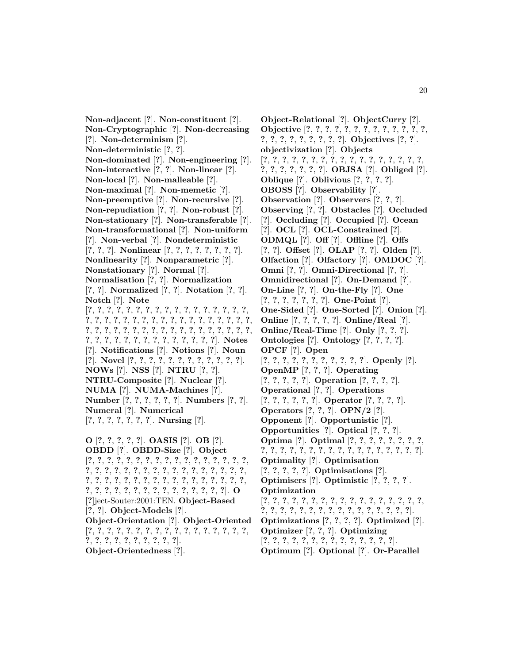**Non-adjacent** [**?**]. **Non-constituent** [**?**]. **Non-Cryptographic** [**?**]. **Non-decreasing** [**?**]. **Non-determinism** [**?**]. **Non-deterministic** [**?**, **?**]. **Non-dominated** [**?**]. **Non-engineering** [**?**]. **Non-interactive** [**?**, **?**]. **Non-linear** [**?**]. **Non-local** [**?**]. **Non-malleable** [**?**]. **Non-maximal** [**?**]. **Non-memetic** [**?**]. **Non-preemptive** [**?**]. **Non-recursive** [**?**]. **Non-repudiation** [**?**, **?**]. **Non-robust** [**?**]. **Non-stationary** [**?**]. **Non-transferable** [**?**]. **Non-transformational** [**?**]. **Non-uniform** [**?**]. **Non-verbal** [**?**]. **Nondeterministic** [**?**, **?**, **?**]. **Nonlinear** [**?**, **?**, **?**, **?**, **?**, **?**, **?**, **?**]. **Nonlinearity** [**?**]. **Nonparametric** [**?**]. **Nonstationary** [**?**]. **Normal** [**?**]. **Normalisation** [**?**, **?**]. **Normalization** [**?**, **?**]. **Normalized** [**?**, **?**]. **Notation** [**?**, **?**]. **Notch** [**?**]. **Note** [**?**, **?**, **?**, **?**, **?**, **?**, **?**, **?**, **?**, **?**, **?**, **?**, **?**, **?**, **?**, **?**, **?**, **?**, **?**, **?**, **?**, **?**, **?**, **?**, **?**, **?**, **?**, **?**, **?**, **?**, **?**, **?**, **?**, **?**, **?**, **?**, **?**, **?**, **?**, **?**, **?**, **?**, **?**, **?**, **?**, **?**, **?**, **?**, **?**, **?**, **?**, **?**, **?**, **?**, **?**, **?**, **?**, **?**, **?**, **?**, **?**, **?**, **?**, **?**, **?**, **?**, **?**]. **Notes** [**?**]. **Notifications** [**?**]. **Notions** [**?**]. **Noun** [**?**]. **Novel** [**?**, **?**, **?**, **?**, **?**, **?**, **?**, **?**, **?**, **?**, **?**, **?**]. **NOWs** [**?**]. **NSS** [**?**]. **NTRU** [**?**, **?**]. **NTRU-Composite** [**?**]. **Nuclear** [**?**]. **NUMA** [**?**]. **NUMA-Machines** [**?**]. **Number** [**?**, **?**, **?**, **?**, **?**, **?**]. **Numbers** [**?**, **?**]. **Numeral** [**?**]. **Numerical** [**?**, **?**, **?**, **?**, **?**, **?**, **?**]. **Nursing** [**?**]. **O** [**?**, **?**, **?**, **?**, **?**]. **OASIS** [**?**]. **OB** [**?**]. **OBDD** [**?**]. **OBDD-Size** [**?**]. **Object**

[**?**, **?**, **?**, **?**, **?**, **?**, **?**, **?**, **?**, **?**, **?**, **?**, **?**, **?**, **?**, **?**, **?**, **?**, **?**, **?**, **?**, **?**, **?**, **?**, **?**, **?**, **?**, **?**, **?**, **?**, **?**, **?**, **?**, **?**, **?**, **?**, **?**, **?**, **?**, **?**, **?**, **?**, **?**, **?**, **?**, **?**, **?**, **?**, **?**, **?**, **?**, **?**, **?**, **?**, **?**, **?**, **?**, **?**, **?**, **?**, **?**, **?**, **?**, **?**, **?**, **?**]. **O** [**?**]ject-Souter:2001:TEN. **Object-Based** [**?**, **?**]. **Object-Models** [**?**]. **Object-Orientation** [**?**]. **Object-Oriented** [**?**, **?**, **?**, **?**, **?**, **?**, **?**, **?**, **?**, **?**, **?**, **?**, **?**, **?**, **?**, **?**, **?**, **?**, **?**, **?**, **?**, **?**, **?**, **?**, **?**, **?**, **?**]. **Object-Orientedness** [**?**].

**Object-Relational** [**?**]. **ObjectCurry** [**?**]. **Objective** [**?**, **?**, **?**, **?**, **?**, **?**, **?**, **?**, **?**, **?**, **?**, **?**, **?**, **?**, **?**, **?**, **?**, **?**, **?**, **?**, **?**, **?**]. **Objectives** [**?**, **?**]. **objectivization** [**?**]. **Objects** [**?**, **?**, **?**, **?**, **?**, **?**, **?**, **?**, **?**, **?**, **?**, **?**, **?**, **?**, **?**, **?**, **?**, **?**, **?**, **?**, **?**, **?**, **?**, **?**]. **OBJSA** [**?**]. **Obliged** [**?**]. **Oblique** [**?**]. **Oblivious** [**?**, **?**, **?**, **?**]. **OBOSS** [**?**]. **Observability** [**?**]. **Observation** [**?**]. **Observers** [**?**, **?**, **?**]. **Observing** [**?**, **?**]. **Obstacles** [**?**]. **Occluded** [**?**]. **Occluding** [**?**]. **Occupied** [**?**]. **Ocean** [**?**]. **OCL** [**?**]. **OCL-Constrained** [**?**]. **ODMQL** [**?**]. **Off** [**?**]. **Offline** [**?**]. **Offs** [**?**, **?**]. **Offset** [**?**]. **OLAP** [**?**, **?**]. **Olden** [**?**]. **Olfaction** [**?**]. **Olfactory** [**?**]. **OMDOC** [**?**]. **Omni** [**?**, **?**]. **Omni-Directional** [**?**, **?**]. **Omnidirectional** [**?**]. **On-Demand** [**?**]. **On-Line** [**?**, **?**]. **On-the-Fly** [**?**]. **One** [**?**, **?**, **?**, **?**, **?**, **?**, **?**]. **One-Point** [**?**]. **One-Sided** [**?**]. **One-Sorted** [**?**]. **Onion** [**?**]. **Online** [**?**, **?**, **?**, **?**, **?**]. **Online/Real** [**?**]. **Online/Real-Time** [**?**]. **Only** [**?**, **?**, **?**]. **Ontologies** [**?**]. **Ontology** [**?**, **?**, **?**, **?**]. **OPCF** [**?**]. **Open** [**?**, **?**, **?**, **?**, **?**, **?**, **?**, **?**, **?**, **?**, **?**]. **Openly** [**?**]. **OpenMP** [**?**, **?**, **?**]. **Operating** [**?**, **?**, **?**, **?**, **?**]. **Operation** [**?**, **?**, **?**, **?**]. **Operational** [**?**, **?**]. **Operations** [**?**, **?**, **?**, **?**, **?**, **?**]. **Operator** [**?**, **?**, **?**, **?**]. **Operators** [**?**, **?**, **?**]. **OPN/2** [**?**]. **Opponent** [**?**]. **Opportunistic** [**?**]. **Opportunities** [**?**]. **Optical** [**?**, **?**, **?**]. **Optima** [**?**]. **Optimal** [**?**, **?**, **?**, **?**, **?**, **?**, **?**, **?**, **?**, **?**, **?**, **?**, **?**, **?**, **?**, **?**, **?**, **?**, **?**, **?**, **?**, **?**, **?**, **?**, **?**]. **Optimality** [**?**]. **Optimisation** [**?**, **?**, **?**, **?**, **?**]. **Optimisations** [**?**]. **Optimisers** [**?**]. **Optimistic** [**?**, **?**, **?**, **?**]. **Optimization** [**?**, **?**, **?**, **?**, **?**, **?**, **?**, **?**, **?**, **?**, **?**, **?**, **?**, **?**, **?**, **?**, **?**, **?**, **?**, **?**, **?**, **?**, **?**, **?**, **?**, **?**, **?**, **?**, **?**, **?**, **?**, **?**, **?**]. **Optimizations** [**?**, **?**, **?**, **?**]. **Optimized** [**?**]. **Optimizer** [**?**, **?**, **?**]. **Optimizing** [**?**, **?**, **?**, **?**, **?**, **?**, **?**, **?**, **?**, **?**, **?**, **?**, **?**, **?**].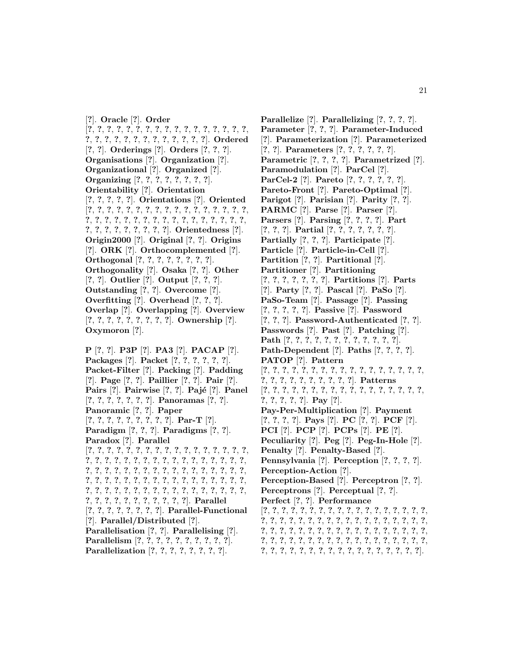[**?**]. **Oracle** [**?**]. **Order** [**?**, **?**, **?**, **?**, **?**, **?**, **?**, **?**, **?**, **?**, **?**, **?**, **?**, **?**, **?**, **?**, **?**, **?**, **?**, **?**, **?**, **?**, **?**, **?**, **?**, **?**, **?**, **?**, **?**, **?**]. **Ordered** [**?**, **?**]. **Orderings** [**?**]. **Orders** [**?**, **?**, **?**]. **Organisations** [**?**]. **Organization** [**?**]. **Organizational** [**?**]. **Organized** [**?**]. **Organizing** [**?**, **?**, **?**, **?**, **?**, **?**, **?**, **?**]. **Orientability** [**?**]. **Orientation** [**?**, **?**, **?**, **?**, **?**]. **Orientations** [**?**]. **Oriented** [**?**, **?**, **?**, **?**, **?**, **?**, **?**, **?**, **?**, **?**, **?**, **?**, **?**, **?**, **?**, **?**, **?**, **?**, **?**, **?**, **?**, **?**, **?**, **?**, **?**, **?**, **?**, **?**, **?**, **?**, **?**, **?**, **?**, **?**, **?**, **?**, **?**, **?**, **?**, **?**, **?**, **?**, **?**]. **Orientedness** [**?**]. **Origin2000** [**?**]. **Original** [**?**, **?**]. **Origins** [**?**]. **ORK** [**?**]. **Orthocomplemented** [**?**]. **Orthogonal** [**?**, **?**, **?**, **?**, **?**, **?**, **?**, **?**]. **Orthogonality** [**?**]. **Osaka** [**?**, **?**]. **Other** [**?**, **?**]. **Outlier** [**?**]. **Output** [**?**, **?**, **?**]. **Outstanding** [**?**, **?**]. **Overcome** [**?**]. **Overfitting** [**?**]. **Overhead** [**?**, **?**, **?**]. **Overlap** [**?**]. **Overlapping** [**?**]. **Overview** [**?**, **?**, **?**, **?**, **?**, **?**, **?**, **?**, **?**]. **Ownership** [**?**]. **Oxymoron** [**?**].

**P** [**?**, **?**]. **P3P** [**?**]. **PA3** [**?**]. **PACAP** [**?**]. **Packages** [**?**]. **Packet** [**?**, **?**, **?**, **?**, **?**, **?**]. **Packet-Filter** [**?**]. **Packing** [**?**]. **Padding** [**?**]. **Page** [**?**, **?**]. **Paillier** [**?**, **?**]. **Pair** [**?**]. **Pairs** [?]. **Pairwise** [?, ?]. **Pajé** [?]. **Panel** [**?**, **?**, **?**, **?**, **?**, **?**, **?**]. **Panoramas** [**?**, **?**]. **Panoramic** [**?**, **?**]. **Paper** [**?**, **?**, **?**, **?**, **?**, **?**, **?**, **?**, **?**]. **Par-T** [**?**]. **Paradigm** [**?**, **?**, **?**]. **Paradigms** [**?**, **?**]. **Paradox** [**?**]. **Parallel** [**?**, **?**, **?**, **?**, **?**, **?**, **?**, **?**, **?**, **?**, **?**, **?**, **?**, **?**, **?**, **?**, **?**, **?**, **?**, **?**, **?**, **?**, **?**, **?**, **?**, **?**, **?**, **?**, **?**, **?**, **?**, **?**, **?**, **?**, **?**, **?**, **?**, **?**, **?**, **?**, **?**, **?**, **?**, **?**, **?**, **?**, **?**, **?**, **?**, **?**, **?**, **?**, **?**, **?**, **?**, **?**, **?**, **?**, **?**, **?**, **?**, **?**, **?**, **?**, **?**, **?**, **?**, **?**, **?**, **?**, **?**, **?**, **?**, **?**, **?**, **?**, **?**, **?**, **?**, **?**, **?**, **?**, **?**, **?**, **?**, **?**, **?**, **?**, **?**, **?**, **?**, **?**, **?**, **?**, **?**, **?**]. **Parallel** [**?**, **?**, **?**, **?**, **?**, **?**, **?**, **?**]. **Parallel-Functional** [**?**]. **Parallel/Distributed** [**?**]. **Parallelisation** [**?**, **?**]. **Parallelising** [**?**]. **Parallelism** [**?**, **?**, **?**, **?**, **?**, **?**, **?**, **?**, **?**, **?**]. **Parallelization** [**?**, **?**, **?**, **?**, **?**, **?**, **?**, **?**].

**Parallelize** [**?**]. **Parallelizing** [**?**, **?**, **?**, **?**]. **Parameter** [**?**, **?**, **?**]. **Parameter-Induced** [**?**]. **Parameterization** [**?**]. **Parameterized** [**?**, **?**]. **Parameters** [**?**, **?**, **?**, **?**, **?**, **?**]. **Parametric** [**?**, **?**, **?**, **?**]. **Parametrized** [**?**]. **Paramodulation** [**?**]. **ParCel** [**?**]. **ParCel-2** [**?**]. **Pareto** [**?**, **?**, **?**, **?**, **?**, **?**]. **Pareto-Front** [**?**]. **Pareto-Optimal** [**?**]. **Parigot** [**?**]. **Parisian** [**?**]. **Parity** [**?**, **?**]. **PARMC** [**?**]. **Parse** [**?**]. **Parser** [**?**]. **Parsers** [**?**]. **Parsing** [**?**, **?**, **?**, **?**]. **Part** [**?**, **?**, **?**]. **Partial** [**?**, **?**, **?**, **?**, **?**, **?**, **?**]. **Partially** [**?**, **?**, **?**]. **Participate** [**?**]. **Particle** [**?**]. **Particle-in-Cell** [**?**]. **Partition** [**?**, **?**]. **Partitional** [**?**]. **Partitioner** [**?**]. **Partitioning** [**?**, **?**, **?**, **?**, **?**, **?**, **?**]. **Partitions** [**?**]. **Parts** [**?**]. **Party** [**?**, **?**]. **Pascal** [**?**]. **PaSo** [**?**]. **PaSo-Team** [**?**]. **Passage** [**?**]. **Passing** [**?**, **?**, **?**, **?**, **?**]. **Passive** [**?**]. **Password** [**?**, **?**, **?**]. **Password-Authenticated** [**?**, **?**]. **Passwords** [**?**]. **Past** [**?**]. **Patching** [**?**]. **Path** [**?**, **?**, **?**, **?**, **?**, **?**, **?**, **?**, **?**, **?**, **?**, **?**]. **Path-Dependent** [**?**]. **Paths** [**?**, **?**, **?**, **?**]. **PATOP** [**?**]. **Pattern** [**?**, **?**, **?**, **?**, **?**, **?**, **?**, **?**, **?**, **?**, **?**, **?**, **?**, **?**, **?**, **?**, **?**, **?**, **?**, **?**, **?**, **?**, **?**, **?**, **?**, **?**, **?**]. **Patterns** [**?**, **?**, **?**, **?**, **?**, **?**, **?**, **?**, **?**, **?**, **?**, **?**, **?**, **?**, **?**, **?**, **?**, **?**, **?**, **?**, **?**, **?**]. **Pay** [**?**]. **Pay-Per-Multiplication** [**?**]. **Payment** [**?**, **?**, **?**, **?**]. **Pays** [**?**]. **PC** [**?**, **?**]. **PCF** [**?**]. **PCI** [**?**]. **PCP** [**?**]. **PCPs** [**?**]. **PE** [**?**]. **Peculiarity** [**?**]. **Peg** [**?**]. **Peg-In-Hole** [**?**]. **Penalty** [**?**]. **Penalty-Based** [**?**]. **Pennsylvania** [**?**]. **Perception** [**?**, **?**, **?**, **?**]. **Perception-Action** [**?**]. **Perception-Based** [**?**]. **Perceptron** [**?**, **?**]. **Perceptrons** [**?**]. **Perceptual** [**?**, **?**]. **Perfect** [**?**, **?**]. **Performance** [**?**, **?**, **?**, **?**, **?**, **?**, **?**, **?**, **?**, **?**, **?**, **?**, **?**, **?**, **?**, **?**, **?**, **?**, **?**, **?**, **?**, **?**, **?**, **?**, **?**, **?**, **?**, **?**, **?**, **?**, **?**, **?**, **?**, **?**, **?**, **?**, **?**, **?**, **?**, **?**, **?**, **?**, **?**, **?**, **?**, **?**, **?**, **?**, **?**, **?**, **?**, **?**, **?**, **?**, **?**, **?**, **?**, **?**, **?**, **?**, **?**, **?**, **?**, **?**, **?**, **?**, **?**, **?**, **?**, **?**, **?**, **?**, **?**, **?**, **?**, **?**, **?**, **?**, **?**, **?**, **?**, **?**, **?**, **?**, **?**, **?**, **?**, **?**, **?**].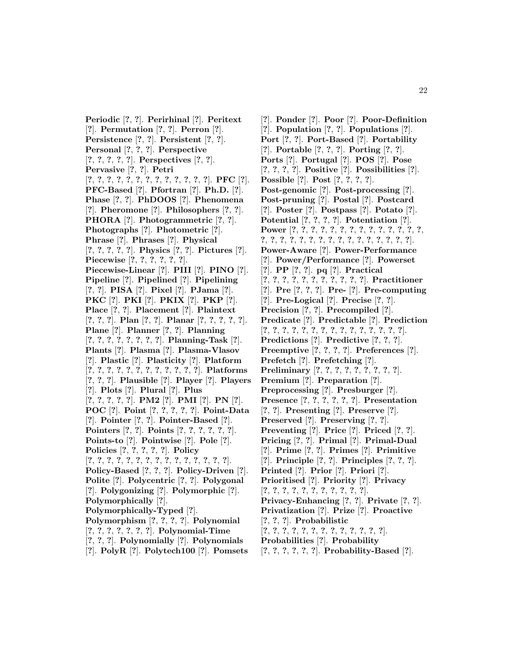**Periodic** [**?**, **?**]. **Perirhinal** [**?**]. **Peritext** [**?**]. **Permutation** [**?**, **?**]. **Perron** [**?**]. **Persistence** [**?**, **?**]. **Persistent** [**?**, **?**]. **Personal** [**?**, **?**, **?**]. **Perspective** [**?**, **?**, **?**, **?**, **?**]. **Perspectives** [**?**, **?**]. **Pervasive** [**?**, **?**]. **Petri** [**?**, **?**, **?**, **?**, **?**, **?**, **?**, **?**, **?**, **?**, **?**, **?**, **?**]. **PFC** [**?**]. **PFC-Based** [**?**]. **Pfortran** [**?**]. **Ph.D.** [**?**]. **Phase** [**?**, **?**]. **PhDOOS** [**?**]. **Phenomena** [**?**]. **Pheromone** [**?**]. **Philosophers** [**?**, **?**]. **PHORA** [**?**]. **Photogrammetric** [**?**, **?**]. **Photographs** [**?**]. **Photometric** [**?**]. **Phrase** [**?**]. **Phrases** [**?**]. **Physical** [**?**, **?**, **?**, **?**, **?**]. **Physics** [**?**, **?**]. **Pictures** [**?**]. **Piecewise** [**?**, **?**, **?**, **?**, **?**, **?**]. **Piecewise-Linear** [**?**]. **PIII** [**?**]. **PINO** [**?**]. **Pipeline** [**?**]. **Pipelined** [**?**]. **Pipelining** [**?**, **?**]. **PISA** [**?**]. **Pixel** [**?**]. **PJama** [**?**]. **PKC** [**?**]. **PKI** [**?**]. **PKIX** [**?**]. **PKP** [**?**]. **Place** [**?**, **?**]. **Placement** [**?**]. **Plaintext** [**?**, **?**, **?**]. **Plan** [**?**, **?**]. **Planar** [**?**, **?**, **?**, **?**, **?**]. **Plane** [**?**]. **Planner** [**?**, **?**]. **Planning** [**?**, **?**, **?**, **?**, **?**, **?**, **?**, **?**]. **Planning-Task** [**?**]. **Plants** [**?**]. **Plasma** [**?**]. **Plasma-Vlasov** [**?**]. **Plastic** [**?**]. **Plasticity** [**?**]. **Platform** [**?**, **?**, **?**, **?**, **?**, **?**, **?**, **?**, **?**, **?**, **?**, **?**]. **Platforms** [**?**, **?**, **?**]. **Plausible** [**?**]. **Player** [**?**]. **Players** [**?**]. **Plots** [**?**]. **Plural** [**?**]. **Plus** [**?**, **?**, **?**, **?**, **?**]. **PM2** [**?**]. **PMI** [**?**]. **PN** [**?**]. **POC** [**?**]. **Point** [**?**, **?**, **?**, **?**, **?**]. **Point-Data** [**?**]. **Pointer** [**?**, **?**]. **Pointer-Based** [**?**]. **Pointers** [**?**, **?**]. **Points** [**?**, **?**, **?**, **?**, **?**, **?**]. **Points-to** [**?**]. **Pointwise** [**?**]. **Pole** [**?**]. **Policies** [**?**, **?**, **?**, **?**, **?**]. **Policy** [**?**, **?**, **?**, **?**, **?**, **?**, **?**, **?**, **?**, **?**, **?**, **?**, **?**, **?**, **?**]. **Policy-Based** [**?**, **?**, **?**]. **Policy-Driven** [**?**]. **Polite** [**?**]. **Polycentric** [**?**, **?**]. **Polygonal** [**?**]. **Polygonizing** [**?**]. **Polymorphic** [**?**]. **Polymorphically** [**?**]. **Polymorphically-Typed** [**?**]. **Polymorphism** [**?**, **?**, **?**, **?**]. **Polynomial** [**?**, **?**, **?**, **?**, **?**, **?**, **?**]. **Polynomial-Time** [**?**, **?**, **?**]. **Polynomially** [**?**]. **Polynomials** [**?**]. **PolyR** [**?**]. **Polytech100** [**?**]. **Pomsets**

[**?**]. **Ponder** [**?**]. **Poor** [**?**]. **Poor-Definition** [**?**]. **Population** [**?**, **?**]. **Populations** [**?**]. **Port** [**?**, **?**]. **Port-Based** [**?**]. **Portability** [**?**]. **Portable** [**?**, **?**, **?**]. **Porting** [**?**, **?**]. **Ports** [**?**]. **Portugal** [**?**]. **POS** [**?**]. **Pose** [**?**, **?**, **?**, **?**]. **Positive** [**?**]. **Possibilities** [**?**]. **Possible** [**?**]. **Post** [**?**, **?**, **?**, **?**]. **Post-genomic** [**?**]. **Post-processing** [**?**]. **Post-pruning** [**?**]. **Postal** [**?**]. **Postcard** [**?**]. **Poster** [**?**]. **Postpass** [**?**]. **Potato** [**?**]. **Potential** [**?**, **?**, **?**, **?**]. **Potentiation** [**?**]. **Power** [**?**, **?**, **?**, **?**, **?**, **?**, **?**, **?**, **?**, **?**, **?**, **?**, **?**, **?**, **?**, **?**, **?**, **?**, **?**, **?**, **?**, **?**, **?**, **?**, **?**, **?**, **?**, **?**, **?**, **?**]. **Power-Aware** [**?**]. **Power-Performance** [**?**]. **Power/Performance** [**?**]. **Powerset** [**?**]. **PP** [**?**, **?**]. **pq** [**?**]. **Practical** [**?**, **?**, **?**, **?**, **?**, **?**, **?**, **?**, **?**, **?**, **?**]. **Practitioner** [**?**]. **Pre** [**?**, **?**, **?**]. **Pre-** [**?**]. **Pre-computing** [**?**]. **Pre-Logical** [**?**]. **Precise** [**?**, **?**]. **Precision** [**?**, **?**]. **Precompiled** [**?**]. **Predicate** [**?**]. **Predictable** [**?**]. **Prediction** [**?**, **?**, **?**, **?**, **?**, **?**, **?**, **?**, **?**, **?**, **?**, **?**, **?**, **?**, **?**]. **Predictions** [**?**]. **Predictive** [**?**, **?**, **?**]. **Preemptive** [**?**, **?**, **?**, **?**]. **Preferences** [**?**]. **Prefetch** [**?**]. **Prefetching** [**?**]. **Preliminary** [**?**, **?**, **?**, **?**, **?**, **?**, **?**, **?**, **?**]. **Premium** [**?**]. **Preparation** [**?**]. **Preprocessing** [**?**]. **Presburger** [**?**]. **Presence** [**?**, **?**, **?**, **?**, **?**, **?**]. **Presentation** [**?**, **?**]. **Presenting** [**?**]. **Preserve** [**?**]. **Preserved** [**?**]. **Preserving** [**?**, **?**]. **Preventing** [**?**]. **Price** [**?**]. **Priced** [**?**, **?**]. **Pricing** [**?**, **?**]. **Primal** [**?**]. **Primal-Dual** [**?**]. **Prime** [**?**, **?**]. **Primes** [**?**]. **Primitive** [**?**]. **Principle** [**?**, **?**]. **Principles** [**?**, **?**, **?**]. **Printed** [**?**]. **Prior** [**?**]. **Priori** [**?**]. **Prioritised** [**?**]. **Priority** [**?**]. **Privacy** [**?**, **?**, **?**, **?**, **?**, **?**, **?**, **?**, **?**, **?**, **?**]. **Privacy-Enhancing** [**?**, **?**]. **Private** [**?**, **?**]. **Privatization** [**?**]. **Prize** [**?**]. **Proactive** [**?**, **?**, **?**]. **Probabilistic** [**?**, **?**, **?**, **?**, **?**, **?**, **?**, **?**, **?**, **?**, **?**, **?**, **?**]. **Probabilities** [**?**]. **Probability** [**?**, **?**, **?**, **?**, **?**, **?**]. **Probability-Based** [**?**].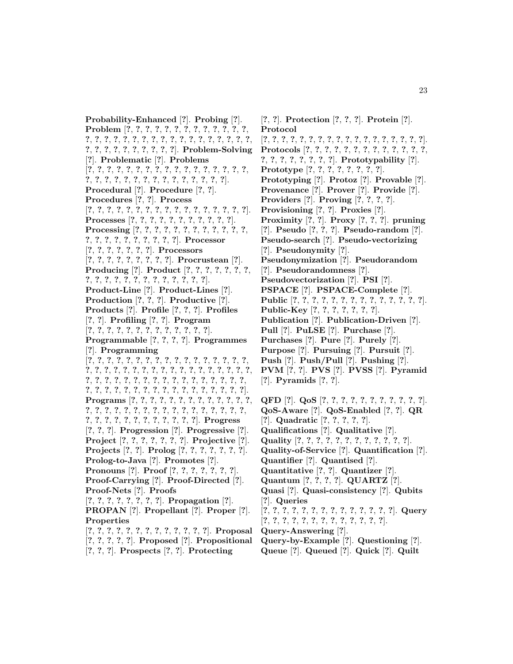**Probability-Enhanced** [**?**]. **Probing** [**?**]. **Problem** [**?**, **?**, **?**, **?**, **?**, **?**, **?**, **?**, **?**, **?**, **?**, **?**, **?**, **?**, **?**, **?**, **?**, **?**, **?**, **?**, **?**, **?**, **?**, **?**, **?**, **?**, **?**, **?**, **?**, **?**, **?**, **?**, **?**, **?**, **?**, **?**, **?**, **?**, **?**, **?**, **?**]. **Problem-Solving** [**?**]. **Problematic** [**?**]. **Problems** [**?**, **?**, **?**, **?**, **?**, **?**, **?**, **?**, **?**, **?**, **?**, **?**, **?**, **?**, **?**, **?**, **?**, **?**, **?**, **?**, **?**, **?**, **?**, **?**, **?**, **?**, **?**, **?**, **?**, **?**, **?**, **?**]. **Procedural** [**?**]. **Procedure** [**?**, **?**]. **Procedures** [**?**, **?**]. **Process** [**?**, **?**, **?**, **?**, **?**, **?**, **?**, **?**, **?**, **?**, **?**, **?**, **?**, **?**, **?**, **?**, **?**]. **Processes** [**?**, **?**, **?**, **?**, **?**, **?**, **?**, **?**, **?**, **?**, **?**]. **Processing** [**?**, **?**, **?**, **?**, **?**, **?**, **?**, **?**, **?**, **?**, **?**, **?**, **?**, **?**, **?**, **?**, **?**, **?**, **?**, **?**, **?**, **?**]. **Processor** [**?**, **?**, **?**, **?**, **?**, **?**, **?**]. **Processors** [**?**, **?**, **?**, **?**, **?**, **?**, **?**, **?**, **?**]. **Procrustean** [**?**]. **Producing** [**?**]. **Product** [**?**, **?**, **?**, **?**, **?**, **?**, **?**, **?**, **?**, **?**, **?**, **?**, **?**, **?**, **?**, **?**, **?**, **?**, **?**, **?**]. **Product-Line** [**?**]. **Product-Lines** [**?**]. **Production** [**?**, **?**, **?**]. **Productive** [**?**]. **Products** [**?**]. **Profile** [**?**, **?**, **?**]. **Profiles** [**?**, **?**]. **Profiling** [**?**, **?**]. **Program** [**?**, **?**, **?**, **?**, **?**, **?**, **?**, **?**, **?**, **?**, **?**, **?**, **?**]. **Programmable** [**?**, **?**, **?**, **?**]. **Programmes** [**?**]. **Programming** [**?**, **?**, **?**, **?**, **?**, **?**, **?**, **?**, **?**, **?**, **?**, **?**, **?**, **?**, **?**, **?**, **?**, **?**, **?**, **?**, **?**, **?**, **?**, **?**, **?**, **?**, **?**, **?**, **?**, **?**, **?**, **?**, **?**, **?**, **?**, **?**, **?**, **?**, **?**, **?**, **?**, **?**, **?**, **?**, **?**, **?**, **?**, **?**, **?**, **?**, **?**, **?**, **?**, **?**, **?**, **?**, **?**, **?**, **?**, **?**, **?**, **?**, **?**, **?**, **?**, **?**, **?**, **?**, **?**]. **Programs** [**?**, **?**, **?**, **?**, **?**, **?**, **?**, **?**, **?**, **?**, **?**, **?**, **?**, **?**, **?**, **?**, **?**, **?**, **?**, **?**, **?**, **?**, **?**, **?**, **?**, **?**, **?**, **?**, **?**, **?**, **?**, **?**, **?**, **?**, **?**, **?**, **?**, **?**, **?**, **?**, **?**, **?**]. **Progress** [**?**, **?**, **?**]. **Progression** [**?**]. **Progressive** [**?**]. **Project** [**?**, **?**, **?**, **?**, **?**, **?**, **?**]. **Projective** [**?**]. **Projects** [**?**, **?**]. **Prolog** [**?**, **?**, **?**, **?**, **?**, **?**, **?**]. **Prolog-to-Java** [**?**]. **Promotes** [**?**]. **Pronouns** [**?**]. **Proof** [**?**, **?**, **?**, **?**, **?**, **?**, **?**]. **Proof-Carrying** [**?**]. **Proof-Directed** [**?**]. **Proof-Nets** [**?**]. **Proofs** [**?**, **?**, **?**, **?**, **?**, **?**, **?**, **?**]. **Propagation** [**?**]. **PROPAN** [**?**]. **Propellant** [**?**]. **Proper** [**?**]. **Properties** [**?**, **?**, **?**, **?**, **?**, **?**, **?**, **?**, **?**, **?**, **?**, **?**, **?**]. **Proposal** [**?**, **?**, **?**, **?**, **?**]. **Proposed** [**?**]. **Propositional**

[**?**, **?**, **?**]. **Prospects** [**?**, **?**]. **Protecting**

[**?**, **?**]. **Protection** [**?**, **?**, **?**]. **Protein** [**?**]. **Protocol** [**?**, **?**, **?**, **?**, **?**, **?**, **?**, **?**, **?**, **?**, **?**, **?**, **?**, **?**, **?**, **?**, **?**, **?**]. **Protocols** [**?**, **?**, **?**, **?**, **?**, **?**, **?**, **?**, **?**, **?**, **?**, **?**, **?**, **?**, **?**, **?**, **?**, **?**, **?**, **?**, **?**]. **Prototypability** [**?**]. **Prototype** [**?**, **?**, **?**, **?**, **?**, **?**, **?**, **?**]. **Prototyping** [**?**]. **Protoz** [**?**]. **Provable** [**?**]. **Provenance** [**?**]. **Prover** [**?**]. **Provide** [**?**]. **Providers** [**?**]. **Proving** [**?**, **?**, **?**, **?**]. **Provisioning** [**?**, **?**]. **Proxies** [**?**]. **Proximity** [**?**, **?**]. **Proxy** [**?**, **?**, **?**]. **pruning** [**?**]. **Pseudo** [**?**, **?**, **?**]. **Pseudo-random** [**?**]. **Pseudo-search** [**?**]. **Pseudo-vectorizing** [**?**]. **Pseudonymity** [**?**]. **Pseudonymization** [**?**]. **Pseudorandom** [**?**]. **Pseudorandomness** [**?**]. **Pseudovectorization** [**?**]. **PSI** [**?**]. **PSPACE** [**?**]. **PSPACE-Complete** [**?**]. **Public** [**?**, **?**, **?**, **?**, **?**, **?**, **?**, **?**, **?**, **?**, **?**, **?**, **?**, **?**]. **Public-Key** [**?**, **?**, **?**, **?**, **?**, **?**, **?**]. **Publication** [**?**]. **Publication-Driven** [**?**]. **Pull** [**?**]. **PuLSE** [**?**]. **Purchase** [**?**]. **Purchases** [**?**]. **Pure** [**?**]. **Purely** [**?**]. **Purpose** [**?**]. **Pursuing** [**?**]. **Pursuit** [**?**]. **Push** [**?**]. **Push/Pull** [**?**]. **Pushing** [**?**]. **PVM** [**?**, **?**]. **PVS** [**?**]. **PVSS** [**?**]. **Pyramid** [**?**]. **Pyramids** [**?**, **?**].

- **QFD** [**?**]. **QoS** [**?**, **?**, **?**, **?**, **?**, **?**, **?**, **?**, **?**, **?**, **?**]. **QoS-Aware** [**?**]. **QoS-Enabled** [**?**, **?**]. **QR** [**?**]. **Quadratic** [**?**, **?**, **?**, **?**, **?**]. **Qualifications** [**?**]. **Qualitative** [**?**]. **Quality** [**?**, **?**, **?**, **?**, **?**, **?**, **?**, **?**, **?**, **?**, **?**, **?**]. **Quality-of-Service** [**?**]. **Quantification** [**?**]. **Quantifier** [**?**]. **Quantised** [**?**]. **Quantitative** [**?**, **?**]. **Quantizer** [**?**]. **Quantum** [**?**, **?**, **?**, **?**]. **QUARTZ** [**?**]. **Quasi** [**?**]. **Quasi-consistency** [**?**]. **Qubits** [**?**]. **Queries** [**?**, **?**, **?**, **?**, **?**, **?**, **?**, **?**, **?**, **?**, **?**, **?**, **?**, **?**]. **Query** [**?**, **?**, **?**, **?**, **?**, **?**, **?**, **?**, **?**, **?**, **?**, **?**, **?**]. **Query-Answering** [**?**].
- **Query-by-Example** [**?**]. **Questioning** [**?**].
- **Queue** [**?**]. **Queued** [**?**]. **Quick** [**?**]. **Quilt**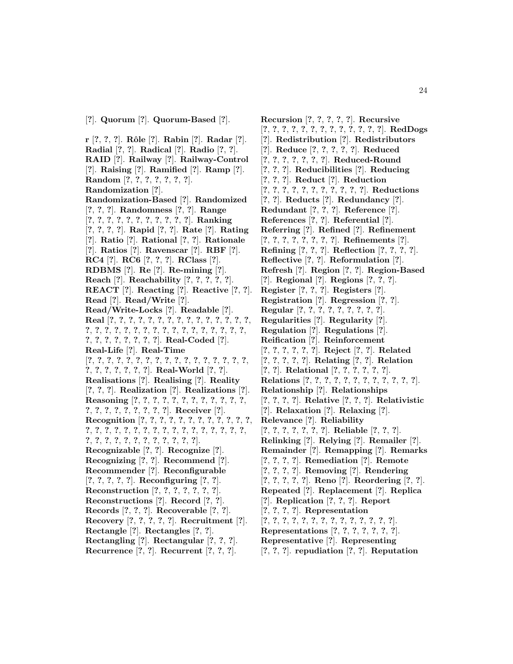**r** [**?**, **?**, **?**]. **Rˆole** [**?**]. **Rabin** [**?**]. **Radar** [**?**]. **Radial** [**?**, **?**]. **Radical** [**?**]. **Radio** [**?**, **?**]. **RAID** [**?**]. **Railway** [**?**]. **Railway-Control** [**?**]. **Raising** [**?**]. **Ramified** [**?**]. **Ramp** [**?**]. **Random** [**?**, **?**, **?**, **?**, **?**, **?**, **?**]. **Randomization** [**?**]. **Randomization-Based** [**?**]. **Randomized** [**?**, **?**, **?**]. **Randomness** [**?**, **?**]. **Range** [**?**, **?**, **?**, **?**, **?**, **?**, **?**, **?**, **?**, **?**, **?**]. **Ranking** [**?**, **?**, **?**, **?**]. **Rapid** [**?**, **?**]. **Rate** [**?**]. **Rating** [**?**]. **Ratio** [**?**]. **Rational** [**?**, **?**]. **Rationale** [**?**]. **Ratios** [**?**]. **Ravenscar** [**?**]. **RBF** [**?**]. **RC4** [**?**]. **RC6** [**?**, **?**, **?**]. **RClass** [**?**]. **RDBMS** [**?**]. **Re** [**?**]. **Re-mining** [**?**]. **Reach** [**?**]. **Reachability** [**?**, **?**, **?**, **?**, **?**]. **REACT** [**?**]. **Reacting** [**?**]. **Reactive** [**?**, **?**]. **Read** [**?**]. **Read/Write** [**?**]. **Read/Write-Locks** [**?**]. **Readable** [**?**]. **Real** [**?**, **?**, **?**, **?**, **?**, **?**, **?**, **?**, **?**, **?**, **?**, **?**, **?**, **?**, **?**, **?**, **?**, **?**, **?**, **?**, **?**, **?**, **?**, **?**, **?**, **?**, **?**, **?**, **?**, **?**, **?**, **?**, **?**, **?**, **?**, **?**, **?**, **?**, **?**, **?**]. **Real-Coded** [**?**]. **Real-Life** [**?**]. **Real-Time** [**?**, **?**, **?**, **?**, **?**, **?**, **?**, **?**, **?**, **?**, **?**, **?**, **?**, **?**, **?**, **?**, **?**, **?**, **?**, **?**, **?**, **?**, **?**, **?**]. **Real-World** [**?**, **?**]. **Realisations** [**?**]. **Realising** [**?**]. **Reality** [**?**, **?**, **?**]. **Realization** [**?**]. **Realizations** [**?**]. **Reasoning** [**?**, **?**, **?**, **?**, **?**, **?**, **?**, **?**, **?**, **?**, **?**, **?**, **?**, **?**, **?**, **?**, **?**, **?**, **?**, **?**, **?**]. **Receiver** [**?**]. **Recognition** [**?**, **?**, **?**, **?**, **?**, **?**, **?**, **?**, **?**, **?**, **?**, **?**, **?**, **?**, **?**, **?**, **?**, **?**, **?**, **?**, **?**, **?**, **?**, **?**, **?**, **?**, **?**, **?**, **?**, **?**, **?**, **?**, **?**, **?**, **?**, **?**, **?**, **?**, **?**, **?**, **?**]. **Recognizable** [**?**, **?**]. **Recognize** [**?**]. **Recognizing** [**?**, **?**]. **Recommend** [**?**]. **Recommender** [**?**]. **Reconfigurable** [**?**, **?**, **?**, **?**, **?**]. **Reconfiguring** [**?**, **?**]. **Reconstruction** [**?**, **?**, **?**, **?**, **?**, **?**, **?**]. **Reconstructions** [**?**]. **Record** [**?**, **?**]. **Records** [**?**, **?**, **?**]. **Recoverable** [**?**, **?**]. **Recovery** [**?**, **?**, **?**, **?**, **?**]. **Recruitment** [**?**]. **Rectangle** [**?**]. **Rectangles** [**?**, **?**]. **Rectangling** [**?**]. **Rectangular** [**?**, **?**, **?**]. **Recurrence** [**?**, **?**]. **Recurrent** [**?**, **?**, **?**].

**Recursion** [**?**, **?**, **?**, **?**, **?**]. **Recursive** [**?**, **?**, **?**, **?**, **?**, **?**, **?**, **?**, **?**, **?**, **?**, **?**, **?**]. **RedDogs** [**?**]. **Redistribution** [**?**]. **Redistributors** [**?**]. **Reduce** [**?**, **?**, **?**, **?**, **?**]. **Reduced** [**?**, **?**, **?**, **?**, **?**, **?**, **?**]. **Reduced-Round** [**?**, **?**, **?**]. **Reducibilities** [**?**]. **Reducing** [**?**, **?**, **?**]. **Reduct** [**?**]. **Reduction** [**?**, **?**, **?**, **?**, **?**, **?**, **?**, **?**, **?**, **?**, **?**]. **Reductions** [**?**, **?**]. **Reducts** [**?**]. **Redundancy** [**?**]. **Redundant** [**?**, **?**, **?**]. **Reference** [**?**]. **References** [**?**, **?**]. **Referential** [**?**]. **Referring** [**?**]. **Refined** [**?**]. **Refinement** [**?**, **?**, **?**, **?**, **?**, **?**, **?**, **?**]. **Refinements** [**?**]. **Refining** [**?**, **?**, **?**]. **Reflection** [**?**, **?**, **?**, **?**]. **Reflective** [**?**, **?**]. **Reformulation** [**?**]. **Refresh** [**?**]. **Region** [**?**, **?**]. **Region-Based** [**?**]. **Regional** [**?**]. **Regions** [**?**, **?**, **?**]. **Register** [**?**, **?**, **?**]. **Registers** [**?**]. **Registration** [**?**]. **Regression** [**?**, **?**]. **Regular** [**?**, **?**, **?**, **?**, **?**, **?**, **?**, **?**, **?**]. **Regularities** [**?**]. **Regularity** [**?**]. **Regulation** [**?**]. **Regulations** [**?**]. **Reification** [**?**]. **Reinforcement** [**?**, **?**, **?**, **?**, **?**, **?**]. **Reject** [**?**, **?**]. **Related** [**?**, **?**, **?**, **?**, **?**]. **Relating** [**?**, **?**]. **Relation** [**?**, **?**]. **Relational** [**?**, **?**, **?**, **?**, **?**, **?**]. **Relations** [**?**, **?**, **?**, **?**, **?**, **?**, **?**, **?**, **?**, **?**, **?**, **?**]. **Relationship** [**?**]. **Relationships** [**?**, **?**, **?**, **?**]. **Relative** [**?**, **?**, **?**]. **Relativistic** [**?**]. **Relaxation** [**?**]. **Relaxing** [**?**]. **Relevance** [**?**]. **Reliability** [**?**, **?**, **?**, **?**, **?**, **?**, **?**]. **Reliable** [**?**, **?**, **?**]. **Relinking** [**?**]. **Relying** [**?**]. **Remailer** [**?**]. **Remainder** [**?**]. **Remapping** [**?**]. **Remarks** [**?**, **?**, **?**, **?**]. **Remediation** [**?**]. **Remote** [**?**, **?**, **?**, **?**]. **Removing** [**?**]. **Rendering** [**?**, **?**, **?**, **?**, **?**]. **Reno** [**?**]. **Reordering** [**?**, **?**]. **Repeated** [**?**]. **Replacement** [**?**]. **Replica** [**?**]. **Replication** [**?**, **?**, **?**]. **Report** [**?**, **?**, **?**, **?**]. **Representation** [**?**, **?**, **?**, **?**, **?**, **?**, **?**, **?**, **?**, **?**, **?**, **?**, **?**, **?**]. **Representations** [**?**, **?**, **?**, **?**, **?**, **?**, **?**]. **Representative** [**?**]. **Representing**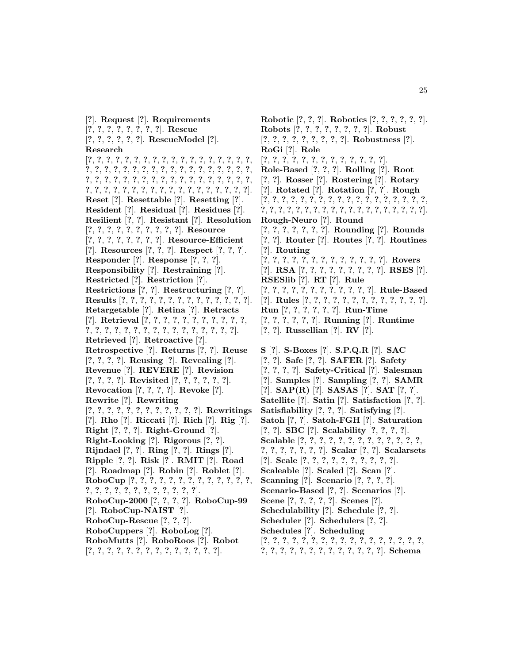[**?**]. **Request** [**?**]. **Requirements** [**?**, **?**, **?**, **?**, **?**, **?**, **?**, **?**]. **Rescue** [**?**, **?**, **?**, **?**, **?**, **?**]. **RescueModel** [**?**]. **Research** [**?**, **?**, **?**, **?**, **?**, **?**, **?**, **?**, **?**, **?**, **?**, **?**, **?**, **?**, **?**, **?**, **?**, **?**, **?**, **?**, **?**, **?**, **?**, **?**, **?**, **?**, **?**, **?**, **?**, **?**, **?**, **?**, **?**, **?**, **?**, **?**, **?**, **?**, **?**, **?**, **?**, **?**, **?**, **?**, **?**, **?**, **?**, **?**, **?**, **?**, **?**, **?**, **?**, **?**, **?**, **?**, **?**, **?**, **?**, **?**, **?**, **?**, **?**, **?**, **?**, **?**, **?**, **?**, **?**, **?**, **?**, **?**]. **Reset** [**?**]. **Resettable** [**?**]. **Resetting** [**?**]. **Resident** [**?**]. **Residual** [**?**]. **Residues** [**?**]. **Resilient** [**?**, **?**]. **Resistant** [**?**]. **Resolution** [**?**, **?**, **?**, **?**, **?**, **?**, **?**, **?**, **?**, **?**]. **Resource** [**?**, **?**, **?**, **?**, **?**, **?**, **?**, **?**]. **Resource-Efficient** [**?**]. **Resources** [**?**, **?**, **?**]. **Respect** [**?**, **?**, **?**]. **Responder** [**?**]. **Response** [**?**, **?**, **?**]. **Responsibility** [**?**]. **Restraining** [**?**]. **Restricted** [**?**]. **Restriction** [**?**]. **Restrictions** [**?**, **?**]. **Restructuring** [**?**, **?**]. **Results** [**?**, **?**, **?**, **?**, **?**, **?**, **?**, **?**, **?**, **?**, **?**, **?**, **?**, **?**]. **Retargetable** [**?**]. **Retina** [**?**]. **Retracts** [**?**]. **Retrieval** [**?**, **?**, **?**, **?**, **?**, **?**, **?**, **?**, **?**, **?**, **?**, **?**, **?**, **?**, **?**, **?**, **?**, **?**, **?**, **?**, **?**, **?**, **?**, **?**, **?**, **?**, **?**]. **Retrieved** [**?**]. **Retroactive** [**?**]. **Retrospective** [**?**]. **Returns** [**?**, **?**]. **Reuse** [**?**, **?**, **?**, **?**]. **Reusing** [**?**]. **Revealing** [**?**]. **Revenue** [**?**]. **REVERE** [**?**]. **Revision** [**?**, **?**, **?**, **?**]. **Revisited** [**?**, **?**, **?**, **?**, **?**, **?**]. **Revocation** [**?**, **?**, **?**, **?**]. **Revoke** [**?**]. **Rewrite** [**?**]. **Rewriting** [**?**, **?**, **?**, **?**, **?**, **?**, **?**, **?**, **?**, **?**, **?**, **?**]. **Rewritings** [**?**]. **Rho** [**?**]. **Riccati** [**?**]. **Rich** [**?**]. **Rig** [**?**]. **Right** [**?**, **?**, **?**]. **Right-Ground** [**?**]. **Right-Looking** [**?**]. **Rigorous** [**?**, **?**]. **Rijndael** [**?**, **?**]. **Ring** [**?**, **?**]. **Rings** [**?**]. **Ripple** [**?**, **?**]. **Risk** [**?**]. **RMIT** [**?**]. **Road** [**?**]. **Roadmap** [**?**]. **Robin** [**?**]. **Roblet** [**?**]. **RoboCup** [**?**, **?**, **?**, **?**, **?**, **?**, **?**, **?**, **?**, **?**, **?**, **?**, **?**, **?**, **?**, **?**, **?**, **?**, **?**, **?**, **?**, **?**, **?**, **?**, **?**]. **RoboCup-2000** [**?**, **?**, **?**, **?**]. **RoboCup-99** [**?**]. **RoboCup-NAIST** [**?**]. **RoboCup-Rescue** [**?**, **?**, **?**]. **RoboCuppers** [**?**]. **RoboLog** [**?**]. **RoboMutts** [**?**]. **RoboRoos** [**?**]. **Robot** [**?**, **?**, **?**, **?**, **?**, **?**, **?**, **?**, **?**, **?**, **?**, **?**, **?**, **?**].

**Robotic** [**?**, **?**, **?**]. **Robotics** [**?**, **?**, **?**, **?**, **?**, **?**]. **Robots** [**?**, **?**, **?**, **?**, **?**, **?**, **?**, **?**]. **Robust** [**?**, **?**, **?**, **?**, **?**, **?**, **?**, **?**, **?**]. **Robustness** [**?**]. **RoGi** [**?**]. **Role** [**?**, **?**, **?**, **?**, **?**, **?**, **?**, **?**, **?**, **?**, **?**, **?**, **?**]. **Role-Based** [**?**, **?**, **?**]. **Rolling** [**?**]. **Root** [**?**, **?**]. **Rosser** [**?**]. **Rostering** [**?**]. **Rotary** [**?**]. **Rotated** [**?**]. **Rotation** [**?**, **?**]. **Rough** [**?**, **?**, **?**, **?**, **?**, **?**, **?**, **?**, **?**, **?**, **?**, **?**, **?**, **?**, **?**, **?**, **?**, **?**, **?**, **?**, **?**, **?**, **?**, **?**, **?**, **?**, **?**, **?**, **?**, **?**, **?**, **?**, **?**, **?**, **?**, **?**, **?**]. **Rough-Neuro** [**?**]. **Round** [**?**, **?**, **?**, **?**, **?**, **?**, **?**]. **Rounding** [**?**]. **Rounds** [**?**, **?**]. **Router** [**?**]. **Routes** [**?**, **?**]. **Routines** [**?**]. **Routing** [**?**, **?**, **?**, **?**, **?**, **?**, **?**, **?**, **?**, **?**, **?**, **?**, **?**]. **Rovers** [**?**]. **RSA** [**?**, **?**, **?**, **?**, **?**, **?**, **?**, **?**, **?**]. **RSES** [**?**]. **RSESlib** [**?**]. **RT** [**?**]. **Rule** [**?**, **?**, **?**, **?**, **?**, **?**, **?**, **?**, **?**, **?**, **?**, **?**]. **Rule-Based** [**?**]. **Rules** [**?**, **?**, **?**, **?**, **?**, **?**, **?**, **?**, **?**, **?**, **?**, **?**, **?**]. **Run** [**?**, **?**, **?**, **?**, **?**, **?**]. **Run-Time** [**?**, **?**, **?**, **?**, **?**, **?**]. **Running** [**?**]. **Runtime** [**?**, **?**]. **Russellian** [**?**]. **RV** [**?**]. **S** [**?**]. **S-Boxes** [**?**]. **S.P.Q.R** [**?**]. **SAC** [**?**, **?**]. **Safe** [**?**, **?**]. **SAFER** [**?**]. **Safety** [**?**, **?**, **?**, **?**]. **Safety-Critical** [**?**]. **Salesman** [**?**]. **Samples** [**?**]. **Sampling** [**?**, **?**]. **SAMR** [**?**]. **SAP(R)** [**?**]. **SASAS** [**?**]. **SAT** [**?**, **?**]. **Satellite** [**?**]. **Satin** [**?**]. **Satisfaction** [**?**, **?**]. **Satisfiability** [**?**, **?**, **?**]. **Satisfying** [**?**]. **Satoh** [**?**, **?**]. **Satoh-FGH** [**?**]. **Saturation** [**?**, **?**]. **SBC** [**?**]. **Scalability** [**?**, **?**, **?**, **?**]. **Scalable** [**?**, **?**, **?**, **?**, **?**, **?**, **?**, **?**, **?**, **?**, **?**, **?**, **?**, **?**, **?**, **?**, **?**, **?**, **?**, **?**]. **Scalar** [**?**, **?**]. **Scalarsets** [**?**]. **Scale** [**?**, **?**, **?**, **?**, **?**, **?**, **?**, **?**, **?**, **?**]. **Scaleable** [**?**]. **Scaled** [**?**]. **Scan** [**?**]. **Scanning** [**?**]. **Scenario** [**?**, **?**, **?**, **?**]. **Scenario-Based** [**?**, **?**]. **Scenarios** [**?**]. **Scene** [**?**, **?**, **?**, **?**, **?**]. **Scenes** [**?**]. **Schedulability** [**?**]. **Schedule** [**?**, **?**]. **Scheduler** [**?**]. **Schedulers** [**?**, **?**].

- **Schedules** [**?**]. **Scheduling**
- [**?**, **?**, **?**, **?**, **?**, **?**, **?**, **?**, **?**, **?**, **?**, **?**, **?**, **?**, **?**, **?**, **?**, **?**, **?**, **?**, **?**, **?**, **?**, **?**, **?**, **?**, **?**, **?**, **?**, **?**]. **Schema**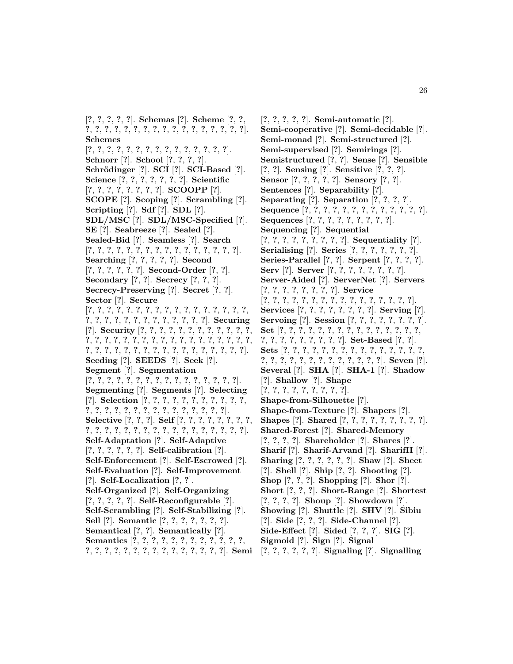[**?**, **?**, **?**, **?**, **?**]. **Schemas** [**?**]. **Scheme** [**?**, **?**, **?**, **?**, **?**, **?**, **?**, **?**, **?**, **?**, **?**, **?**, **?**, **?**, **?**, **?**, **?**, **?**, **?**]. **Schemes**

[**?**, **?**, **?**, **?**, **?**, **?**, **?**, **?**, **?**, **?**, **?**, **?**, **?**, **?**, **?**]. **Schnorr** [**?**]. **School** [**?**, **?**, **?**, **?**]. **Schr¨odinger** [**?**]. **SCI** [**?**]. **SCI-Based** [**?**]. **Science** [**?**, **?**, **?**, **?**, **?**, **?**, **?**]. **Scientific** [**?**, **?**, **?**, **?**, **?**, **?**, **?**, **?**]. **SCOOPP** [**?**]. **SCOPE** [**?**]. **Scoping** [**?**]. **Scrambling** [**?**]. **Scripting** [**?**]. **Sdf** [**?**]. **SDL** [**?**]. **SDL/MSC** [**?**]. **SDL/MSC-Specified** [**?**]. **SE** [**?**]. **Seabreeze** [**?**]. **Sealed** [**?**]. **Sealed-Bid** [**?**]. **Seamless** [**?**]. **Search** [**?**, **?**, **?**, **?**, **?**, **?**, **?**, **?**, **?**, **?**, **?**, **?**, **?**, **?**, **?**, **?**]. **Searching** [**?**, **?**, **?**, **?**, **?**]. **Second** [**?**, **?**, **?**, **?**, **?**, **?**]. **Second-Order** [**?**, **?**]. **Secondary** [**?**, **?**]. **Secrecy** [**?**, **?**, **?**]. **Secrecy-Preserving** [**?**]. **Secret** [**?**, **?**]. **Sector** [**?**]. **Secure** [**?**, **?**, **?**, **?**, **?**, **?**, **?**, **?**, **?**, **?**, **?**, **?**, **?**, **?**, **?**, **?**, **?**, **?**, **?**, **?**, **?**, **?**, **?**, **?**, **?**, **?**, **?**, **?**, **?**, **?**]. **Securing** [**?**]. **Security** [**?**, **?**, **?**, **?**, **?**, **?**, **?**, **?**, **?**, **?**, **?**, **?**, **?**, **?**, **?**, **?**, **?**, **?**, **?**, **?**, **?**, **?**, **?**, **?**, **?**, **?**, **?**, **?**, **?**, **?**, **?**, **?**, **?**, **?**, **?**, **?**, **?**, **?**, **?**, **?**, **?**, **?**, **?**, **?**, **?**, **?**, **?**]. **Seeding** [**?**]. **SEEDS** [**?**]. **Seek** [**?**]. **Segment** [**?**]. **Segmentation** [**?**, **?**, **?**, **?**, **?**, **?**, **?**, **?**, **?**, **?**, **?**, **?**, **?**, **?**, **?**, **?**]. **Segmenting** [**?**]. **Segments** [**?**]. **Selecting** [**?**]. **Selection** [**?**, **?**, **?**, **?**, **?**, **?**, **?**, **?**, **?**, **?**, **?**, **?**, **?**, **?**, **?**, **?**, **?**, **?**, **?**, **?**, **?**, **?**, **?**, **?**, **?**, **?**]. **Selective** [**?**, **?**, **?**]. **Self** [**?**, **?**, **?**, **?**, **?**, **?**, **?**, **?**, **?**, **?**, **?**, **?**, **?**, **?**, **?**, **?**, **?**, **?**, **?**, **?**, **?**, **?**, **?**, **?**, **?**]. **Self-Adaptation** [**?**]. **Self-Adaptive** [**?**, **?**, **?**, **?**, **?**, **?**]. **Self-calibration** [**?**]. **Self-Enforcement** [**?**]. **Self-Escrowed** [**?**]. **Self-Evaluation** [**?**]. **Self-Improvement** [**?**]. **Self-Localization** [**?**, **?**]. **Self-Organized** [**?**]. **Self-Organizing** [**?**, **?**, **?**, **?**, **?**]. **Self-Reconfigurable** [**?**]. **Self-Scrambling** [**?**]. **Self-Stabilizing** [**?**]. **Sell** [**?**]. **Semantic** [**?**, **?**, **?**, **?**, **?**, **?**, **?**]. **Semantical** [**?**, **?**]. **Semantically** [**?**]. **Semantics** [**?**, **?**, **?**, **?**, **?**, **?**, **?**, **?**, **?**, **?**, **?**, **?**,

**?**, **?**, **?**, **?**, **?**, **?**, **?**, **?**, **?**, **?**, **?**, **?**, **?**, **?**, **?**]. **Semi** [**?**, **?**, **?**, **?**, **?**, **?**]. **Signaling** [**?**]. **Signalling**

[**?**, **?**, **?**, **?**, **?**]. **Semi-automatic** [**?**]. **Semi-cooperative** [**?**]. **Semi-decidable** [**?**]. **Semi-monad** [**?**]. **Semi-structured** [**?**]. **Semi-supervised** [**?**]. **Semirings** [**?**]. **Semistructured** [**?**, **?**]. **Sense** [**?**]. **Sensible** [**?**, **?**]. **Sensing** [**?**]. **Sensitive** [**?**, **?**, **?**]. **Sensor** [**?**, **?**, **?**, **?**, **?**]. **Sensory** [**?**, **?**]. **Sentences** [**?**]. **Separability** [**?**]. **Separating** [**?**]. **Separation** [**?**, **?**, **?**, **?**]. **Sequence** [**?**, **?**, **?**, **?**, **?**, **?**, **?**, **?**, **?**, **?**, **?**, **?**, **?**]. **Sequences** [**?**, **?**, **?**, **?**, **?**, **?**, **?**, **?**, **?**]. **Sequencing** [**?**]. **Sequential** [**?**, **?**, **?**, **?**, **?**, **?**, **?**, **?**, **?**]. **Sequentiality** [**?**]. **Serialising** [**?**]. **Series** [**?**, **?**, **?**, **?**, **?**, **?**, **?**]. **Series-Parallel** [**?**, **?**]. **Serpent** [**?**, **?**, **?**, **?**]. **Serv** [**?**]. **Server** [**?**, **?**, **?**, **?**, **?**, **?**, **?**, **?**]. **Server-Aided** [**?**]. **ServerNet** [**?**]. **Servers** [**?**, **?**, **?**, **?**, **?**, **?**, **?**, **?**]. **Service** [**?**, **?**, **?**, **?**, **?**, **?**, **?**, **?**, **?**, **?**, **?**, **?**, **?**, **?**, **?**, **?**]. **Services** [**?**, **?**, **?**, **?**, **?**, **?**, **?**, **?**]. **Serving** [**?**]. **Servoing** [**?**]. **Session** [**?**, **?**, **?**, **?**, **?**, **?**, **?**, **?**]. **Set** [**?**, **?**, **?**, **?**, **?**, **?**, **?**, **?**, **?**, **?**, **?**, **?**, **?**, **?**, **?**, **?**, **?**, **?**, **?**, **?**, **?**, **?**, **?**, **?**]. **Set-Based** [**?**, **?**]. **Sets** [**?**, **?**, **?**, **?**, **?**, **?**, **?**, **?**, **?**, **?**, **?**, **?**, **?**, **?**, **?**, **?**, **?**, **?**, **?**, **?**, **?**, **?**, **?**, **?**, **?**, **?**, **?**, **?**]. **Seven** [**?**]. **Several** [**?**]. **SHA** [**?**]. **SHA-1** [**?**]. **Shadow** [**?**]. **Shallow** [**?**]. **Shape** [**?**, **?**, **?**, **?**, **?**, **?**, **?**, **?**, **?**]. **Shape-from-Silhouette** [**?**]. **Shape-from-Texture** [**?**]. **Shapers** [**?**]. **Shapes** [**?**]. **Shared** [**?**, **?**, **?**, **?**, **?**, **?**, **?**, **?**, **?**]. **Shared-Forest** [**?**]. **Shared-Memory** [**?**, **?**, **?**, **?**]. **Shareholder** [**?**]. **Shares** [**?**]. **Sharif** [**?**]. **Sharif-Arvand** [**?**]. **SharifII** [**?**]. **Sharing** [**?**, **?**, **?**, **?**, **?**, **?**]. **Shaw** [**?**]. **Sheet** [**?**]. **Shell** [**?**]. **Ship** [**?**, **?**]. **Shooting** [**?**]. **Shop** [**?**, **?**, **?**]. **Shopping** [**?**]. **Shor** [**?**]. **Short** [**?**, **?**, **?**]. **Short-Range** [**?**]. **Shortest** [**?**, **?**, **?**, **?**]. **Shoup** [**?**]. **Showdown** [**?**]. **Showing** [**?**]. **Shuttle** [**?**]. **SHV** [**?**]. **Sibiu** [**?**]. **Side** [**?**, **?**, **?**]. **Side-Channel** [**?**]. **Side-Effect** [**?**]. **Sided** [**?**, **?**, **?**]. **SIG** [**?**]. **Sigmoid** [**?**]. **Sign** [**?**]. **Signal**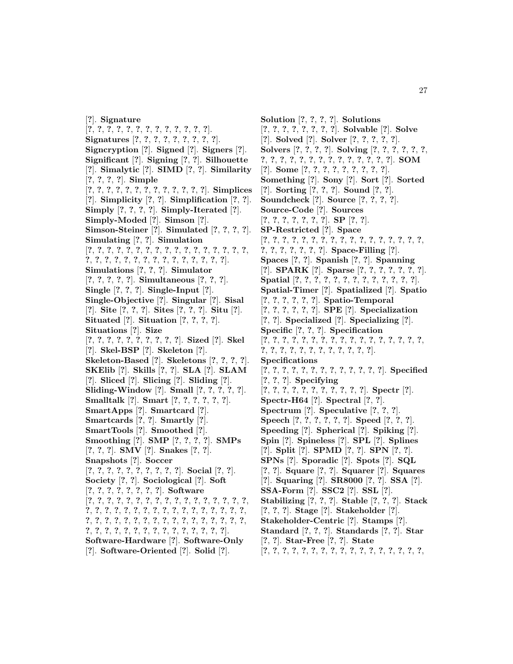[**?**]. **Signature** [**?**, **?**, **?**, **?**, **?**, **?**, **?**, **?**, **?**, **?**, **?**, **?**, **?**]. **Signatures** [**?**, **?**, **?**, **?**, **?**, **?**, **?**, **?**, **?**]. **Signcryption** [**?**]. **Signed** [**?**]. **Signers** [**?**]. **Significant** [**?**]. **Signing** [**?**, **?**]. **Silhouette** [**?**]. **Simalytic** [**?**]. **SIMD** [**?**, **?**]. **Similarity** [**?**, **?**, **?**, **?**]. **Simple** [**?**, **?**, **?**, **?**, **?**, **?**, **?**, **?**, **?**, **?**, **?**, **?**, **?**]. **Simplices** [**?**]. **Simplicity** [**?**, **?**]. **Simplification** [**?**, **?**]. **Simply** [**?**, **?**, **?**, **?**]. **Simply-Iterated** [**?**]. **Simply-Moded** [**?**]. **Simson** [**?**]. **Simson-Steiner** [**?**]. **Simulated** [**?**, **?**, **?**, **?**]. **Simulating** [**?**, **?**]. **Simulation** [**?**, **?**, **?**, **?**, **?**, **?**, **?**, **?**, **?**, **?**, **?**, **?**, **?**, **?**, **?**, **?**, **?**, **?**, **?**, **?**, **?**, **?**, **?**, **?**, **?**, **?**, **?**, **?**, **?**, **?**, **?**, **?**]. **Simulations** [**?**, **?**, **?**]. **Simulator** [**?**, **?**, **?**, **?**, **?**]. **Simultaneous** [**?**, **?**, **?**]. **Single** [**?**, **?**, **?**]. **Single-Input** [**?**]. **Single-Objective** [**?**]. **Singular** [**?**]. **Sisal** [**?**]. **Site** [**?**, **?**, **?**]. **Sites** [**?**, **?**, **?**]. **Situ** [**?**]. **Situated** [**?**]. **Situation** [**?**, **?**, **?**, **?**]. **Situations** [**?**]. **Size** [**?**, **?**, **?**, **?**, **?**, **?**, **?**, **?**, **?**, **?**]. **Sized** [**?**]. **Skel** [**?**]. **Skel-BSP** [**?**]. **Skeleton** [**?**]. **Skeleton-Based** [**?**]. **Skeletons** [**?**, **?**, **?**, **?**]. **SKElib** [**?**]. **Skills** [**?**, **?**]. **SLA** [**?**]. **SLAM** [**?**]. **Sliced** [**?**]. **Slicing** [**?**]. **Sliding** [**?**]. **Sliding-Window** [**?**]. **Small** [**?**, **?**, **?**, **?**, **?**]. **Smalltalk** [**?**]. **Smart** [**?**, **?**, **?**, **?**, **?**, **?**]. **SmartApps** [**?**]. **Smartcard** [**?**]. **Smartcards** [**?**, **?**]. **Smartly** [**?**]. **SmartTools** [**?**]. **Smoothed** [**?**]. **Smoothing** [**?**]. **SMP** [**?**, **?**, **?**, **?**]. **SMPs** [**?**, **?**, **?**]. **SMV** [**?**]. **Snakes** [**?**, **?**]. **Snapshots** [**?**]. **Soccer** [**?**, **?**, **?**, **?**, **?**, **?**, **?**, **?**, **?**, **?**]. **Social** [**?**, **?**]. **Society** [**?**, **?**]. **Sociological** [**?**]. **Soft** [**?**, **?**, **?**, **?**, **?**, **?**, **?**, **?**]. **Software** [**?**, **?**, **?**, **?**, **?**, **?**, **?**, **?**, **?**, **?**, **?**, **?**, **?**, **?**, **?**, **?**, **?**, **?**, **?**, **?**, **?**, **?**, **?**, **?**, **?**, **?**, **?**, **?**, **?**, **?**, **?**, **?**, **?**, **?**, **?**, **?**, **?**, **?**, **?**, **?**, **?**, **?**, **?**, **?**, **?**, **?**, **?**, **?**, **?**, **?**, **?**, **?**, **?**, **?**, **?**, **?**, **?**, **?**, **?**, **?**, **?**, **?**, **?**, **?**, **?**, **?**]. **Software-Hardware** [**?**]. **Software-Only** [**?**]. **Software-Oriented** [**?**]. **Solid** [**?**].

**Solution** [**?**, **?**, **?**, **?**]. **Solutions** [**?**, **?**, **?**, **?**, **?**, **?**, **?**, **?**]. **Solvable** [**?**]. **Solve** [**?**]. **Solved** [**?**]. **Solver** [**?**, **?**, **?**, **?**, **?**]. **Solvers** [**?**, **?**, **?**, **?**]. **Solving** [**?**, **?**, **?**, **?**, **?**, **?**, **?**, **?**, **?**, **?**, **?**, **?**, **?**, **?**, **?**, **?**, **?**, **?**, **?**, **?**]. **SOM** [**?**]. **Some** [**?**, **?**, **?**, **?**, **?**, **?**, **?**, **?**, **?**]. **Something** [**?**]. **Sony** [**?**]. **Sort** [**?**]. **Sorted** [**?**]. **Sorting** [**?**, **?**, **?**]. **Sound** [**?**, **?**]. **Soundcheck** [**?**]. **Source** [**?**, **?**, **?**, **?**]. **Source-Code** [**?**]. **Sources** [**?**, **?**, **?**, **?**, **?**, **?**, **?**]. **SP** [**?**, **?**]. **SP-Restricted** [**?**]. **Space** [**?**, **?**, **?**, **?**, **?**, **?**, **?**, **?**, **?**, **?**, **?**, **?**, **?**, **?**, **?**, **?**, **?**, **?**, **?**, **?**, **?**, **?**, **?**, **?**]. **Space-Filling** [**?**]. **Spaces** [**?**, **?**]. **Spanish** [**?**, **?**]. **Spanning** [**?**]. **SPARK** [**?**]. **Sparse** [**?**, **?**, **?**, **?**, **?**, **?**, **?**]. **Spatial** [**?**, **?**, **?**, **?**, **?**, **?**, **?**, **?**, **?**, **?**, **?**, **?**, **?**]. **Spatial-Timer** [**?**]. **Spatialized** [**?**]. **Spatio** [**?**, **?**, **?**, **?**, **?**, **?**]. **Spatio-Temporal** [**?**, **?**, **?**, **?**, **?**, **?**]. **SPE** [**?**]. **Specialization** [**?**, **?**]. **Specialized** [**?**]. **Specializing** [**?**]. **Specific** [**?**, **?**, **?**]. **Specification** [**?**, **?**, **?**, **?**, **?**, **?**, **?**, **?**, **?**, **?**, **?**, **?**, **?**, **?**, **?**, **?**, **?**, **?**, **?**, **?**, **?**, **?**, **?**, **?**, **?**, **?**, **?**, **?**, **?**]. **Specifications** [**?**, **?**, **?**, **?**, **?**, **?**, **?**, **?**, **?**, **?**, **?**, **?**, **?**]. **Specified** [**?**, **?**, **?**]. **Specifying** [**?**, **?**, **?**, **?**, **?**, **?**, **?**, **?**, **?**, **?**, **?**]. **Spectr** [**?**]. **Spectr-H64** [**?**]. **Spectral** [**?**, **?**]. **Spectrum** [**?**]. **Speculative** [**?**, **?**, **?**]. **Speech** [**?**, **?**, **?**, **?**, **?**, **?**]. **Speed** [**?**, **?**, **?**]. **Speeding** [**?**]. **Spherical** [**?**]. **Spiking** [**?**]. **Spin** [**?**]. **Spineless** [**?**]. **SPL** [**?**]. **Splines** [**?**]. **Split** [**?**]. **SPMD** [**?**, **?**]. **SPN** [**?**, **?**]. **SPNs** [**?**]. **Sporadic** [**?**]. **Spots** [**?**]. **SQL** [**?**, **?**]. **Square** [**?**, **?**]. **Squarer** [**?**]. **Squares** [**?**]. **Squaring** [**?**]. **SR8000** [**?**, **?**]. **SSA** [**?**]. **SSA-Form** [**?**]. **SSC2** [**?**]. **SSL** [**?**]. **Stabilizing** [**?**, **?**, **?**]. **Stable** [**?**, **?**, **?**]. **Stack** [**?**, **?**, **?**]. **Stage** [**?**]. **Stakeholder** [**?**]. **Stakeholder-Centric** [**?**]. **Stamps** [**?**]. **Standard** [**?**, **?**, **?**]. **Standards** [**?**, **?**]. **Star** [**?**, **?**]. **Star-Free** [**?**, **?**]. **State** [**?**, **?**, **?**, **?**, **?**, **?**, **?**, **?**, **?**, **?**, **?**, **?**, **?**, **?**, **?**, **?**, **?**,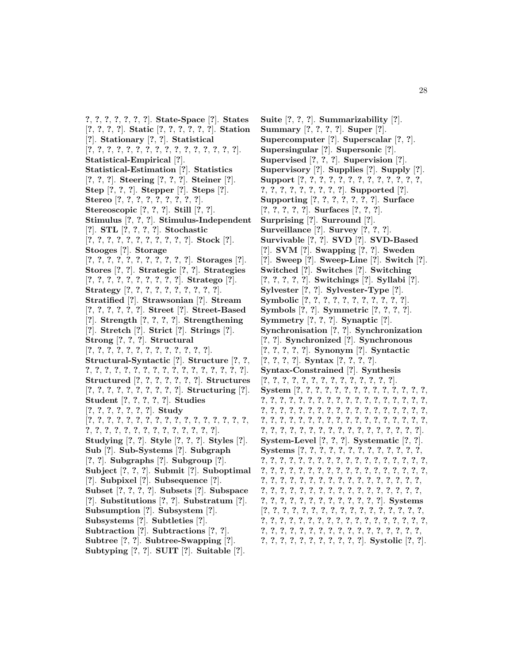**?**, **?**, **?**, **?**, **?**, **?**, **?**]. **State-Space** [**?**]. **States** [**?**, **?**, **?**, **?**]. **Static** [**?**, **?**, **?**, **?**, **?**, **?**]. **Station** [**?**]. **Stationary** [**?**, **?**]. **Statistical** [**?**, **?**, **?**, **?**, **?**, **?**, **?**, **?**, **?**, **?**, **?**, **?**, **?**, **?**, **?**, **?**]. **Statistical-Empirical** [**?**]. **Statistical-Estimation** [**?**]. **Statistics** [**?**, **?**, **?**]. **Steering** [**?**, **?**, **?**]. **Steiner** [**?**]. **Step** [**?**, **?**, **?**]. **Stepper** [**?**]. **Steps** [**?**]. **Stereo** [**?**, **?**, **?**, **?**, **?**, **?**, **?**, **?**, **?**]. **Stereoscopic** [**?**, **?**, **?**]. **Still** [**?**, **?**]. **Stimulus** [**?**, **?**, **?**]. **Stimulus-Independent** [**?**]. **STL** [**?**, **?**, **?**, **?**]. **Stochastic** [**?**, **?**, **?**, **?**, **?**, **?**, **?**, **?**, **?**, **?**, **?**]. **Stock** [**?**]. **Stooges** [**?**]. **Storage** [**?**, **?**, **?**, **?**, **?**, **?**, **?**, **?**, **?**, **?**, **?**]. **Storages** [**?**]. **Stores** [**?**, **?**]. **Strategic** [**?**, **?**]. **Strategies** [**?**, **?**, **?**, **?**, **?**, **?**, **?**, **?**, **?**, **?**]. **Stratego** [**?**]. **Strategy** [**?**, **?**, **?**, **?**, **?**, **?**, **?**, **?**, **?**, **?**]. **Stratified** [**?**]. **Strawsonian** [**?**]. **Stream** [**?**, **?**, **?**, **?**, **?**, **?**]. **Street** [**?**]. **Street-Based** [**?**]. **Strength** [**?**, **?**, **?**, **?**]. **Strengthening** [**?**]. **Stretch** [**?**]. **Strict** [**?**]. **Strings** [**?**]. **Strong** [**?**, **?**, **?**]. **Structural** [**?**, **?**, **?**, **?**, **?**, **?**, **?**, **?**, **?**, **?**, **?**, **?**, **?**]. **Structural-Syntactic** [**?**]. **Structure** [**?**, **?**, **?**, **?**, **?**, **?**, **?**, **?**, **?**, **?**, **?**, **?**, **?**, **?**, **?**, **?**, **?**, **?**, **?**]. **Structured** [**?**, **?**, **?**, **?**, **?**, **?**, **?**]. **Structures** [**?**, **?**, **?**, **?**, **?**, **?**, **?**, **?**, **?**, **?**]. **Structuring** [**?**]. **Student** [**?**, **?**, **?**, **?**, **?**]. **Studies** [**?**, **?**, **?**, **?**, **?**, **?**, **?**]. **Study** [**?**, **?**, **?**, **?**, **?**, **?**, **?**, **?**, **?**, **?**, **?**, **?**, **?**, **?**, **?**, **?**, **?**, **?**, **?**, **?**, **?**, **?**, **?**, **?**, **?**, **?**, **?**, **?**, **?**, **?**, **?**]. **Studying** [**?**, **?**]. **Style** [**?**, **?**, **?**]. **Styles** [**?**]. **Sub** [**?**]. **Sub-Systems** [**?**]. **Subgraph** [**?**, **?**]. **Subgraphs** [**?**]. **Subgroup** [**?**]. **Subject** [**?**, **?**, **?**]. **Submit** [**?**]. **Suboptimal** [**?**]. **Subpixel** [**?**]. **Subsequence** [**?**]. **Subset** [**?**, **?**, **?**, **?**]. **Subsets** [**?**]. **Subspace** [**?**]. **Substitutions** [**?**, **?**]. **Substratum** [**?**]. **Subsumption** [**?**]. **Subsystem** [**?**]. **Subsystems** [**?**]. **Subtleties** [**?**]. **Subtraction** [**?**]. **Subtractions** [**?**, **?**]. **Subtree** [**?**, **?**]. **Subtree-Swapping** [**?**]. **Subtyping** [**?**, **?**]. **SUIT** [**?**]. **Suitable** [**?**].

**Suite** [**?**, **?**, **?**]. **Summarizability** [**?**]. **Summary** [**?**, **?**, **?**, **?**]. **Super** [**?**]. **Supercomputer** [**?**]. **Superscalar** [**?**, **?**]. **Supersingular** [**?**]. **Supersonic** [**?**]. **Supervised** [**?**, **?**, **?**]. **Supervision** [**?**]. **Supervisory** [**?**]. **Supplies** [**?**]. **Supply** [**?**]. **Support** [**?**, **?**, **?**, **?**, **?**, **?**, **?**, **?**, **?**, **?**, **?**, **?**, **?**, **?**, **?**, **?**, **?**, **?**, **?**, **?**, **?**, **?**]. **Supported** [**?**]. **Supporting** [**?**, **?**, **?**, **?**, **?**, **?**, **?**]. **Surface** [**?**, **?**, **?**, **?**, **?**]. **Surfaces** [**?**, **?**, **?**]. **Surprising** [**?**]. **Surround** [**?**]. **Surveillance** [**?**]. **Survey** [**?**, **?**, **?**]. **Survivable** [**?**, **?**]. **SVD** [**?**]. **SVD-Based** [**?**]. **SVM** [**?**]. **Swapping** [**?**, **?**]. **Sweden** [**?**]. **Sweep** [**?**]. **Sweep-Line** [**?**]. **Switch** [**?**]. **Switched** [**?**]. **Switches** [**?**]. **Switching** [**?**, **?**, **?**, **?**, **?**]. **Switchings** [**?**]. **Syllabi** [**?**]. **Sylvester** [**?**, **?**]. **Sylvester-Type** [**?**]. **Symbolic** [**?**, **?**, **?**, **?**, **?**, **?**, **?**, **?**, **?**, **?**, **?**]. **Symbols** [**?**, **?**]. **Symmetric** [**?**, **?**, **?**, **?**]. **Symmetry** [**?**, **?**, **?**]. **Synaptic** [**?**]. **Synchronisation** [**?**, **?**]. **Synchronization** [**?**, **?**]. **Synchronized** [**?**]. **Synchronous** [**?**, **?**, **?**, **?**, **?**]. **Synonym** [**?**]. **Syntactic** [**?**, **?**, **?**, **?**]. **Syntax** [**?**, **?**, **?**, **?**]. **Syntax-Constrained** [**?**]. **Synthesis** [**?**, **?**, **?**, **?**, **?**, **?**, **?**, **?**, **?**, **?**, **?**, **?**, **?**, **?**]. **System** [**?**, **?**, **?**, **?**, **?**, **?**, **?**, **?**, **?**, **?**, **?**, **?**, **?**, **?**, **?**, **?**, **?**, **?**, **?**, **?**, **?**, **?**, **?**, **?**, **?**, **?**, **?**, **?**, **?**, **?**, **?**, **?**, **?**, **?**, **?**, **?**, **?**, **?**, **?**, **?**, **?**, **?**, **?**, **?**, **?**, **?**, **?**, **?**, **?**, **?**, **?**, **?**, **?**, **?**, **?**, **?**, **?**, **?**, **?**, **?**, **?**, **?**, **?**, **?**, **?**, **?**, **?**, **?**, **?**, **?**, **?**, **?**, **?**, **?**, **?**, **?**, **?**, **?**, **?**, **?**, **?**, **?**, **?**, **?**, **?**]. **System-Level** [**?**, **?**, **?**]. **Systematic** [**?**, **?**]. **Systems** [**?**, **?**, **?**, **?**, **?**, **?**, **?**, **?**, **?**, **?**, **?**, **?**, **?**, **?**, **?**, **?**, **?**, **?**, **?**, **?**, **?**, **?**, **?**, **?**, **?**, **?**, **?**, **?**, **?**, **?**, **?**, **?**, **?**, **?**, **?**, **?**, **?**, **?**, **?**, **?**, **?**, **?**, **?**, **?**, **?**, **?**, **?**, **?**, **?**, **?**, **?**, **?**, **?**, **?**, **?**, **?**, **?**, **?**, **?**, **?**, **?**, **?**, **?**, **?**, **?**, **?**, **?**, **?**, **?**, **?**, **?**, **?**, **?**, **?**, **?**, **?**, **?**, **?**, **?**, **?**, **?**, **?**, **?**, **?**, **?**, **?**, **?**, **?**, **?**, **?**, **?**, **?**, **?**, **?**, **?**, **?**]. **Systems** [**?**, **?**, **?**, **?**, **?**, **?**, **?**, **?**, **?**, **?**, **?**, **?**, **?**, **?**, **?**, **?**, **?**, **?**, **?**, **?**, **?**, **?**, **?**, **?**, **?**, **?**, **?**, **?**, **?**, **?**, **?**, **?**, **?**, **?**, **?**, **?**, **?**, **?**, **?**, **?**, **?**, **?**, **?**, **?**, **?**, **?**, **?**, **?**, **?**, **?**, **?**, **?**, **?**, **?**, **?**, **?**, **?**, **?**, **?**, **?**, **?**, **?**, **?**]. **Systolic** [**?**, **?**].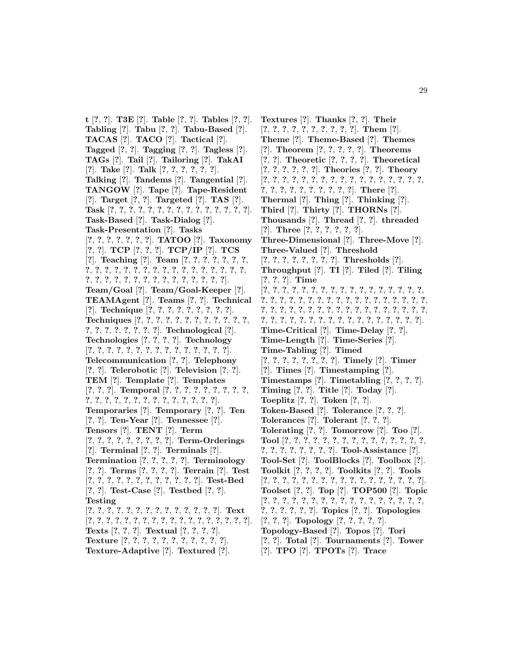**t** [**?**, **?**]. **T3E** [**?**]. **Table** [**?**, **?**]. **Tables** [**?**, **?**]. **Tabling** [**?**]. **Tabu** [**?**, **?**]. **Tabu-Based** [**?**]. **TACAS** [**?**]. **TACO** [**?**]. **Tactical** [**?**]. **Tagged** [**?**, **?**]. **Tagging** [**?**, **?**]. **Tagless** [**?**]. **TAGs** [**?**]. **Tail** [**?**]. **Tailoring** [**?**]. **TakAI** [**?**]. **Take** [**?**]. **Talk** [**?**, **?**, **?**, **?**, **?**, **?**]. **Talking** [**?**]. **Tandems** [**?**]. **Tangential** [**?**]. **TANGOW** [**?**]. **Tape** [**?**]. **Tape-Resident** [**?**]. **Target** [**?**, **?**]. **Targeted** [**?**]. **TAS** [**?**]. **Task** [**?**, **?**, **?**, **?**, **?**, **?**, **?**, **?**, **?**, **?**, **?**, **?**, **?**, **?**, **?**]. **Task-Based** [**?**]. **Task-Dialog** [**?**]. **Task-Presentation** [**?**]. **Tasks** [**?**, **?**, **?**, **?**, **?**, **?**, **?**]. **TATOO** [**?**]. **Taxonomy** [**?**, **?**]. **TCP** [**?**, **?**, **?**]. **TCP/IP** [**?**]. **TCS** [**?**]. **Teaching** [**?**]. **Team** [**?**, **?**, **?**, **?**, **?**, **?**, **?**, **?**, **?**, **?**, **?**, **?**, **?**, **?**, **?**, **?**, **?**, **?**, **?**, **?**, **?**, **?**, **?**, **?**, **?**, **?**, **?**, **?**, **?**, **?**, **?**, **?**, **?**, **?**, **?**, **?**, **?**, **?**, **?**]. **Team/Goal** [**?**]. **Team/Goal-Keeper** [**?**]. **TEAMAgent** [**?**]. **Teams** [**?**, **?**]. **Technical** [**?**]. **Technique** [**?**, **?**, **?**, **?**, **?**, **?**, **?**, **?**, **?**]. **Techniques** [**?**, **?**, **?**, **?**, **?**, **?**, **?**, **?**, **?**, **?**, **?**, **?**, **?**, **?**, **?**, **?**, **?**, **?**, **?**, **?**]. **Technological** [**?**]. **Technologies** [**?**, **?**, **?**, **?**]. **Technology** [**?**, **?**, **?**, **?**, **?**, **?**, **?**, **?**, **?**, **?**, **?**, **?**, **?**, **?**, **?**]. **Telecommunication** [**?**, **?**]. **Telephony** [**?**, **?**]. **Telerobotic** [**?**]. **Television** [**?**, **?**]. **TEM** [**?**]. **Template** [**?**]. **Templates** [**?**, **?**, **?**]. **Temporal** [**?**, **?**, **?**, **?**, **?**, **?**, **?**, **?**, **?**, **?**, **?**, **?**, **?**, **?**, **?**, **?**, **?**, **?**, **?**, **?**, **?**, **?**, **?**]. **Temporaries** [**?**]. **Temporary** [**?**, **?**]. **Ten** [**?**, **?**]. **Ten-Year** [**?**]. **Tennessee** [**?**]. **Tensors** [**?**]. **TENT** [**?**]. **Term** [**?**, **?**, **?**, **?**, **?**, **?**, **?**, **?**, **?**]. **Term-Orderings** [**?**]. **Terminal** [**?**, **?**]. **Terminals** [**?**]. **Termination** [**?**, **?**, **?**, **?**, **?**]. **Terminology** [**?**, **?**]. **Terms** [**?**, **?**, **?**, **?**]. **Terrain** [**?**]. **Test** [**?**, **?**, **?**, **?**, **?**, **?**, **?**, **?**, **?**, **?**, **?**, **?**]. **Test-Bed** [**?**, **?**]. **Test-Case** [**?**]. **Testbed** [**?**, **?**]. **Testing** [**?**, **?**, **?**, **?**, **?**, **?**, **?**, **?**, **?**, **?**, **?**, **?**, **?**, **?**]. **Text** [**?**, **?**, **?**, **?**, **?**, **?**, **?**, **?**, **?**, **?**, **?**, **?**, **?**, **?**, **?**, **?**, **?**, **?**]. **Texts** [**?**, **?**, **?**]. **Textual** [**?**, **?**, **?**, **?**]. **Texture** [**?**, **?**, **?**, **?**, **?**, **?**, **?**, **?**, **?**, **?**, **?**]. **Texture-Adaptive** [**?**]. **Textured** [**?**].

**Textures** [**?**]. **Thanks** [**?**, **?**]. **Their** [**?**, **?**, **?**, **?**, **?**, **?**, **?**, **?**, **?**, **?**]. **Them** [**?**]. **Theme** [**?**]. **Theme-Based** [**?**]. **Themes** [**?**]. **Theorem** [**?**, **?**, **?**, **?**, **?**]. **Theorems** [**?**, **?**]. **Theoretic** [**?**, **?**, **?**, **?**]. **Theoretical** [**?**, **?**, **?**, **?**, **?**, **?**]. **Theories** [**?**, **?**]. **Theory** [**?**, **?**, **?**, **?**, **?**, **?**, **?**, **?**, **?**, **?**, **?**, **?**, **?**, **?**, **?**, **?**, **?**, **?**, **?**, **?**, **?**, **?**, **?**, **?**, **?**, **?**, **?**]. **There** [**?**]. **Thermal** [**?**]. **Thing** [**?**]. **Thinking** [**?**]. **Third** [**?**]. **Thirty** [**?**]. **THORNs** [**?**]. **Thousands** [**?**]. **Thread** [**?**, **?**]. **threaded** [**?**]. **Three** [**?**, **?**, **?**, **?**, **?**, **?**]. **Three-Dimensional** [**?**]. **Three-Move** [**?**]. **Three-Valued** [**?**]. **Threshold** [**?**, **?**, **?**, **?**, **?**, **?**, **?**, **?**]. **Thresholds** [**?**]. **Throughput** [**?**]. **TI** [**?**]. **Tiled** [**?**]. **Tiling** [**?**, **?**, **?**]. **Time** [**?**, **?**, **?**, **?**, **?**, **?**, **?**, **?**, **?**, **?**, **?**, **?**, **?**, **?**, **?**, **?**, **?**, **?**, **?**, **?**, **?**, **?**, **?**, **?**, **?**, **?**, **?**, **?**, **?**, **?**, **?**, **?**, **?**, **?**, **?**, **?**, **?**, **?**, **?**, **?**, **?**, **?**, **?**, **?**, **?**, **?**, **?**, **?**, **?**, **?**, **?**, **?**, **?**, **?**, **?**, **?**, **?**, **?**, **?**, **?**, **?**, **?**, **?**, **?**, **?**, **?**, **?**, **?**, **?**, **?**]. **Time-Critical** [**?**]. **Time-Delay** [**?**, **?**]. **Time-Length** [**?**]. **Time-Series** [**?**]. **Time-Tabling** [**?**]. **Timed** [**?**, **?**, **?**, **?**, **?**, **?**, **?**, **?**]. **Timely** [**?**]. **Timer** [**?**]. **Times** [**?**]. **Timestamping** [**?**]. **Timestamps** [**?**]. **Timetabling** [**?**, **?**, **?**, **?**]. **Timing** [**?**, **?**]. **Title** [**?**]. **Today** [**?**]. **Toeplitz** [**?**, **?**]. **Token** [**?**, **?**]. **Token-Based** [**?**]. **Tolerance** [**?**, **?**, **?**]. **Tolerances** [**?**]. **Tolerant** [**?**, **?**, **?**]. **Tolerating** [**?**, **?**]. **Tomorrow** [**?**]. **Too** [**?**]. **Tool** [**?**, **?**, **?**, **?**, **?**, **?**, **?**, **?**, **?**, **?**, **?**, **?**, **?**, **?**, **?**, **?**, **?**, **?**, **?**, **?**, **?**, **?**, **?**]. **Tool-Assistance** [**?**]. **Tool-Set** [**?**]. **ToolBlocks** [**?**]. **Toolbox** [**?**]. **Toolkit** [**?**, **?**, **?**, **?**]. **Toolkits** [**?**, **?**]. **Tools** [**?**, **?**, **?**, **?**, **?**, **?**, **?**, **?**, **?**, **?**, **?**, **?**, **?**, **?**, **?**, **?**, **?**]. **Toolset** [**?**, **?**]. **Top** [**?**]. **TOP500** [**?**]. **Topic** [**?**, **?**, **?**, **?**, **?**, **?**, **?**, **?**, **?**, **?**, **?**, **?**, **?**, **?**, **?**, **?**, **?**, **?**, **?**, **?**, **?**, **?**, **?**]. **Topics** [**?**, **?**]. **Topologies** [**?**, **?**, **?**]. **Topology** [**?**, **?**, **?**, **?**, **?**]. **Topology-Based** [**?**]. **Topos** [**?**]. **Tori** [**?**, **?**]. **Total** [**?**]. **Tournaments** [**?**]. **Tower** [**?**]. **TPO** [**?**]. **TPOTs** [**?**]. **Trace**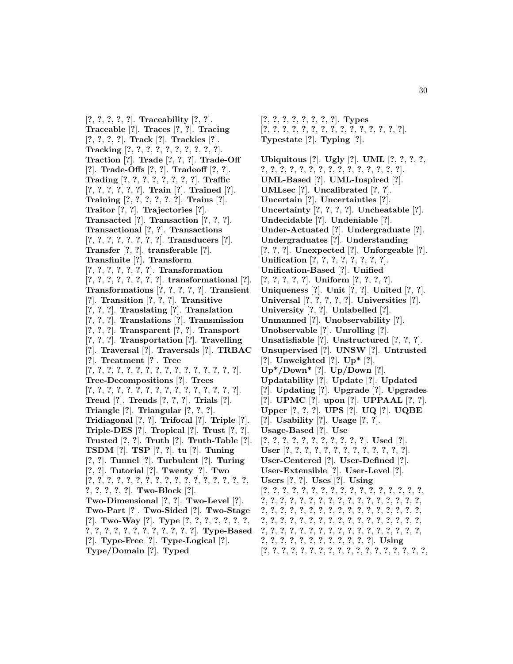[**?**, **?**, **?**, **?**, **?**]. **Traceability** [**?**, **?**]. **Traceable** [**?**]. **Traces** [**?**, **?**]. **Tracing** [**?**, **?**, **?**, **?**]. **Track** [**?**]. **Trackies** [**?**]. **Tracking** [**?**, **?**, **?**, **?**, **?**, **?**, **?**, **?**, **?**, **?**]. **Traction** [**?**]. **Trade** [**?**, **?**, **?**]. **Trade-Off** [**?**]. **Trade-Offs** [**?**, **?**]. **Tradeoff** [**?**, **?**]. **Trading** [**?**, **?**, **?**, **?**, **?**, **?**, **?**, **?**]. **Traffic** [**?**, **?**, **?**, **?**, **?**, **?**]. **Train** [**?**]. **Trained** [**?**]. **Training** [**?**, **?**, **?**, **?**, **?**, **?**]. **Trains** [**?**]. **Traitor** [**?**, **?**]. **Trajectories** [**?**]. **Transacted** [**?**]. **Transaction** [**?**, **?**, **?**]. **Transactional** [**?**, **?**]. **Transactions** [**?**, **?**, **?**, **?**, **?**, **?**, **?**, **?**]. **Transducers** [**?**]. **Transfer** [**?**, **?**]. **transferable** [**?**]. **Transfinite** [**?**]. **Transform** [**?**, **?**, **?**, **?**, **?**, **?**, **?**]. **Transformation** [**?**, **?**, **?**, **?**, **?**, **?**, **?**, **?**]. **transformational** [**?**]. **Transformations** [**?**, **?**, **?**, **?**, **?**]. **Transient** [**?**]. **Transition** [**?**, **?**, **?**]. **Transitive** [**?**, **?**, **?**]. **Translating** [**?**]. **Translation** [**?**, **?**, **?**]. **Translations** [**?**]. **Transmission** [**?**, **?**, **?**]. **Transparent** [**?**, **?**]. **Transport** [**?**, **?**, **?**]. **Transportation** [**?**]. **Travelling** [**?**]. **Traversal** [**?**]. **Traversals** [**?**]. **TRBAC** [**?**]. **Treatment** [**?**]. **Tree** [**?**, **?**, **?**, **?**, **?**, **?**, **?**, **?**, **?**, **?**, **?**, **?**, **?**, **?**, **?**, **?**]. **Tree-Decompositions** [**?**]. **Trees** [**?**, **?**, **?**, **?**, **?**, **?**, **?**, **?**, **?**, **?**, **?**, **?**, **?**, **?**, **?**, **?**]. **Trend** [**?**]. **Trends** [**?**, **?**, **?**]. **Trials** [**?**]. **Triangle** [**?**]. **Triangular** [**?**, **?**, **?**]. **Tridiagonal** [**?**, **?**]. **Trifocal** [**?**]. **Triple** [**?**]. **Triple-DES** [**?**]. **Tropical** [**?**]. **Trust** [**?**, **?**]. **Trusted** [**?**, **?**]. **Truth** [**?**]. **Truth-Table** [**?**]. **TSDM** [**?**]. **TSP** [**?**, **?**]. **tu** [**?**]. **Tuning** [**?**, **?**]. **Tunnel** [**?**]. **Turbulent** [**?**]. **Turing** [**?**, **?**]. **Tutorial** [**?**]. **Twenty** [**?**]. **Two** [**?**, **?**, **?**, **?**, **?**, **?**, **?**, **?**, **?**, **?**, **?**, **?**, **?**, **?**, **?**, **?**, **?**, **?**, **?**, **?**, **?**, **?**]. **Two-Block** [**?**]. **Two-Dimensional** [**?**, **?**]. **Two-Level** [**?**]. **Two-Part** [**?**]. **Two-Sided** [**?**]. **Two-Stage** [**?**]. **Two-Way** [**?**]. **Type** [**?**, **?**, **?**, **?**, **?**, **?**, **?**, **?**, **?**, **?**, **?**, **?**, **?**, **?**, **?**, **?**, **?**, **?**, **?**]. **Type-Based** [**?**]. **Type-Free** [**?**]. **Type-Logical** [**?**]. **Type/Domain** [**?**]. **Typed**

- [**?**, **?**, **?**, **?**, **?**, **?**, **?**, **?**]. **Types** [**?**, **?**, **?**, **?**, **?**, **?**, **?**, **?**, **?**, **?**, **?**, **?**, **?**, **?**, **?**]. **Typestate** [**?**]. **Typing** [**?**].
- **Ubiquitous** [**?**]. **Ugly** [**?**]. **UML** [**?**, **?**, **?**, **?**, **?**, **?**, **?**, **?**, **?**, **?**, **?**, **?**, **?**, **?**, **?**, **?**, **?**, **?**, **?**]. **UML-Based** [**?**]. **UML-Inspired** [**?**]. **UMLsec** [**?**]. **Uncalibrated** [**?**, **?**]. **Uncertain** [**?**]. **Uncertainties** [**?**]. **Uncertainty** [**?**, **?**, **?**, **?**]. **Uncheatable** [**?**]. **Undecidable** [**?**]. **Undeniable** [**?**]. **Under-Actuated** [**?**]. **Undergraduate** [**?**]. **Undergraduates** [**?**]. **Understanding** [**?**, **?**, **?**]. **Unexpected** [**?**]. **Unforgeable** [**?**]. **Unification** [**?**, **?**, **?**, **?**, **?**, **?**, **?**, **?**]. **Unification-Based** [**?**]. **Unified** [**?**, **?**, **?**, **?**, **?**]. **Uniform** [**?**, **?**, **?**, **?**]. **Uniqueness** [**?**]. **Unit** [**?**, **?**]. **United** [**?**, **?**]. **Universal** [**?**, **?**, **?**, **?**, **?**]. **Universities** [**?**]. **University** [**?**, **?**]. **Unlabelled** [**?**]. **Unmanned** [**?**]. **Unobservability** [**?**]. **Unobservable** [**?**]. **Unrolling** [**?**]. **Unsatisfiable** [**?**]. **Unstructured** [**?**, **?**, **?**]. **Unsupervised** [**?**]. **UNSW** [**?**]. **Untrusted** [**?**]. **Unweighted** [**?**]. **Up\*** [**?**]. **Up\*/Down\*** [**?**]. **Up/Down** [**?**]. **Updatability** [**?**]. **Update** [**?**]. **Updated** [**?**]. **Updating** [**?**]. **Upgrade** [**?**]. **Upgrades** [**?**]. **UPMC** [**?**]. **upon** [**?**]. **UPPAAL** [**?**, **?**]. **Upper** [**?**, **?**, **?**]. **UPS** [**?**]. **UQ** [**?**]. **UQBE** [**?**]. **Usability** [**?**]. **Usage** [**?**, **?**]. **Usage-Based** [**?**]. **Use** [**?**, **?**, **?**, **?**, **?**, **?**, **?**, **?**, **?**, **?**, **?**]. **Used** [**?**]. **User** [**?**, **?**, **?**, **?**, **?**, **?**, **?**, **?**, **?**, **?**, **?**, **?**, **?**]. **User-Centered** [**?**]. **User-Defined** [**?**]. **User-Extensible** [**?**]. **User-Level** [**?**]. **Users** [**?**, **?**]. **Uses** [**?**]. **Using** [**?**, **?**, **?**, **?**, **?**, **?**, **?**, **?**, **?**, **?**, **?**, **?**, **?**, **?**, **?**, **?**, **?**, **?**, **?**, **?**, **?**, **?**, **?**, **?**, **?**, **?**, **?**, **?**, **?**, **?**, **?**, **?**, **?**, **?**, **?**, **?**, **?**, **?**, **?**, **?**, **?**, **?**, **?**, **?**, **?**, **?**, **?**, **?**, **?**, **?**, **?**, **?**, **?**, **?**, **?**, **?**, **?**, **?**, **?**, **?**, **?**, **?**, **?**, **?**, **?**, **?**, **?**, **?**, **?**, **?**, **?**, **?**, **?**, **?**, **?**, **?**, **?**, **?**, **?**, **?**, **?**, **?**, **?**, **?**, **?**, **?**, **?**, **?**, **?**, **?**, **?**, **?**, **?**, **?**, **?**, **?**, **?**]. **Using**

[**?**, **?**, **?**, **?**, **?**, **?**, **?**, **?**, **?**, **?**, **?**, **?**, **?**, **?**, **?**, **?**, **?**, **?**,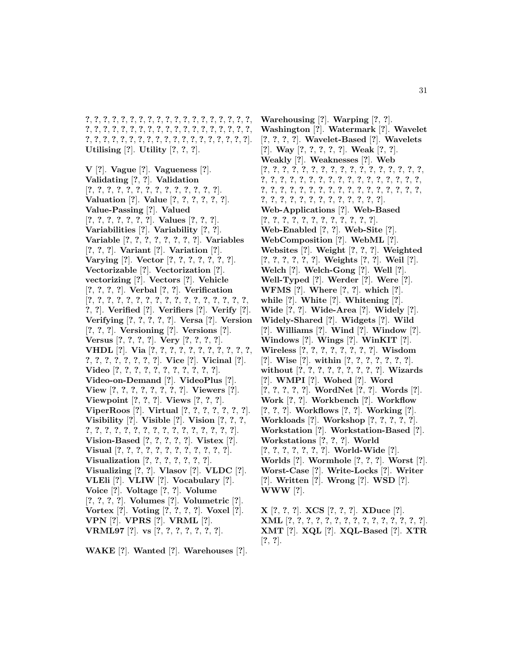**?**, **?**, **?**, **?**, **?**, **?**, **?**, **?**, **?**, **?**, **?**, **?**, **?**, **?**, **?**, **?**, **?**, **?**, **?**, **?**, **?**, **?**, **?**, **?**, **?**, **?**, **?**, **?**, **?**, **?**, **?**, **?**, **?**, **?**, **?**, **?**, **?**, **?**, **?**, **?**, **?**, **?**, **?**, **?**, **?**, **?**, **?**, **?**, **?**, **?**, **?**, **?**, **?**, **?**, **?**, **?**, **?**]. **Utilising** [**?**]. **Utility** [**?**, **?**, **?**].

**V** [**?**]. **Vague** [**?**]. **Vagueness** [**?**]. **Validating** [**?**, **?**]. **Validation** [**?**, **?**, **?**, **?**, **?**, **?**, **?**, **?**, **?**, **?**, **?**, **?**, **?**, **?**]. **Valuation** [**?**]. **Value** [**?**, **?**, **?**, **?**, **?**, **?**]. **Value-Passing** [**?**]. **Valued** [**?**, **?**, **?**, **?**, **?**, **?**, **?**]. **Values** [**?**, **?**, **?**]. **Variabilities** [**?**]. **Variability** [**?**, **?**]. **Variable** [**?**, **?**, **?**, **?**, **?**, **?**, **?**, **?**]. **Variables** [**?**, **?**, **?**]. **Variant** [**?**]. **Variation** [**?**]. **Varying** [**?**]. **Vector** [**?**, **?**, **?**, **?**, **?**, **?**, **?**]. **Vectorizable** [**?**]. **Vectorization** [**?**]. **vectorizing** [**?**]. **Vectors** [**?**]. **Vehicle** [**?**, **?**, **?**, **?**]. **Verbal** [**?**, **?**]. **Verification** [**?**, **?**, **?**, **?**, **?**, **?**, **?**, **?**, **?**, **?**, **?**, **?**, **?**, **?**, **?**, **?**, **?**, **?**, **?**]. **Verified** [**?**]. **Verifiers** [**?**]. **Verify** [**?**]. **Verifying** [**?**, **?**, **?**, **?**, **?**]. **Versa** [**?**]. **Version** [**?**, **?**, **?**]. **Versioning** [**?**]. **Versions** [**?**]. **Versus** [**?**, **?**, **?**, **?**]. **Very** [**?**, **?**, **?**, **?**]. **VHDL** [**?**]. **Via** [**?**, **?**, **?**, **?**, **?**, **?**, **?**, **?**, **?**, **?**, **?**, **?**, **?**, **?**, **?**, **?**, **?**, **?**, **?**]. **Vice** [**?**]. **Vicinal** [**?**]. **Video** [**?**, **?**, **?**, **?**, **?**, **?**, **?**, **?**, **?**, **?**, **?**]. **Video-on-Demand** [**?**]. **VideoPlus** [**?**]. **View** [**?**, **?**, **?**, **?**, **?**, **?**, **?**, **?**]. **Viewers** [**?**]. **Viewpoint** [**?**, **?**, **?**]. **Views** [**?**, **?**, **?**]. **ViperRoos** [**?**]. **Virtual** [**?**, **?**, **?**, **?**, **?**, **?**, **?**]. **Visibility** [**?**]. **Visible** [**?**]. **Vision** [**?**, **?**, **?**, **?**, **?**, **?**, **?**, **?**, **?**, **?**, **?**, **?**, **?**, **?**, **?**, **?**, **?**, **?**, **?**]. **Vision-Based** [**?**, **?**, **?**, **?**, **?**]. **Vistex** [**?**]. **Visual** [**?**, **?**, **?**, **?**, **?**, **?**, **?**, **?**, **?**, **?**, **?**, **?**]. **Visualization** [**?**, **?**, **?**, **?**, **?**, **?**, **?**]. **Visualizing** [**?**, **?**]. **Vlasov** [**?**]. **VLDC** [**?**]. **VLEli** [**?**]. **VLIW** [**?**]. **Vocabulary** [**?**]. **Voice** [**?**]. **Voltage** [**?**, **?**]. **Volume** [**?**, **?**, **?**, **?**]. **Volumes** [**?**]. **Volumetric** [**?**]. **Vortex** [**?**]. **Voting** [**?**, **?**, **?**, **?**]. **Voxel** [**?**]. **VPN** [**?**]. **VPRS** [**?**]. **VRML** [**?**]. **VRML97** [**?**]. **vs** [**?**, **?**, **?**, **?**, **?**, **?**, **?**].

**WAKE** [**?**]. **Wanted** [**?**]. **Warehouses** [**?**].

**Warehousing** [**?**]. **Warping** [**?**, **?**]. **Washington** [**?**]. **Watermark** [**?**]. **Wavelet** [**?**, **?**, **?**, **?**]. **Wavelet-Based** [**?**]. **Wavelets** [**?**]. **Way** [**?**, **?**, **?**, **?**, **?**]. **Weak** [**?**, **?**]. **Weakly** [**?**]. **Weaknesses** [**?**]. **Web** [**?**, **?**, **?**, **?**, **?**, **?**, **?**, **?**, **?**, **?**, **?**, **?**, **?**, **?**, **?**, **?**, **?**, **?**, **?**, **?**, **?**, **?**, **?**, **?**, **?**, **?**, **?**, **?**, **?**, **?**, **?**, **?**, **?**, **?**, **?**, **?**, **?**, **?**, **?**, **?**, **?**, **?**, **?**, **?**, **?**, **?**, **?**, **?**, **?**, **?**, **?**, **?**, **?**, **?**, **?**, **?**, **?**, **?**, **?**, **?**, **?**, **?**, **?**, **?**]. **Web-Applications** [**?**]. **Web-Based** [**?**, **?**, **?**, **?**, **?**, **?**, **?**, **?**, **?**, **?**, **?**, **?**]. **Web-Enabled** [**?**, **?**]. **Web-Site** [**?**]. **WebComposition** [**?**]. **WebML** [**?**]. **Websites** [**?**]. **Weight** [**?**, **?**, **?**]. **Weighted** [**?**, **?**, **?**, **?**, **?**, **?**]. **Weights** [**?**, **?**]. **Weil** [**?**]. **Welch** [**?**]. **Welch-Gong** [**?**]. **Well** [**?**]. **Well-Typed** [**?**]. **Werder** [**?**]. **Were** [**?**]. **WFMS** [**?**]. **Where** [**?**, **?**]. **which** [**?**]. **while** [**?**]. **White** [**?**]. **Whitening** [**?**]. **Wide** [**?**, **?**]. **Wide-Area** [**?**]. **Widely** [**?**]. **Widely-Shared** [**?**]. **Widgets** [**?**]. **Wild** [**?**]. **Williams** [**?**]. **Wind** [**?**]. **Window** [**?**]. **Windows** [**?**]. **Wings** [**?**]. **WinKIT** [**?**]. **Wireless** [**?**, **?**, **?**, **?**, **?**, **?**, **?**, **?**]. **Wisdom** [**?**]. **Wise** [**?**]. **within** [**?**, **?**, **?**, **?**, **?**, **?**, **?**]. **without** [**?**, **?**, **?**, **?**, **?**, **?**, **?**, **?**, **?**]. **Wizards** [**?**]. **WMPI** [**?**]. **Wohed** [**?**]. **Word** [**?**, **?**, **?**, **?**, **?**]. **WordNet** [**?**, **?**]. **Words** [**?**]. **Work** [**?**, **?**]. **Workbench** [**?**]. **Workflow** [**?**, **?**, **?**]. **Workflows** [**?**, **?**]. **Working** [**?**]. **Workloads** [**?**]. **Workshop** [**?**, **?**, **?**, **?**, **?**]. **Workstation** [**?**]. **Workstation-Based** [**?**]. **Workstations** [**?**, **?**, **?**]. **World** [**?**, **?**, **?**, **?**, **?**, **?**, **?**]. **World-Wide** [**?**]. **Worlds** [**?**]. **Wormhole** [**?**, **?**, **?**]. **Worst** [**?**]. **Worst-Case** [**?**]. **Write-Locks** [**?**]. **Writer** [**?**]. **Written** [**?**]. **Wrong** [**?**]. **WSD** [**?**]. **WWW** [**?**].

**X** [**?**, **?**, **?**]. **XCS** [**?**, **?**, **?**]. **XDuce** [**?**]. **XML** [**?**, **?**, **?**, **?**, **?**, **?**, **?**, **?**, **?**, **?**, **?**, **?**, **?**, **?**, **?**]. **XMT** [**?**]. **XQL** [**?**]. **XQL-Based** [**?**]. **XTR** [**?**, **?**].